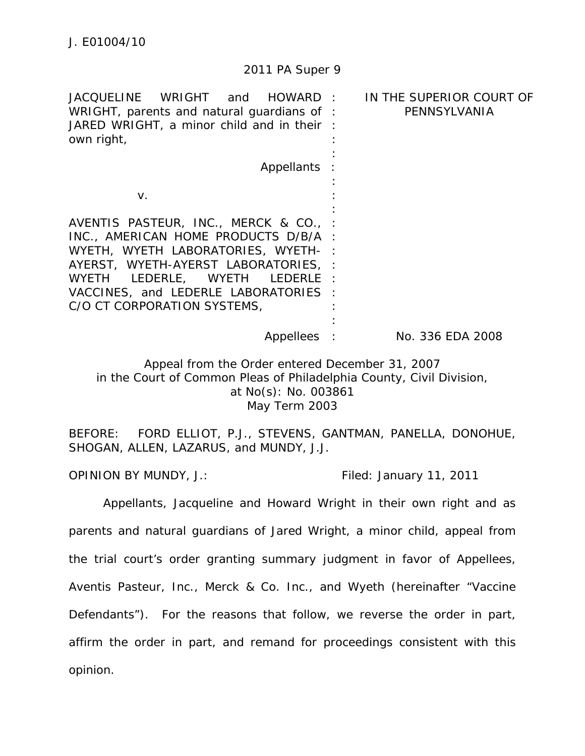### 2011 PA Super 9

| JACQUELINE WRIGHT<br>and<br>HOWARD :<br>WRIGHT, parents and natural quardians of :<br>JARED WRIGHT, a minor child and in their :<br>own right,                                                                                                                              | IN THE SUPERIOR COURT OF<br>PENNSYLVANIA |
|-----------------------------------------------------------------------------------------------------------------------------------------------------------------------------------------------------------------------------------------------------------------------------|------------------------------------------|
| Appellants                                                                                                                                                                                                                                                                  |                                          |
| V.                                                                                                                                                                                                                                                                          |                                          |
| AVENTIS PASTEUR, INC., MERCK & CO., :<br>INC., AMERICAN HOME PRODUCTS D/B/A :<br>WYETH, WYETH LABORATORIES, WYETH- :<br>AYERST, WYETH-AYERST LABORATORIES, :<br>LEDERLE, WYETH<br>LEDERLE :<br>WYETH<br>VACCINES, and LEDERLE LABORATORIES :<br>C/O CT CORPORATION SYSTEMS, |                                          |
| Appellees                                                                                                                                                                                                                                                                   | No. 336 EDA 2008                         |

Appeal from the Order entered December 31, 2007 in the Court of Common Pleas of Philadelphia County, Civil Division, at No(s): No. 003861 May Term 2003

BEFORE: FORD ELLIOT, P.J., STEVENS, GANTMAN, PANELLA, DONOHUE, SHOGAN, ALLEN, LAZARUS, and MUNDY, J.J.

OPINION BY MUNDY, J.: Filed: January 11, 2011

Appellants, Jacqueline and Howard Wright in their own right and as parents and natural guardians of Jared Wright, a minor child, appeal from the trial court's order granting summary judgment in favor of Appellees, Aventis Pasteur, Inc., Merck & Co. Inc., and Wyeth (hereinafter "Vaccine Defendants"). For the reasons that follow, we reverse the order in part, affirm the order in part, and remand for proceedings consistent with this opinion.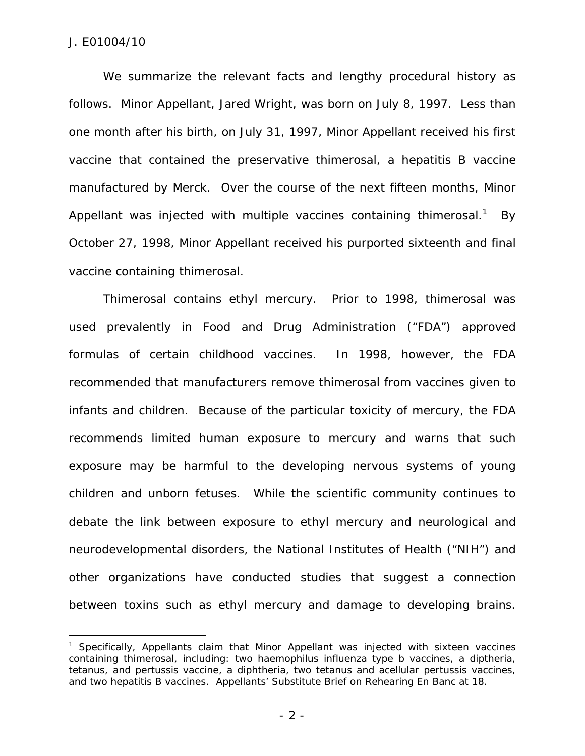-

We summarize the relevant facts and lengthy procedural history as follows. Minor Appellant, Jared Wright, was born on July 8, 1997. Less than one month after his birth, on July 31, 1997, Minor Appellant received his first vaccine that contained the preservative thimerosal, a hepatitis B vaccine manufactured by Merck. Over the course of the next fifteen months, Minor Appellant was injected with multiple vaccines containing thimerosal.<sup>1</sup> By October 27, 1998, Minor Appellant received his purported sixteenth and final vaccine containing thimerosal.

Thimerosal contains ethyl mercury. Prior to 1998, thimerosal was used prevalently in Food and Drug Administration ("FDA") approved formulas of certain childhood vaccines. In 1998, however, the FDA recommended that manufacturers remove thimerosal from vaccines given to infants and children. Because of the particular toxicity of mercury, the FDA recommends limited human exposure to mercury and warns that such exposure may be harmful to the developing nervous systems of young children and unborn fetuses. While the scientific community continues to debate the link between exposure to ethyl mercury and neurological and neurodevelopmental disorders, the National Institutes of Health ("NIH") and other organizations have conducted studies that suggest a connection between toxins such as ethyl mercury and damage to developing brains.

<sup>&</sup>lt;sup>1</sup> Specifically, Appellants claim that Minor Appellant was injected with sixteen vaccines containing thimerosal, including: two haemophilus influenza type b vaccines, a diptheria, tetanus, and pertussis vaccine, a diphtheria, two tetanus and acellular pertussis vaccines, and two hepatitis B vaccines. Appellants' Substitute Brief on Rehearing *En Banc* at 18.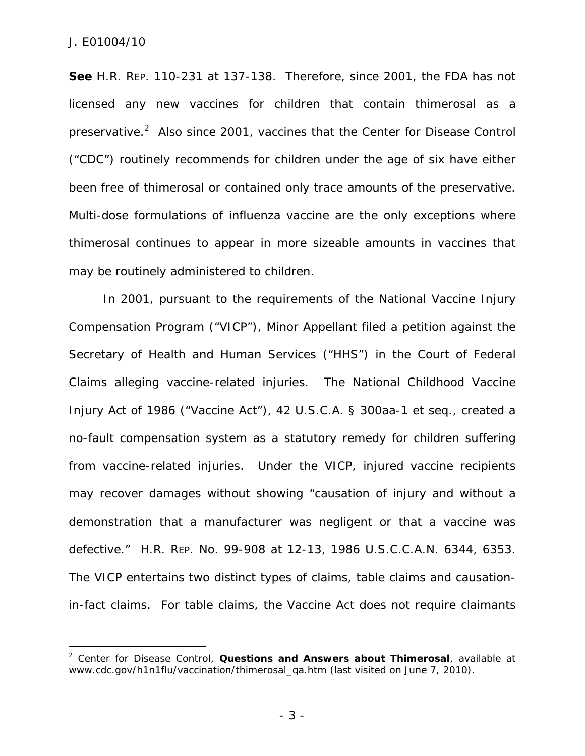$\overline{a}$ 

*See* H.R. REP. 110-231 at 137-138. Therefore, since 2001, the FDA has not licensed any new vaccines for children that contain thimerosal as a preservative.<sup>2</sup> Also since 2001, vaccines that the Center for Disease Control ("CDC") routinely recommends for children under the age of six have either been free of thimerosal or contained only trace amounts of the preservative. Multi-dose formulations of influenza vaccine are the only exceptions where thimerosal continues to appear in more sizeable amounts in vaccines that may be routinely administered to children.

In 2001, pursuant to the requirements of the National Vaccine Injury Compensation Program ("VICP"), Minor Appellant filed a petition against the Secretary of Health and Human Services ("HHS") in the Court of Federal Claims alleging vaccine-related injuries. The National Childhood Vaccine Injury Act of 1986 ("Vaccine Act"), 42 U.S.C.A. § 300aa-1 *et seq.*, created a no-fault compensation system as a statutory remedy for children suffering from vaccine-related injuries. Under the VICP, injured vaccine recipients may recover damages without showing "causation of injury and without a demonstration that a manufacturer was negligent or that a vaccine was defective." H.R. REP. No. 99-908 at 12-13, 1986 U.S.C.C.A.N. 6344, 6353. The VICP entertains two distinct types of claims, table claims and causationin-fact claims. For table claims, the Vaccine Act does not require claimants

<sup>2</sup> Center for Disease Control, *Questions and Answers about Thimerosal*, available at www.cdc.gov/h1n1flu/vaccination/thimerosal\_qa.htm (last visited on June 7, 2010).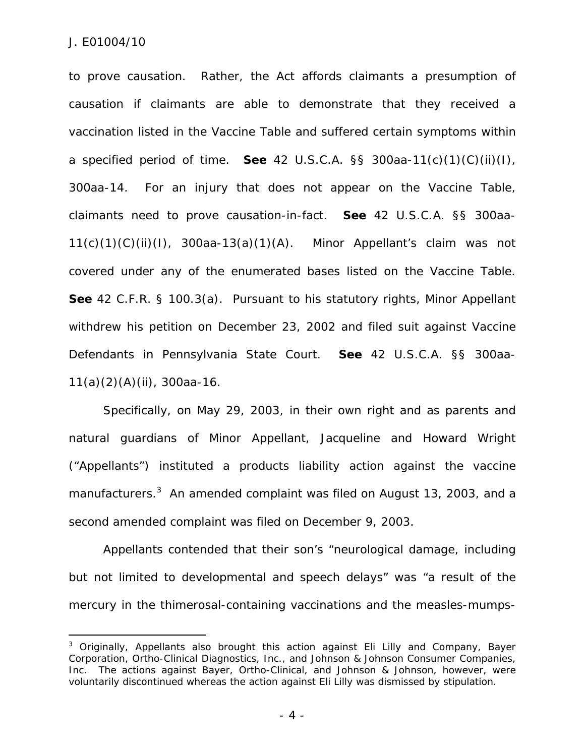$\overline{a}$ 

to prove causation. Rather, the Act affords claimants a presumption of causation if claimants are able to demonstrate that they received a vaccination listed in the Vaccine Table and suffered certain symptoms within a specified period of time. *See* 42 U.S.C.A. §§ 300aa-11(c)(1)(C)(ii)(I), 300aa-14. For an injury that does not appear on the Vaccine Table, claimants need to prove causation-in-fact. *See* 42 U.S.C.A. §§ 300aa-11(c)(1)(C)(ii)(I), 300aa-13(a)(1)(A). Minor Appellant's claim was not covered under any of the enumerated bases listed on the Vaccine Table. **See** 42 C.F.R. § 100.3(a). Pursuant to his statutory rights, Minor Appellant withdrew his petition on December 23, 2002 and filed suit against Vaccine Defendants in Pennsylvania State Court. *See* 42 U.S.C.A. §§ 300aa-11(a)(2)(A)(ii), 300aa-16.

Specifically, on May 29, 2003, in their own right and as parents and natural guardians of Minor Appellant, Jacqueline and Howard Wright ("Appellants") instituted a products liability action against the vaccine manufacturers.<sup>3</sup> An amended complaint was filed on August 13, 2003, and a second amended complaint was filed on December 9, 2003.

Appellants contended that their son's "neurological damage, including but not limited to developmental and speech delays" was "a result of the mercury in the thimerosal-containing vaccinations and the measles-mumps-

<sup>&</sup>lt;sup>3</sup> Originally, Appellants also brought this action against Eli Lilly and Company, Bayer Corporation, Ortho-Clinical Diagnostics, Inc., and Johnson & Johnson Consumer Companies, Inc. The actions against Bayer, Ortho-Clinical, and Johnson & Johnson, however, were voluntarily discontinued whereas the action against Eli Lilly was dismissed by stipulation.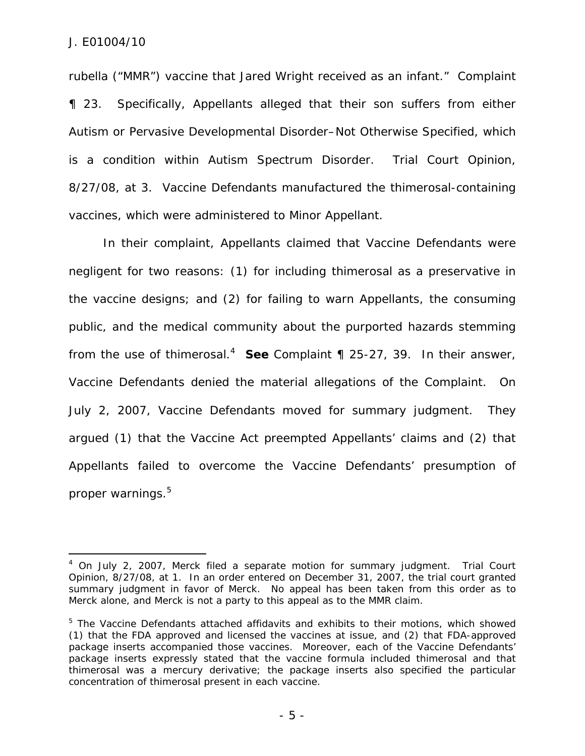$\overline{a}$ 

rubella ("MMR") vaccine that Jared Wright received as an infant." Complaint ¶ 23. Specifically, Appellants alleged that their son suffers from either Autism or Pervasive Developmental Disorder–Not Otherwise Specified, which is a condition within Autism Spectrum Disorder. Trial Court Opinion, 8/27/08, at 3. Vaccine Defendants manufactured the thimerosal-containing vaccines, which were administered to Minor Appellant.

In their complaint, Appellants claimed that Vaccine Defendants were negligent for two reasons: (1) for including thimerosal as a preservative in the vaccine designs; and (2) for failing to warn Appellants, the consuming public, and the medical community about the purported hazards stemming from the use of thimerosal.<sup>4</sup> See Complaint ¶ 25-27, 39. In their answer, Vaccine Defendants denied the material allegations of the Complaint. On July 2, 2007, Vaccine Defendants moved for summary judgment. They argued (1) that the Vaccine Act preempted Appellants' claims and (2) that Appellants failed to overcome the Vaccine Defendants' presumption of proper warnings.<sup>5</sup>

<sup>&</sup>lt;sup>4</sup> On July 2, 2007, Merck filed a separate motion for summary judgment. Trial Court Opinion, 8/27/08, at 1. In an order entered on December 31, 2007, the trial court granted summary judgment in favor of Merck. No appeal has been taken from this order as to Merck alone, and Merck is not a party to this appeal as to the MMR claim.

<sup>&</sup>lt;sup>5</sup> The Vaccine Defendants attached affidavits and exhibits to their motions, which showed (1) that the FDA approved and licensed the vaccines at issue, and (2) that FDA-approved package inserts accompanied those vaccines. Moreover, each of the Vaccine Defendants' package inserts expressly stated that the vaccine formula included thimerosal and that thimerosal was a mercury derivative; the package inserts also specified the particular concentration of thimerosal present in each vaccine.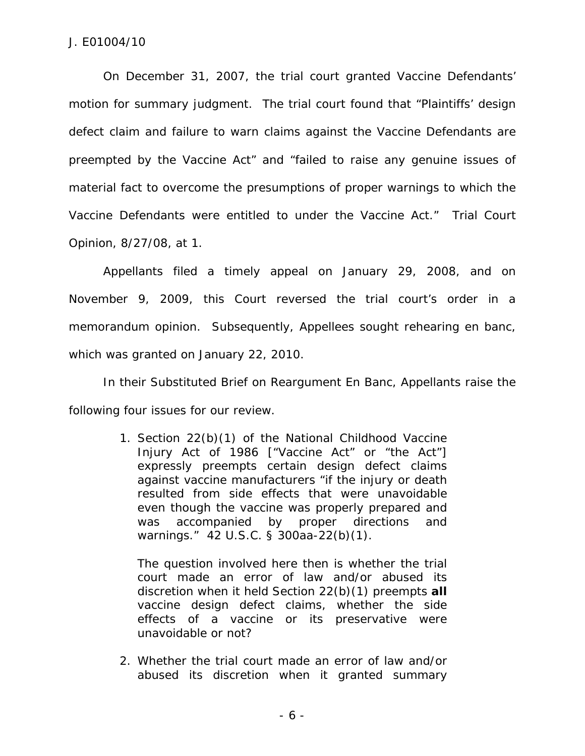On December 31, 2007, the trial court granted Vaccine Defendants' motion for summary judgment. The trial court found that "Plaintiffs' design defect claim and failure to warn claims against the Vaccine Defendants are preempted by the Vaccine Act" and "failed to raise any genuine issues of material fact to overcome the presumptions of proper warnings to which the Vaccine Defendants were entitled to under the Vaccine Act." Trial Court Opinion, 8/27/08, at 1.

Appellants filed a timely appeal on January 29, 2008, and on November 9, 2009, this Court reversed the trial court's order in a memorandum opinion. Subsequently, Appellees sought rehearing *en banc*, which was granted on January 22, 2010.

In their Substituted Brief on Reargument *En Banc*, Appellants raise the following four issues for our review.

> 1. Section 22(b)(1) of the National Childhood Vaccine Injury Act of 1986 ["Vaccine Act" or "the Act"] expressly preempts certain design defect claims against vaccine manufacturers "if the injury or death resulted from side effects that were unavoidable even though the vaccine was properly prepared and was accompanied by proper directions and warnings." 42 U.S.C. § 300aa-22(b)(1).

The question involved here then is whether the trial court made an error of law and/or abused its discretion when it held Section 22(b)(1) preempts *all* vaccine design defect claims, whether the side effects of a vaccine or its preservative were unavoidable or not?

2. Whether the trial court made an error of law and/or abused its discretion when it granted summary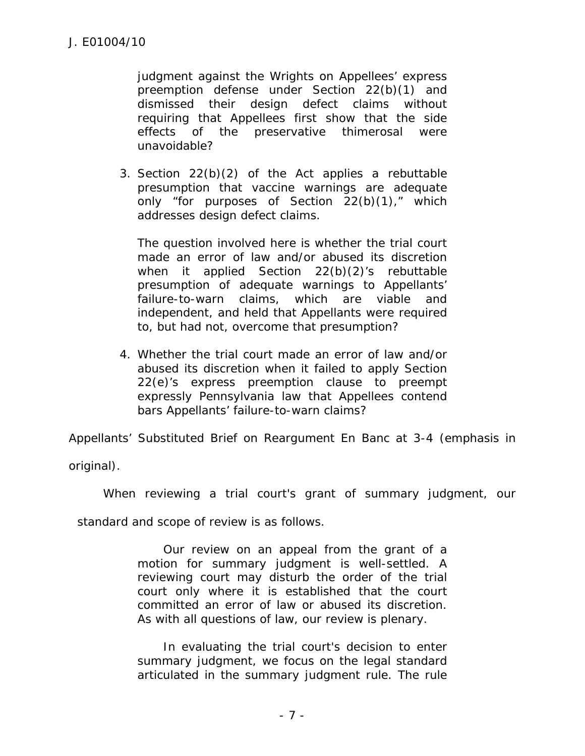judgment against the Wrights on Appellees' express preemption defense under Section 22(b)(1) and dismissed their design defect claims without requiring that Appellees first show that the side effects of the preservative thimerosal were unavoidable?

3. Section 22(b)(2) of the Act applies a rebuttable presumption that vaccine warnings are adequate only "for purposes of Section 22(b)(1)," which addresses design defect claims.

The question involved here is whether the trial court made an error of law and/or abused its discretion when it applied Section 22(b)(2)'s rebuttable presumption of adequate warnings to Appellants' failure-to-warn claims, which are viable and independent, and held that Appellants were required to, but had not, overcome that presumption?

4. Whether the trial court made an error of law and/or abused its discretion when it failed to apply Section 22(e)'s express preemption clause to preempt expressly Pennsylvania law that Appellees contend bars Appellants' failure-to-warn claims?

Appellants' Substituted Brief on Reargument *En Banc* at 3-4 (emphasis in

original).

When reviewing a trial court's grant of summary judgment, our

standard and scope of review is as follows.

Our review on an appeal from the grant of a motion for summary judgment is well-settled. A reviewing court may disturb the order of the trial court only where it is established that the court committed an error of law or abused its discretion. As with all questions of law, our review is plenary.

In evaluating the trial court's decision to enter summary judgment, we focus on the legal standard articulated in the summary judgment rule. The rule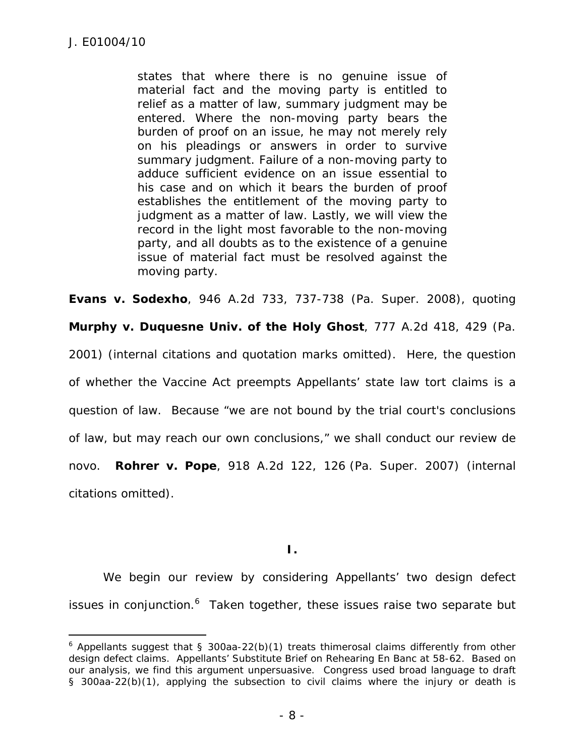-

states that where there is no genuine issue of material fact and the moving party is entitled to relief as a matter of law, summary judgment may be entered. Where the non-moving party bears the burden of proof on an issue, he may not merely rely on his pleadings or answers in order to survive summary judgment. Failure of a non-moving party to adduce sufficient evidence on an issue essential to his case and on which it bears the burden of proof establishes the entitlement of the moving party to judgment as a matter of law. Lastly, we will view the record in the light most favorable to the non-moving party, and all doubts as to the existence of a genuine issue of material fact must be resolved against the moving party.

*Evans v. Sodexho*, 946 A.2d 733, 737-738 (Pa. Super. 2008), *quoting* 

*Murphy v. Duquesne Univ. of the Holy Ghost*, 777 A.2d 418, 429 (Pa.

2001) (internal citations and quotation marks omitted). Here, the question of whether the Vaccine Act preempts Appellants' state law tort claims is a question of law. Because "we are not bound by the trial court's conclusions of law, but may reach our own conclusions," we shall conduct our review *de novo*. *Rohrer v. Pope*, 918 A.2d 122, 126 (Pa. Super. 2007) (internal citations omitted).

# **I.**

We begin our review by considering Appellants' two design defect issues in conjunction.<sup>6</sup> Taken together, these issues raise two separate but

 $6$  Appellants suggest that § 300aa-22(b)(1) treats thimerosal claims differently from other design defect claims. Appellants' Substitute Brief on Rehearing *En Banc* at 58-62. Based on our analysis, we find this argument unpersuasive. Congress used broad language to draft § 300aa-22(b)(1), applying the subsection to civil claims where the injury or death is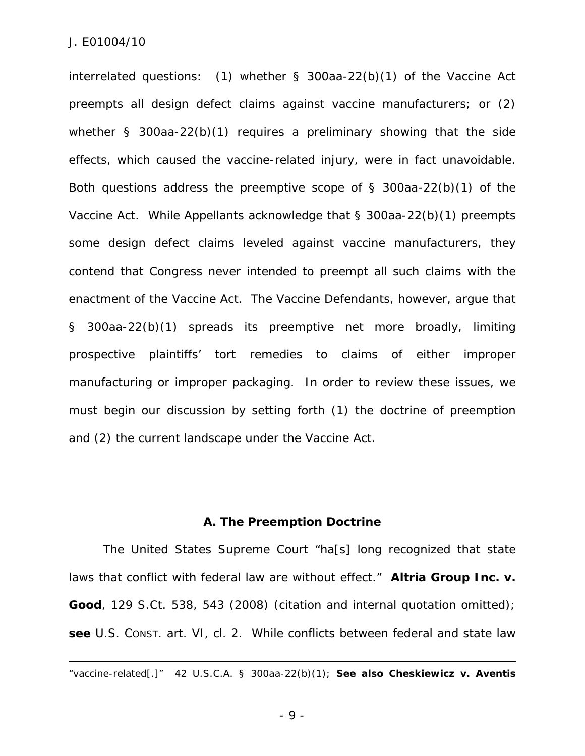$\overline{a}$ 

interrelated questions: (1) whether § 300aa-22(b)(1) of the Vaccine Act preempts all design defect claims against vaccine manufacturers; or (2) whether § 300aa-22(b)(1) requires a preliminary showing that the side effects, which caused the vaccine-related injury, were in fact unavoidable. Both questions address the preemptive scope of § 300aa-22(b)(1) of the Vaccine Act. While Appellants acknowledge that § 300aa-22(b)(1) preempts some design defect claims leveled against vaccine manufacturers, they contend that Congress never intended to preempt all such claims with the enactment of the Vaccine Act. The Vaccine Defendants, however, argue that § 300aa-22(b)(1) spreads its preemptive net more broadly, limiting prospective plaintiffs' tort remedies to claims of either improper manufacturing or improper packaging. In order to review these issues, we must begin our discussion by setting forth (1) the doctrine of preemption and (2) the current landscape under the Vaccine Act.

## **A. The Preemption Doctrine**

 The United States Supreme Court "ha[s] long recognized that state laws that conflict with federal law are without effect." *Altria Group Inc. v. Good*, 129 S.Ct. 538, 543 (2008) (citation and internal quotation omitted); *see* U.S. CONST. art. VI, cl. 2. While conflicts between federal and state law

<sup>&</sup>quot;vaccine-related[.]" 42 U.S.C.A. § 300aa-22(b)(1); *See also Cheskiewicz v. Aventis*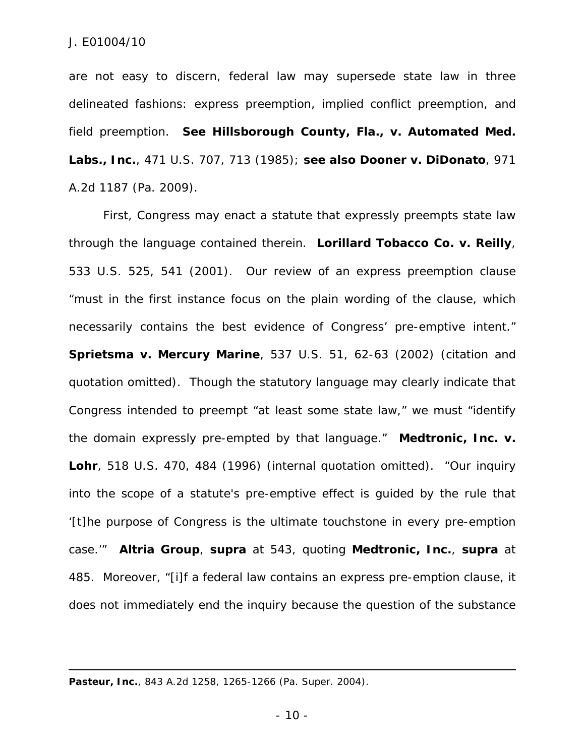are not easy to discern, federal law may supersede state law in three delineated fashions: express preemption, implied conflict preemption, and field preemption. *See Hillsborough County, Fla., v. Automated Med. Labs., Inc.*, 471 U.S. 707, 713 (1985); *see also Dooner v. DiDonato*, 971 A.2d 1187 (Pa. 2009).

 First, Congress may enact a statute that expressly preempts state law through the language contained therein. *Lorillard Tobacco Co. v. Reilly*, 533 U.S. 525, 541 (2001). Our review of an express preemption clause "must in the first instance focus on the plain wording of the clause, which necessarily contains the best evidence of Congress' pre-emptive intent." *Sprietsma v. Mercury Marine*, 537 U.S. 51, 62-63 (2002) (citation and quotation omitted). Though the statutory language may clearly indicate that Congress intended to preempt "at least some state law," we must "identify the domain expressly pre-empted by that language." *Medtronic, Inc. v. Lohr*, 518 U.S. 470, 484 (1996) (internal quotation omitted). "Our inquiry into the scope of a statute's pre-emptive effect is guided by the rule that '[t]he purpose of Congress is the ultimate touchstone in every pre-emption case.'" *Altria Group*, *supra* at 543, *quoting Medtronic, Inc.*, *supra* at 485. Moreover, "[i]f a federal law contains an express pre-emption clause, it does not immediately end the inquiry because the question of the substance

 $\overline{a}$ 

*Pasteur, Inc.*, 843 A.2d 1258, 1265-1266 (Pa. Super. 2004).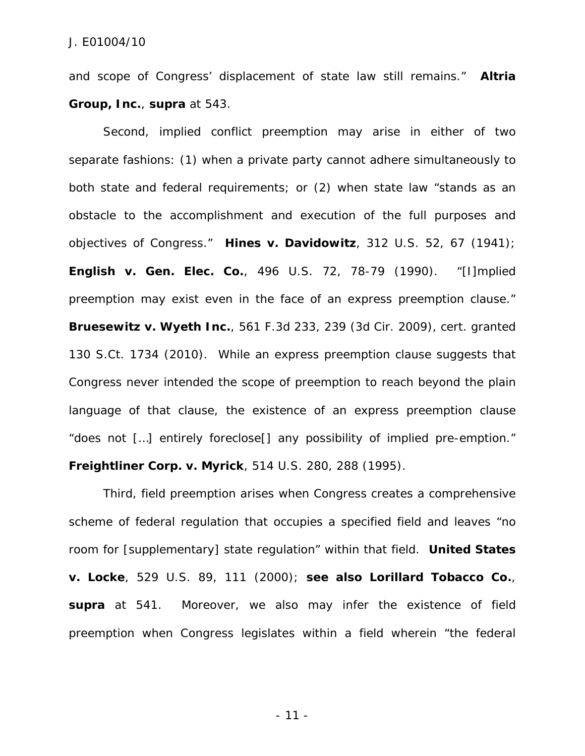and scope of Congress' displacement of state law still remains." *Altria Group, Inc.*, *supra* at 543.

Second, implied conflict preemption may arise in either of two separate fashions: (1) when a private party cannot adhere simultaneously to both state and federal requirements; or (2) when state law "stands as an obstacle to the accomplishment and execution of the full purposes and objectives of Congress." *Hines v. Davidowitz*, 312 U.S. 52, 67 (1941); *English v. Gen. Elec. Co.*, 496 U.S. 72, 78-79 (1990). "[I]mplied preemption may exist even in the face of an express preemption clause." *Bruesewitz v. Wyeth Inc.*, 561 F.3d 233, 239 (3d Cir. 2009), *cert. granted* 130 S.Ct. 1734 (2010). While an express preemption clause suggests that Congress never intended the scope of preemption to reach beyond the plain language of that clause, the existence of an express preemption clause "does not […] entirely foreclose[] any possibility of implied pre-emption." *Freightliner Corp. v. Myrick*, 514 U.S. 280, 288 (1995).

Third, field preemption arises when Congress creates a comprehensive scheme of federal regulation that occupies a specified field and leaves "no room for [supplementary] state regulation" within that field. *United States v. Locke*, 529 U.S. 89, 111 (2000); *see also Lorillard Tobacco Co.*, *supra* at 541. Moreover, we also may infer the existence of field preemption when Congress legislates within a field wherein "the federal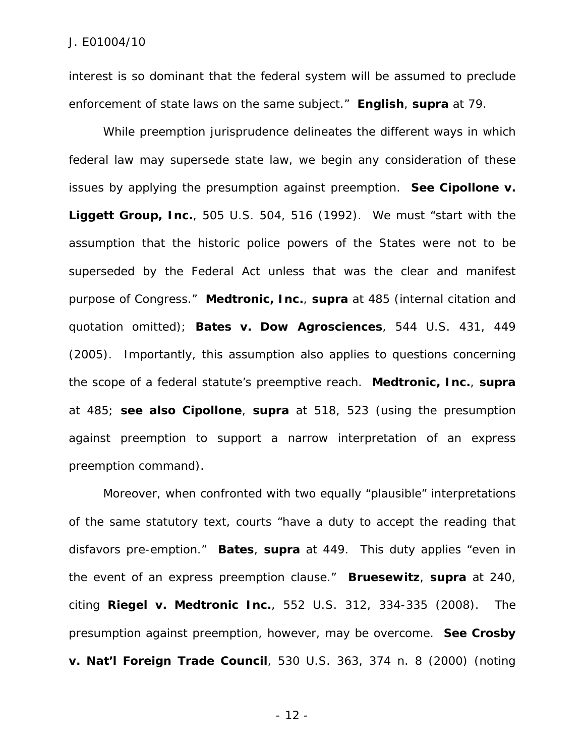interest is so dominant that the federal system will be assumed to preclude enforcement of state laws on the same subject." *English*, *supra* at 79.

While preemption jurisprudence delineates the different ways in which federal law may supersede state law, we begin any consideration of these issues by applying the presumption against preemption. *See Cipollone v. Liggett Group, Inc.*, 505 U.S. 504, 516 (1992). We must "start with the assumption that the historic police powers of the States were not to be superseded by the Federal Act unless that was the clear and manifest purpose of Congress." *Medtronic, Inc.*, *supra* at 485 (internal citation and quotation omitted); *Bates v. Dow Agrosciences*, 544 U.S. 431, 449 (2005). Importantly, this assumption also applies to questions concerning the scope of a federal statute's preemptive reach. *Medtronic, Inc.*, *supra*  at 485; *see also Cipollone*, *supra* at 518, 523 (using the presumption against preemption to support a narrow interpretation of an express preemption command).

Moreover, when confronted with two equally "plausible" interpretations of the same statutory text, courts "have a duty to accept the reading that disfavors pre-emption." *Bates*, *supra* at 449. This duty applies "even in the event of an express preemption clause." *Bruesewitz*, *supra* at 240, *citing Riegel v. Medtronic Inc.*, 552 U.S. 312, 334-335 (2008). The presumption against preemption, however, may be overcome. *See Crosby v. Nat'l Foreign Trade Council*, 530 U.S. 363, 374 n. 8 (2000) (noting

- 12 -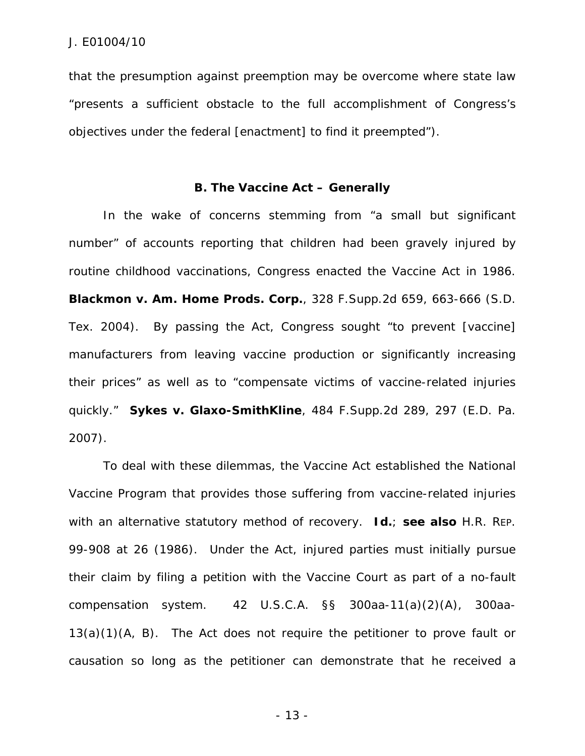that the presumption against preemption may be overcome where state law "presents a sufficient obstacle to the full accomplishment of Congress's objectives under the federal [enactment] to find it preempted").

## **B. The Vaccine Act – Generally**

 In the wake of concerns stemming from "a small but significant number" of accounts reporting that children had been gravely injured by routine childhood vaccinations, Congress enacted the Vaccine Act in 1986. *Blackmon v. Am. Home Prods. Corp.*, 328 F.Supp.2d 659, 663-666 (S.D. Tex. 2004). By passing the Act, Congress sought "to prevent [vaccine] manufacturers from leaving vaccine production or significantly increasing their prices" as well as to "compensate victims of vaccine-related injuries quickly." *Sykes v. Glaxo-SmithKline*, 484 F.Supp.2d 289, 297 (E.D. Pa. 2007).

To deal with these dilemmas, the Vaccine Act established the National Vaccine Program that provides those suffering from vaccine-related injuries with an alternative statutory method of recovery. *Id.*; *see also* H.R. REP. 99-908 at 26 (1986). Under the Act, injured parties must initially pursue their claim by filing a petition with the Vaccine Court as part of a no-fault compensation system. 42 U.S.C.A. §§ 300aa-11(a)(2)(A), 300aa-13(a)(1)(A, B). The Act does not require the petitioner to prove fault or causation so long as the petitioner can demonstrate that he received a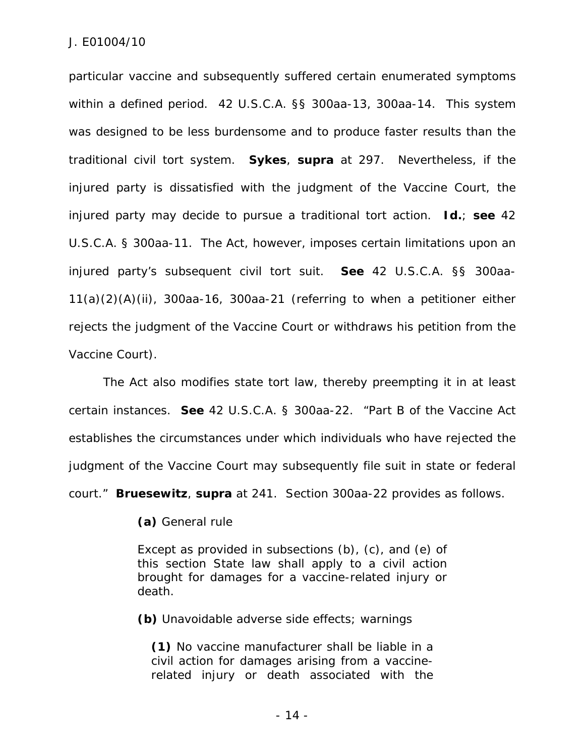particular vaccine and subsequently suffered certain enumerated symptoms within a defined period. 42 U.S.C.A. §§ 300aa-13, 300aa-14. This system was designed to be less burdensome and to produce faster results than the traditional civil tort system. *Sykes*, *supra* at 297. Nevertheless, if the injured party is dissatisfied with the judgment of the Vaccine Court, the injured party may decide to pursue a traditional tort action. *Id.*; *see* 42 U.S.C.A. § 300aa-11. The Act, however, imposes certain limitations upon an injured party's subsequent civil tort suit. *See* 42 U.S.C.A. §§ 300aa-11(a)(2)(A)(ii), 300aa-16, 300aa-21 (referring to when a petitioner either rejects the judgment of the Vaccine Court or withdraws his petition from the Vaccine Court).

The Act also modifies state tort law, thereby preempting it in at least certain instances. *See* 42 U.S.C.A. § 300aa-22. "Part B of the Vaccine Act establishes the circumstances under which individuals who have rejected the judgment of the Vaccine Court may subsequently file suit in state or federal court." *Bruesewitz*, *supra* at 241. Section 300aa-22 provides as follows.

**(a)** General rule

Except as provided in subsections (b), (c), and (e) of this section State law shall apply to a civil action brought for damages for a vaccine-related injury or death.

**(b)** Unavoidable adverse side effects; warnings

**(1)** No vaccine manufacturer shall be liable in a civil action for damages arising from a vaccinerelated injury or death associated with the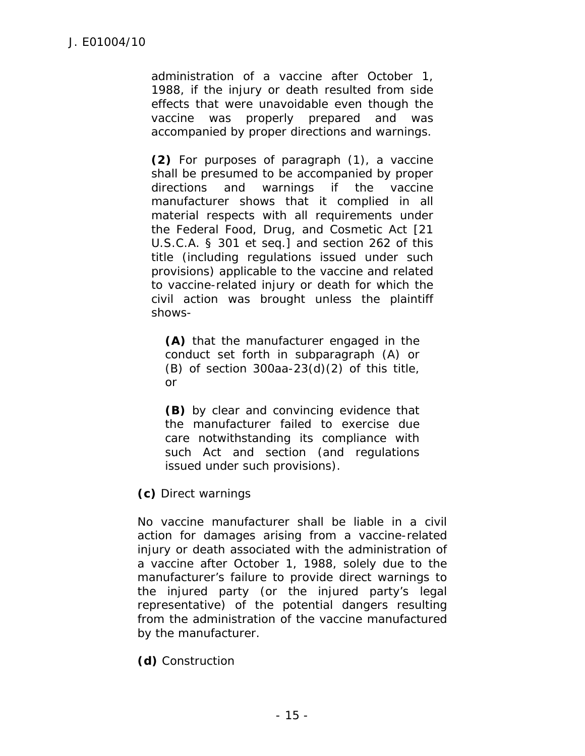administration of a vaccine after October 1, 1988, if the injury or death resulted from side effects that were unavoidable even though the vaccine was properly prepared and was accompanied by proper directions and warnings.

**(2)** For purposes of paragraph (1), a vaccine shall be presumed to be accompanied by proper directions and warnings if the vaccine manufacturer shows that it complied in all material respects with all requirements under the Federal Food, Drug, and Cosmetic Act [21 U.S.C.A. § 301 *et seq.*] and section 262 of this title (including regulations issued under such provisions) applicable to the vaccine and related to vaccine-related injury or death for which the civil action was brought unless the plaintiff shows-

**(A)** that the manufacturer engaged in the conduct set forth in subparagraph (A) or  $(B)$  of section 300aa-23 $(d)(2)$  of this title, or

**(B)** by clear and convincing evidence that the manufacturer failed to exercise due care notwithstanding its compliance with such Act and section (and regulations issued under such provisions).

**(c)** Direct warnings

No vaccine manufacturer shall be liable in a civil action for damages arising from a vaccine-related injury or death associated with the administration of a vaccine after October 1, 1988, solely due to the manufacturer's failure to provide direct warnings to the injured party (or the injured party's legal representative) of the potential dangers resulting from the administration of the vaccine manufactured by the manufacturer.

**(d)** Construction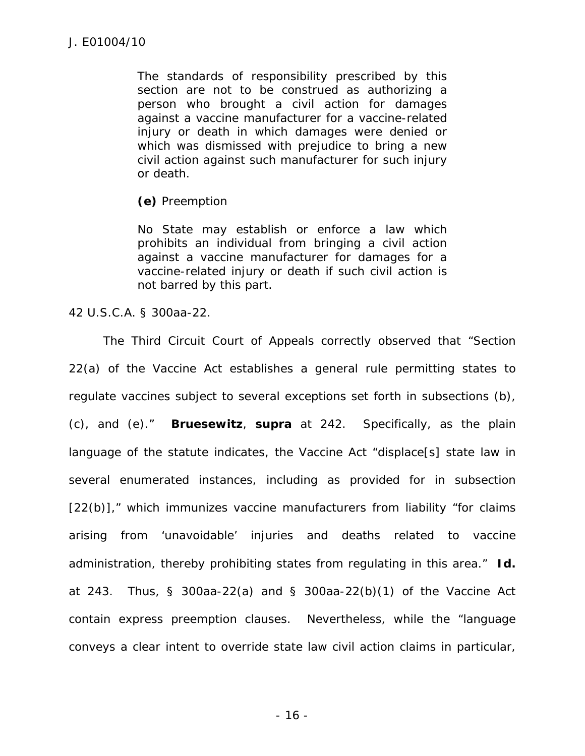The standards of responsibility prescribed by this section are not to be construed as authorizing a person who brought a civil action for damages against a vaccine manufacturer for a vaccine-related injury or death in which damages were denied or which was dismissed with prejudice to bring a new civil action against such manufacturer for such injury or death.

**(e)** Preemption

No State may establish or enforce a law which prohibits an individual from bringing a civil action against a vaccine manufacturer for damages for a vaccine-related injury or death if such civil action is not barred by this part.

42 U.S.C.A. § 300aa-22.

The Third Circuit Court of Appeals correctly observed that "Section 22(a) of the Vaccine Act establishes a general rule permitting states to regulate vaccines subject to several exceptions set forth in subsections (b), (c), and (e)." *Bruesewitz*, *supra* at 242. Specifically, as the plain language of the statute indicates, the Vaccine Act "displace[s] state law in several enumerated instances, including as provided for in subsection [22(b)]," which immunizes vaccine manufacturers from liability "for claims arising from 'unavoidable' injuries and deaths related to vaccine administration, thereby prohibiting states from regulating in this area." *Id.* at 243. Thus, § 300aa-22(a) and § 300aa-22(b)(1) of the Vaccine Act contain express preemption clauses. Nevertheless, while the "language conveys a clear intent to override state law civil action claims in particular,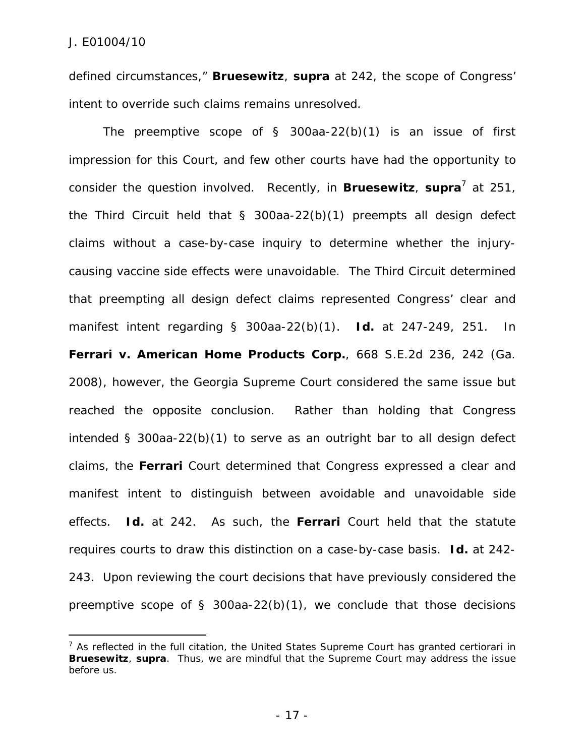$\overline{a}$ 

defined circumstances," *Bruesewitz*, *supra* at 242, the scope of Congress' intent to override such claims remains unresolved.

The preemptive scope of § 300aa-22(b)(1) is an issue of first impression for this Court, and few other courts have had the opportunity to consider the question involved. Recently, in *Bruesewitz*, *supra*<sup>7</sup> at 251, the Third Circuit held that § 300aa-22(b)(1) preempts all design defect claims without a case-by-case inquiry to determine whether the injurycausing vaccine side effects were unavoidable. The Third Circuit determined that preempting all design defect claims represented Congress' clear and manifest intent regarding § 300aa-22(b)(1). *Id.* at 247-249, 251. In *Ferrari v. American Home Products Corp.*, 668 S.E.2d 236, 242 (Ga. 2008), however, the Georgia Supreme Court considered the same issue but reached the opposite conclusion. Rather than holding that Congress intended § 300aa-22(b)(1) to serve as an outright bar to all design defect claims, the *Ferrari* Court determined that Congress expressed a clear and manifest intent to distinguish between avoidable and unavoidable side effects. *Id.* at 242. As such, the *Ferrari* Court held that the statute requires courts to draw this distinction on a case-by-case basis. *Id.* at 242- 243. Upon reviewing the court decisions that have previously considered the preemptive scope of  $\S$  300aa-22(b)(1), we conclude that those decisions

<sup>&</sup>lt;sup>7</sup> As reflected in the full citation, the United States Supreme Court has granted certiorari in *Bruesewitz*, *supra*. Thus, we are mindful that the Supreme Court may address the issue before us.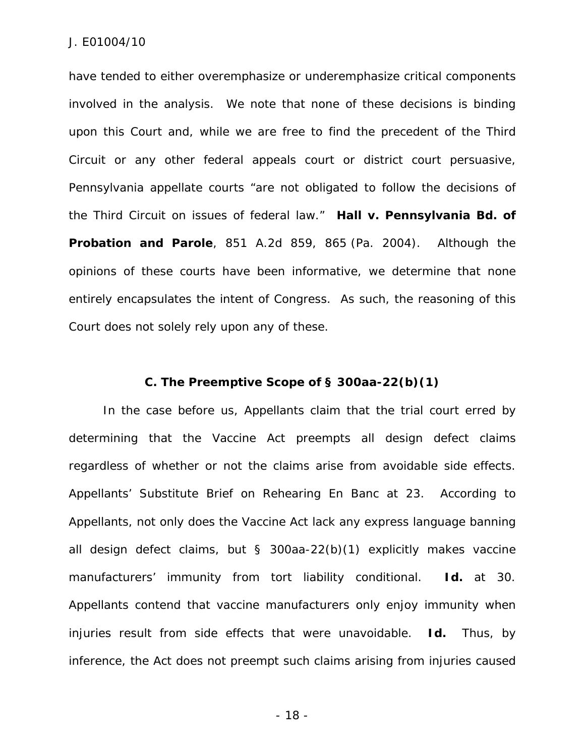have tended to either overemphasize or underemphasize critical components involved in the analysis. We note that none of these decisions is binding upon this Court and, while we are free to find the precedent of the Third Circuit or any other federal appeals court or district court persuasive, Pennsylvania appellate courts "are not obligated to follow the decisions of the Third Circuit on issues of federal law." *Hall v. Pennsylvania Bd. of Probation and Parole*, 851 A.2d 859, 865 (Pa. 2004). Although the opinions of these courts have been informative, we determine that none entirely encapsulates the intent of Congress. As such, the reasoning of this Court does not solely rely upon any of these.

#### **C. The Preemptive Scope of § 300aa-22(b)(1)**

 In the case before us, Appellants claim that the trial court erred by determining that the Vaccine Act preempts all design defect claims regardless of whether or not the claims arise from avoidable side effects. Appellants' Substitute Brief on Rehearing *En Banc* at 23. According to Appellants, not only does the Vaccine Act lack any express language banning all design defect claims, but § 300aa-22(b)(1) explicitly makes vaccine manufacturers' immunity from tort liability conditional. *Id.* at 30. Appellants contend that vaccine manufacturers only enjoy immunity when injuries result from side effects that were unavoidable. *Id.* Thus, by inference, the Act does not preempt such claims arising from injuries caused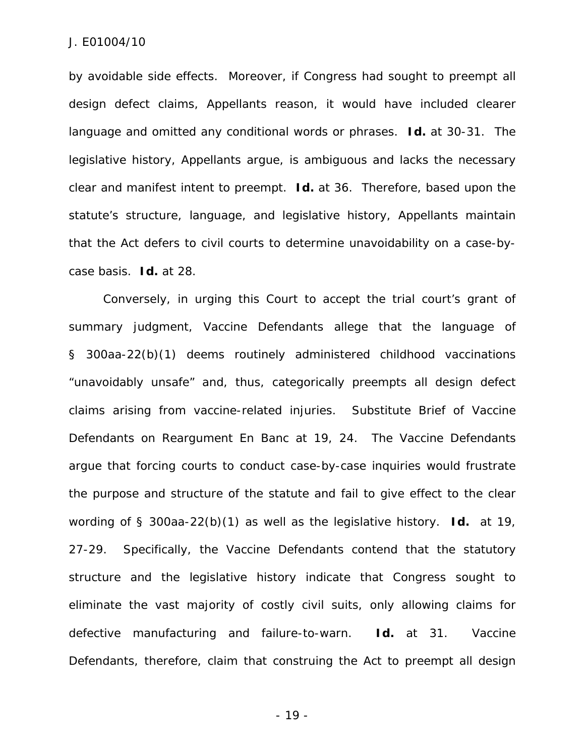by avoidable side effects. Moreover, if Congress had sought to preempt all design defect claims, Appellants reason, it would have included clearer language and omitted any conditional words or phrases. *Id.* at 30-31. The legislative history, Appellants argue, is ambiguous and lacks the necessary clear and manifest intent to preempt. *Id.* at 36. Therefore, based upon the statute's structure, language, and legislative history, Appellants maintain that the Act defers to civil courts to determine unavoidability on a case-bycase basis. *Id.* at 28.

 Conversely, in urging this Court to accept the trial court's grant of summary judgment, Vaccine Defendants allege that the language of § 300aa-22(b)(1) deems routinely administered childhood vaccinations "unavoidably unsafe" and, thus, categorically preempts all design defect claims arising from vaccine-related injuries. Substitute Brief of Vaccine Defendants on Reargument *En Banc* at 19, 24. The Vaccine Defendants argue that forcing courts to conduct case-by-case inquiries would frustrate the purpose and structure of the statute and fail to give effect to the clear wording of § 300aa-22(b)(1) as well as the legislative history. *Id.* at 19, 27-29. Specifically, the Vaccine Defendants contend that the statutory structure and the legislative history indicate that Congress sought to eliminate the vast majority of costly civil suits, only allowing claims for defective manufacturing and failure-to-warn. *Id.* at 31. Vaccine Defendants, therefore, claim that construing the Act to preempt all design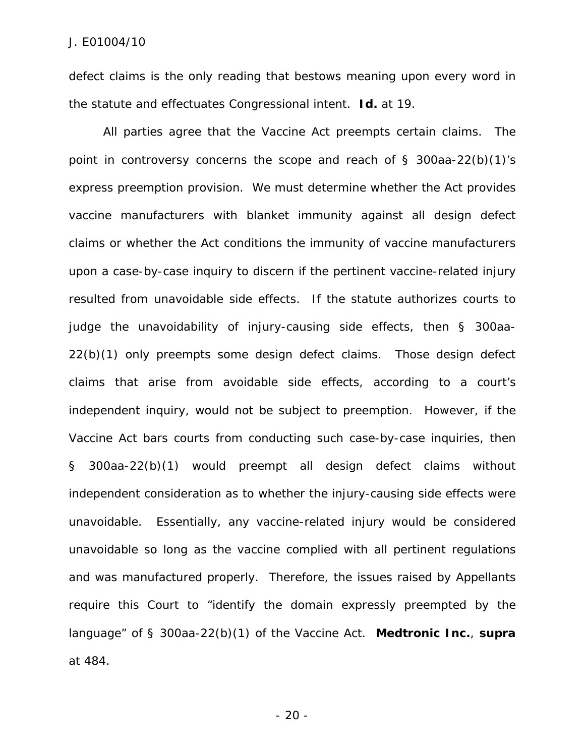defect claims is the only reading that bestows meaning upon every word in the statute and effectuates Congressional intent. *Id.* at 19.

All parties agree that the Vaccine Act preempts certain claims. The point in controversy concerns the scope and reach of § 300aa-22(b)(1)'s express preemption provision. We must determine whether the Act provides vaccine manufacturers with blanket immunity against all design defect claims or whether the Act conditions the immunity of vaccine manufacturers upon a case-by-case inquiry to discern if the pertinent vaccine-related injury resulted from unavoidable side effects. If the statute authorizes courts to judge the unavoidability of injury-causing side effects, then § 300aa-22(b)(1) only preempts some design defect claims. Those design defect claims that arise from avoidable side effects, according to a court's independent inquiry, would not be subject to preemption. However, if the Vaccine Act bars courts from conducting such case-by-case inquiries, then § 300aa-22(b)(1) would preempt all design defect claims without independent consideration as to whether the injury-causing side effects were unavoidable. Essentially, any vaccine-related injury would be considered unavoidable so long as the vaccine complied with all pertinent regulations and was manufactured properly. Therefore, the issues raised by Appellants require this Court to "identify the domain expressly preempted by the language" of § 300aa-22(b)(1) of the Vaccine Act. *Medtronic Inc.*, *supra* at 484.

- 20 -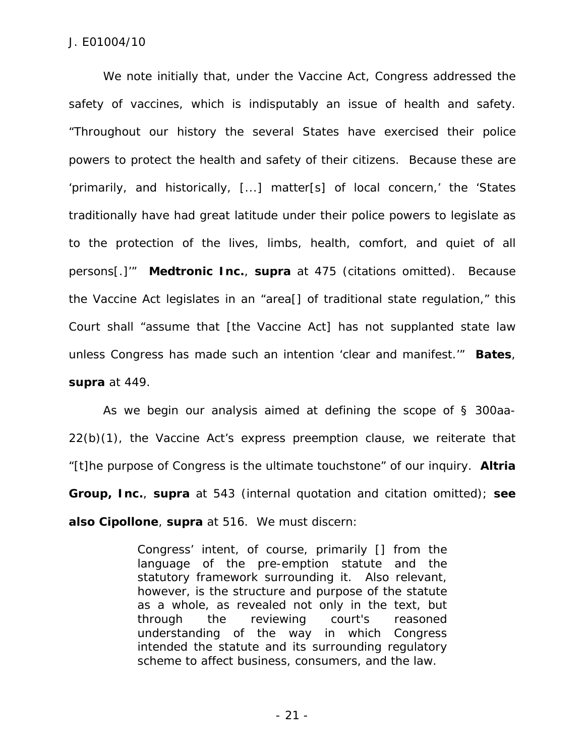We note initially that, under the Vaccine Act, Congress addressed the safety of vaccines, which is indisputably an issue of health and safety. "Throughout our history the several States have exercised their police powers to protect the health and safety of their citizens. Because these are 'primarily, and historically, [...] matter[s] of local concern,' the 'States traditionally have had great latitude under their police powers to legislate as to the protection of the lives, limbs, health, comfort, and quiet of all persons[.]'" *Medtronic Inc.*, *supra* at 475 (citations omitted). Because the Vaccine Act legislates in an "area[] of traditional state regulation," this Court shall "assume that [the Vaccine Act] has not supplanted state law unless Congress has made such an intention 'clear and manifest.'" *Bates*, *supra* at 449.

 As we begin our analysis aimed at defining the scope of § 300aa-22(b)(1), the Vaccine Act's express preemption clause, we reiterate that "[t]he purpose of Congress is the ultimate touchstone" of our inquiry. *Altria Group, Inc.*, *supra* at 543 (internal quotation and citation omitted); *see also Cipollone*, *supra* at 516. We must discern:

> Congress' intent, of course, primarily [] from the language of the pre-emption statute and the statutory framework surrounding it. Also relevant, however, is the structure and purpose of the statute as a whole, as revealed not only in the text, but through the reviewing court's reasoned understanding of the way in which Congress intended the statute and its surrounding regulatory scheme to affect business, consumers, and the law.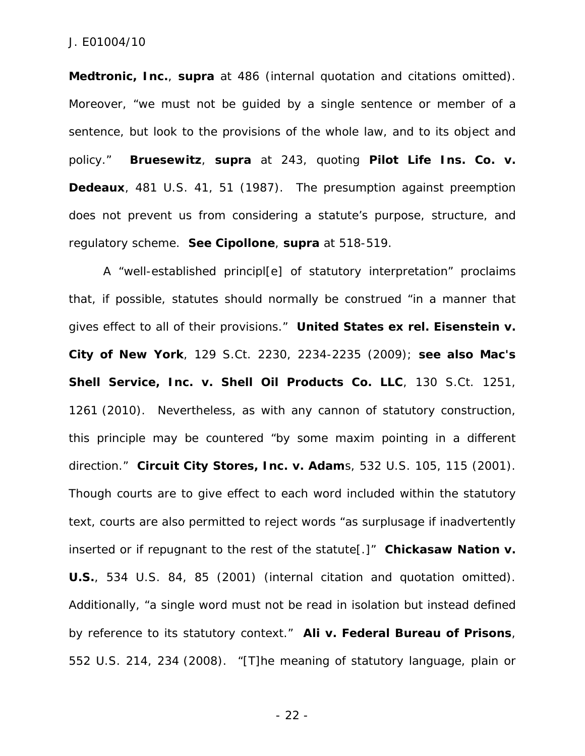*Medtronic, Inc.*, *supra* at 486 (internal quotation and citations omitted). Moreover, "we must not be guided by a single sentence or member of a sentence, but look to the provisions of the whole law, and to its object and policy." *Bruesewitz*, *supra* at 243, *quoting Pilot Life Ins. Co. v. Dedeaux*, 481 U.S. 41, 51 (1987). The presumption against preemption does not prevent us from considering a statute's purpose, structure, and regulatory scheme. *See Cipollone*, *supra* at 518-519.

A "well-established principl[e] of statutory interpretation" proclaims that, if possible, statutes should normally be construed "in a manner that gives effect to all of their provisions." *United States ex rel. Eisenstein v. City of New York,* 129 S.Ct. 2230, 2234-2235 (2009); *see also Mac's Shell Service, Inc. v. Shell Oil Products Co. LLC*, 130 S.Ct. 1251, 1261 (2010). Nevertheless, as with any cannon of statutory construction, this principle may be countered "by some maxim pointing in a different direction." *Circuit City Stores, Inc. v. Adams*, 532 U.S. 105, 115 (2001). Though courts are to give effect to each word included within the statutory text, courts are also permitted to reject words "as surplusage if inadvertently inserted or if repugnant to the rest of the statute[.]" *Chickasaw Nation v. U.S.*, 534 U.S. 84, 85 (2001) (internal citation and quotation omitted). Additionally, "a single word must not be read in isolation but instead defined by reference to its statutory context." *Ali v. Federal Bureau of Prisons*, 552 U.S. 214, 234 (2008). "[T]he meaning of statutory language, plain or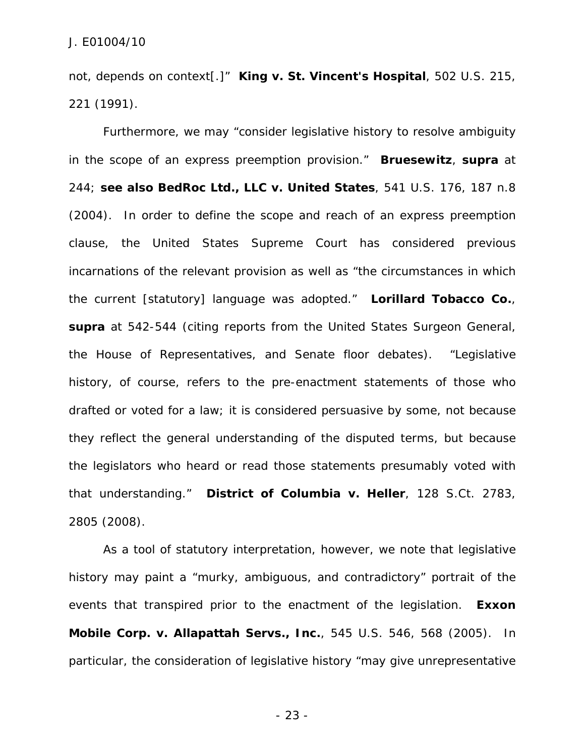not, depends on context[.]" *King v. St. Vincent's Hospital,* 502 U.S. 215, 221 (1991).

 Furthermore, we may "consider legislative history to resolve ambiguity in the scope of an express preemption provision." *Bruesewitz*, *supra* at 244; *see also BedRoc Ltd., LLC v. United States*, 541 U.S. 176, 187 n.8 (2004). In order to define the scope and reach of an express preemption clause, the United States Supreme Court has considered previous incarnations of the relevant provision as well as "the circumstances in which the current [statutory] language was adopted." *Lorillard Tobacco Co.*, *supra* at 542-544 (citing reports from the United States Surgeon General, the House of Representatives, and Senate floor debates). "Legislative history, of course, refers to the pre-enactment statements of those who drafted or voted for a law; it is considered persuasive by some, not because they reflect the general understanding of the disputed terms, but because the legislators who heard or read those statements presumably voted with that understanding." *District of Columbia v. Heller*, 128 S.Ct. 2783, 2805 (2008).

As a tool of statutory interpretation, however, we note that legislative history may paint a "murky, ambiguous, and contradictory" portrait of the events that transpired prior to the enactment of the legislation. *Exxon Mobile Corp. v. Allapattah Servs., Inc.*, 545 U.S. 546, 568 (2005). In particular, the consideration of legislative history "may give unrepresentative

- 23 -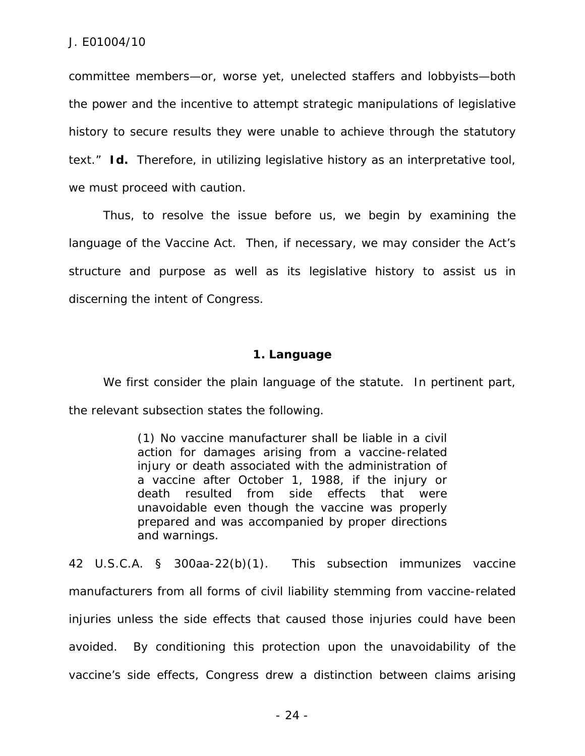committee members—or, worse yet, unelected staffers and lobbyists—both the power and the incentive to attempt strategic manipulations of legislative history to secure results they were unable to achieve through the statutory text." *Id.* Therefore, in utilizing legislative history as an interpretative tool, we must proceed with caution.

 Thus, to resolve the issue before us, we begin by examining the language of the Vaccine Act. Then, if necessary, we may consider the Act's structure and purpose as well as its legislative history to assist us in discerning the intent of Congress.

# **1. Language**

We first consider the plain language of the statute. In pertinent part, the relevant subsection states the following.

> (1) No vaccine manufacturer shall be liable in a civil action for damages arising from a vaccine-related injury or death associated with the administration of a vaccine after October 1, 1988, if the injury or death resulted from side effects that were unavoidable even though the vaccine was properly prepared and was accompanied by proper directions and warnings.

42 U.S.C.A. § 300aa-22(b)(1). This subsection immunizes vaccine manufacturers from all forms of civil liability stemming from vaccine-related injuries unless the side effects that caused those injuries could have been avoided. By conditioning this protection upon the unavoidability of the vaccine's side effects, Congress drew a distinction between claims arising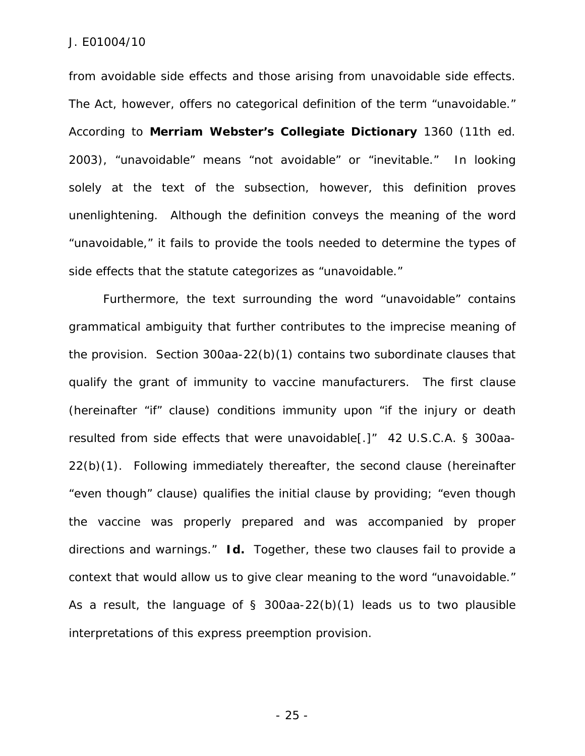from avoidable side effects and those arising from unavoidable side effects. The Act, however, offers no categorical definition of the term "unavoidable." According to *Merriam Webster's Collegiate Dictionary* 1360 (11th ed. 2003), "unavoidable" means "not avoidable" or "inevitable." In looking solely at the text of the subsection, however, this definition proves unenlightening. Although the definition conveys the meaning of the word "unavoidable," it fails to provide the tools needed to determine the types of side effects that the statute categorizes as "unavoidable."

Furthermore, the text surrounding the word "unavoidable" contains grammatical ambiguity that further contributes to the imprecise meaning of the provision. Section 300aa-22(b)(1) contains two subordinate clauses that qualify the grant of immunity to vaccine manufacturers. The first clause (hereinafter "if" clause) conditions immunity upon "if the injury or death resulted from side effects that were unavoidable[.]" 42 U.S.C.A. § 300aa-22(b)(1). Following immediately thereafter, the second clause (hereinafter "even though" clause) qualifies the initial clause by providing; "even though the vaccine was properly prepared and was accompanied by proper directions and warnings." *Id.* Together, these two clauses fail to provide a context that would allow us to give clear meaning to the word "unavoidable." As a result, the language of § 300aa-22(b)(1) leads us to two plausible interpretations of this express preemption provision.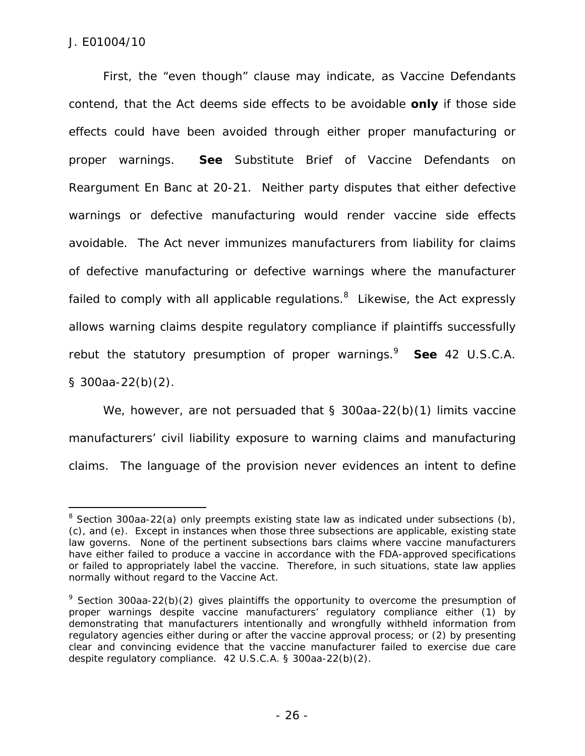$\overline{a}$ 

First, the "even though" clause may indicate, as Vaccine Defendants contend, that the Act deems side effects to be avoidable **only** if those side effects could have been avoided through either proper manufacturing or proper warnings. *See* Substitute Brief of Vaccine Defendants on Reargument *En Banc* at 20-21. Neither party disputes that either defective warnings or defective manufacturing would render vaccine side effects avoidable. The Act never immunizes manufacturers from liability for claims of defective manufacturing or defective warnings where the manufacturer failed to comply with all applicable regulations.<sup>8</sup> Likewise, the Act expressly allows warning claims despite regulatory compliance if plaintiffs successfully rebut the statutory presumption of proper warnings.<sup>9</sup> See 42 U.S.C.A. § 300aa-22(b)(2).

We, however, are not persuaded that § 300aa-22(b)(1) limits vaccine manufacturers' civil liability exposure to warning claims and manufacturing claims. The language of the provision never evidences an intent to define

<sup>&</sup>lt;sup>8</sup> Section 300aa-22(a) only preempts existing state law as indicated under subsections (b), (c), and (e). Except in instances when those three subsections are applicable, existing state law governs. None of the pertinent subsections bars claims where vaccine manufacturers have either failed to produce a vaccine in accordance with the FDA-approved specifications or failed to appropriately label the vaccine. Therefore, in such situations, state law applies normally without regard to the Vaccine Act.

<sup>&</sup>lt;sup>9</sup> Section 300aa-22(b)(2) gives plaintiffs the opportunity to overcome the presumption of proper warnings despite vaccine manufacturers' regulatory compliance either (1) by demonstrating that manufacturers intentionally and wrongfully withheld information from regulatory agencies either during or after the vaccine approval process; or (2) by presenting clear and convincing evidence that the vaccine manufacturer failed to exercise due care despite regulatory compliance. 42 U.S.C.A. § 300aa-22(b)(2).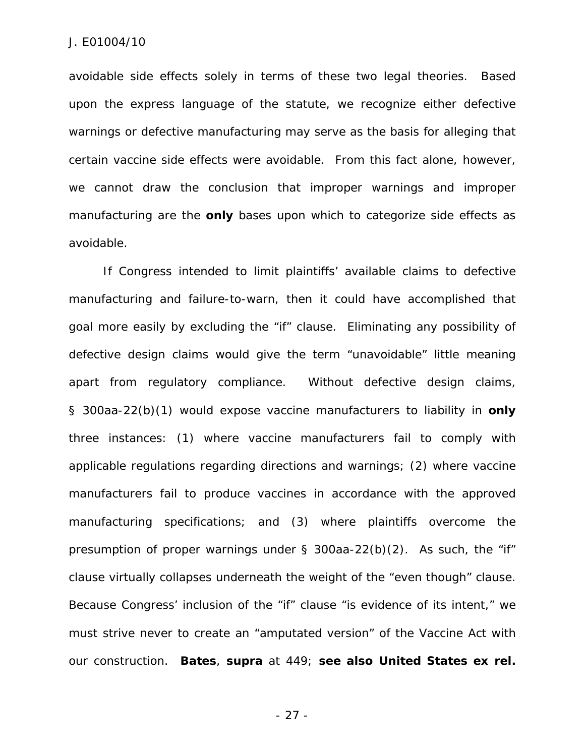avoidable side effects solely in terms of these two legal theories. Based upon the express language of the statute, we recognize either defective warnings or defective manufacturing may serve as the basis for alleging that certain vaccine side effects were avoidable. From this fact alone, however, we cannot draw the conclusion that improper warnings and improper manufacturing are the **only** bases upon which to categorize side effects as avoidable.

If Congress intended to limit plaintiffs' available claims to defective manufacturing and failure-to-warn, then it could have accomplished that goal more easily by excluding the "if" clause. Eliminating any possibility of defective design claims would give the term "unavoidable" little meaning apart from regulatory compliance. Without defective design claims, § 300aa-22(b)(1) would expose vaccine manufacturers to liability in **only** three instances: (1) where vaccine manufacturers fail to comply with applicable regulations regarding directions and warnings; (2) where vaccine manufacturers fail to produce vaccines in accordance with the approved manufacturing specifications; and (3) where plaintiffs overcome the presumption of proper warnings under § 300aa-22(b)(2). As such, the "if" clause virtually collapses underneath the weight of the "even though" clause. Because Congress' inclusion of the "if" clause "is evidence of its intent," we must strive never to create an "amputated version" of the Vaccine Act with our construction. *Bates*, *supra* at 449; *see also United States ex rel.* 

- 27 -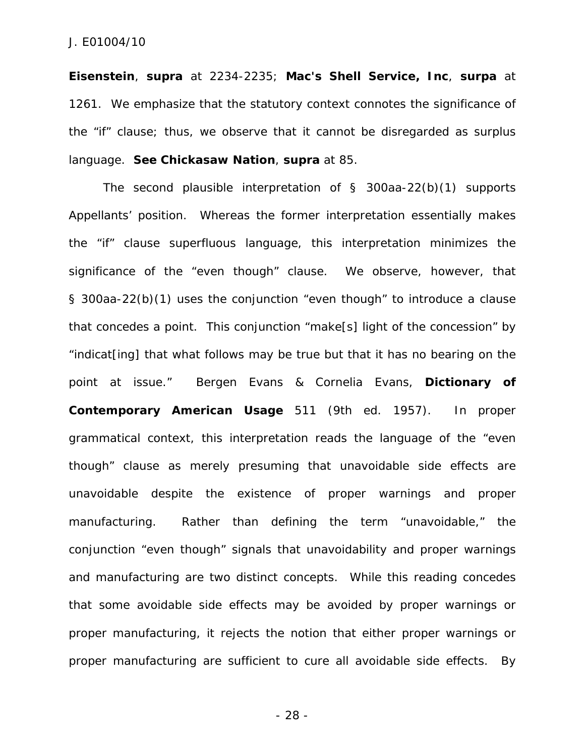*Eisenstein, supra* at 2234-2235; *Mac's Shell Service, Inc*, *surpa* at 1261. We emphasize that the statutory context connotes the significance of the "if" clause; thus, we observe that it cannot be disregarded as surplus language. *See Chickasaw Nation*, *supra* at 85.

The second plausible interpretation of § 300aa-22(b)(1) supports Appellants' position. Whereas the former interpretation essentially makes the "if" clause superfluous language, this interpretation minimizes the significance of the "even though" clause. We observe, however, that § 300aa-22(b)(1) uses the conjunction "even though" to introduce a clause that concedes a point. This conjunction "make[s] light of the concession" by "indicat[ing] that what follows may be true but that it has no bearing on the point at issue." Bergen Evans & Cornelia Evans, *Dictionary of Contemporary American Usage* 511 (9th ed. 1957). In proper grammatical context, this interpretation reads the language of the "even though" clause as merely presuming that unavoidable side effects are unavoidable despite the existence of proper warnings and proper manufacturing. Rather than defining the term "unavoidable," the conjunction "even though" signals that unavoidability and proper warnings and manufacturing are two distinct concepts. While this reading concedes that some avoidable side effects may be avoided by proper warnings or proper manufacturing, it rejects the notion that either proper warnings or proper manufacturing are sufficient to cure all avoidable side effects. By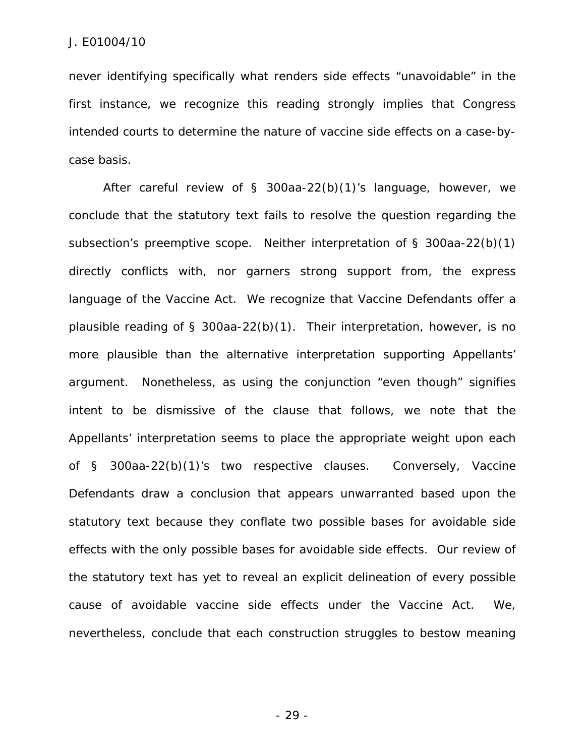never identifying specifically what renders side effects "unavoidable" in the first instance, we recognize this reading strongly implies that Congress intended courts to determine the nature of vaccine side effects on a case-bycase basis.

After careful review of § 300aa-22(b)(1)'s language, however, we conclude that the statutory text fails to resolve the question regarding the subsection's preemptive scope. Neither interpretation of § 300aa-22(b)(1) directly conflicts with, nor garners strong support from, the express language of the Vaccine Act. We recognize that Vaccine Defendants offer a plausible reading of § 300aa-22(b)(1). Their interpretation, however, is no more plausible than the alternative interpretation supporting Appellants' argument. Nonetheless, as using the conjunction "even though" signifies intent to be dismissive of the clause that follows, we note that the Appellants' interpretation seems to place the appropriate weight upon each of § 300aa-22(b)(1)'s two respective clauses. Conversely, Vaccine Defendants draw a conclusion that appears unwarranted based upon the statutory text because they conflate two possible bases for avoidable side effects with the only possible bases for avoidable side effects. Our review of the statutory text has yet to reveal an explicit delineation of every possible cause of avoidable vaccine side effects under the Vaccine Act. We, nevertheless, conclude that each construction struggles to bestow meaning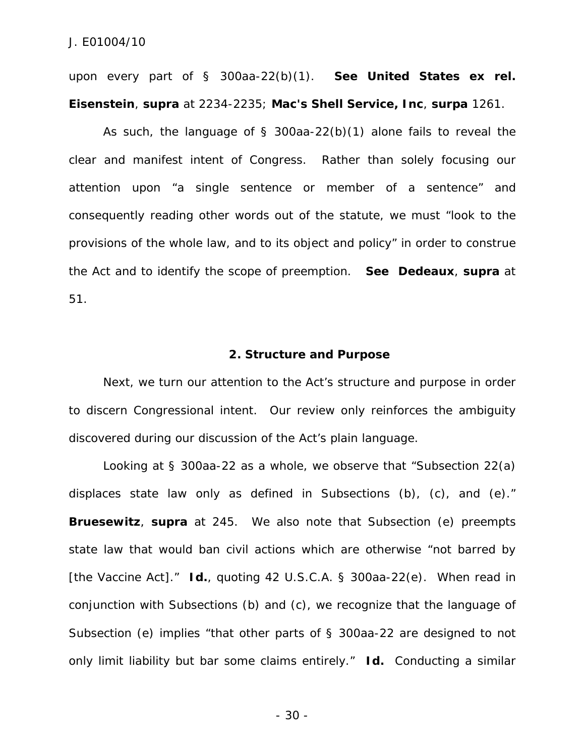upon every part of § 300aa-22(b)(1). *See United States ex rel. Eisenstein, supra* at 2234-2235; *Mac's Shell Service, Inc*, *surpa* 1261.

As such, the language of § 300aa-22(b)(1) alone fails to reveal the clear and manifest intent of Congress. Rather than solely focusing our attention upon "a single sentence or member of a sentence" and consequently reading other words out of the statute, we must "look to the provisions of the whole law, and to its object and policy" in order to construe the Act and to identify the scope of preemption. *See Dedeaux*, *supra* at 51.

#### **2. Structure and Purpose**

Next, we turn our attention to the Act's structure and purpose in order to discern Congressional intent. Our review only reinforces the ambiguity discovered during our discussion of the Act's plain language.

Looking at § 300aa-22 as a whole, we observe that "Subsection 22(a) displaces state law only as defined in Subsections (b), (c), and (e)." *Bruesewitz*, *supra* at 245. We also note that Subsection (e) preempts state law that would ban civil actions which are otherwise "not barred by [the Vaccine Act]." *Id.*, *quoting* 42 U.S.C.A. § 300aa-22(e). When read in conjunction with Subsections (b) and (c), we recognize that the language of Subsection (e) implies "that other parts of § 300aa-22 are designed to not only limit liability but bar some claims entirely." *Id.* Conducting a similar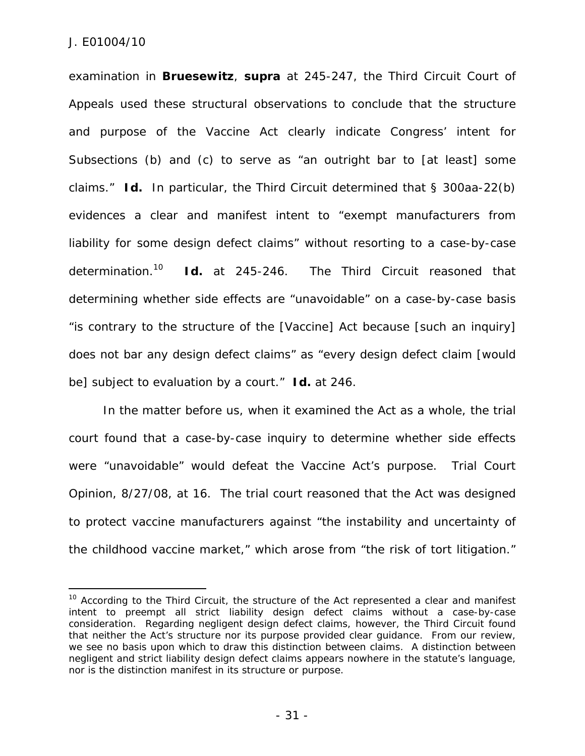$\overline{a}$ 

examination in *Bruesewitz*, *supra* at 245-247, the Third Circuit Court of Appeals used these structural observations to conclude that the structure and purpose of the Vaccine Act clearly indicate Congress' intent for Subsections (b) and (c) to serve as "an outright bar to [at least] some claims." *Id.* In particular, the Third Circuit determined that § 300aa-22(b) evidences a clear and manifest intent to "exempt manufacturers from liability for some design defect claims" without resorting to a case-by-case determination.10 *Id.* at 245-246. The Third Circuit reasoned that determining whether side effects are "unavoidable" on a case-by-case basis "is contrary to the structure of the [Vaccine] Act because [such an inquiry] does not bar any design defect claims" as "every design defect claim [would be] subject to evaluation by a court." *Id.* at 246.

In the matter before us, when it examined the Act as a whole, the trial court found that a case-by-case inquiry to determine whether side effects were "unavoidable" would defeat the Vaccine Act's purpose. Trial Court Opinion, 8/27/08, at 16. The trial court reasoned that the Act was designed to protect vaccine manufacturers against "the instability and uncertainty of the childhood vaccine market," which arose from "the risk of tort litigation."

 $10$  According to the Third Circuit, the structure of the Act represented a clear and manifest intent to preempt all strict liability design defect claims without a case-by-case consideration. Regarding negligent design defect claims, however, the Third Circuit found that neither the Act's structure nor its purpose provided clear guidance. From our review, we see no basis upon which to draw this distinction between claims. A distinction between negligent and strict liability design defect claims appears nowhere in the statute's language, nor is the distinction manifest in its structure or purpose.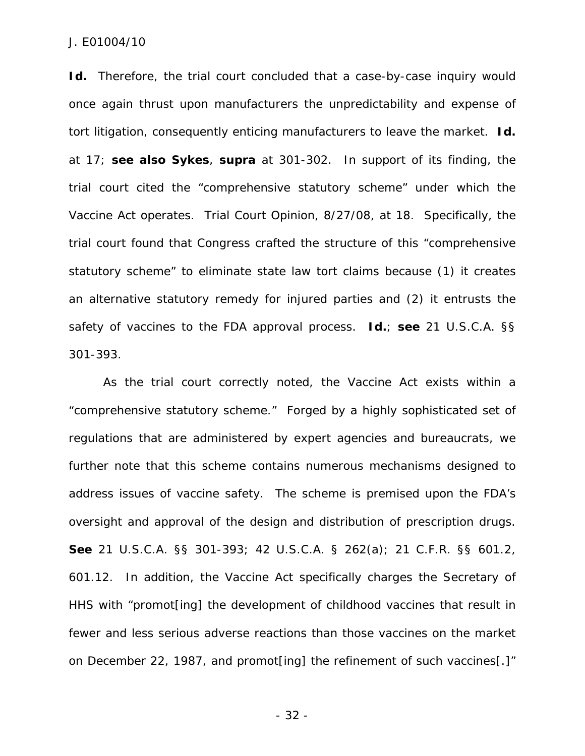Id. Therefore, the trial court concluded that a case-by-case inquiry would once again thrust upon manufacturers the unpredictability and expense of tort litigation, consequently enticing manufacturers to leave the market. *Id.* at 17; *see also Sykes*, *supra* at 301-302. In support of its finding, the trial court cited the "comprehensive statutory scheme" under which the Vaccine Act operates. Trial Court Opinion, 8/27/08, at 18. Specifically, the trial court found that Congress crafted the structure of this "comprehensive statutory scheme" to eliminate state law tort claims because (1) it creates an alternative statutory remedy for injured parties and (2) it entrusts the safety of vaccines to the FDA approval process. *Id.*; *see* 21 U.S.C.A. §§ 301-393.

As the trial court correctly noted, the Vaccine Act exists within a "comprehensive statutory scheme." Forged by a highly sophisticated set of regulations that are administered by expert agencies and bureaucrats, we further note that this scheme contains numerous mechanisms designed to address issues of vaccine safety. The scheme is premised upon the FDA's oversight and approval of the design and distribution of prescription drugs. *See* 21 U.S.C.A. §§ 301-393; 42 U.S.C.A. § 262(a); 21 C.F.R. §§ 601.2, 601.12. In addition, the Vaccine Act specifically charges the Secretary of HHS with "promot[ing] the development of childhood vaccines that result in fewer and less serious adverse reactions than those vaccines on the market on December 22, 1987, and promot[ing] the refinement of such vaccines[.]"

- 32 -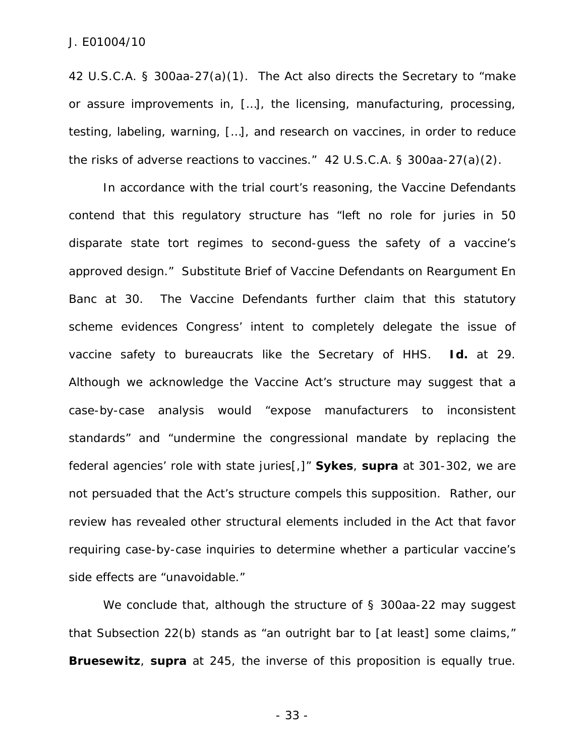42 U.S.C.A. § 300aa-27(a)(1). The Act also directs the Secretary to "make or assure improvements in, […], the licensing, manufacturing, processing, testing, labeling, warning, […], and research on vaccines, in order to reduce the risks of adverse reactions to vaccines." 42 U.S.C.A. § 300aa-27(a)(2).

In accordance with the trial court's reasoning, the Vaccine Defendants contend that this regulatory structure has "left no role for juries in 50 disparate state tort regimes to second-guess the safety of a vaccine's approved design." Substitute Brief of Vaccine Defendants on Reargument *En Banc* at 30. The Vaccine Defendants further claim that this statutory scheme evidences Congress' intent to completely delegate the issue of vaccine safety to bureaucrats like the Secretary of HHS. *Id.* at 29. Although we acknowledge the Vaccine Act's structure may suggest that a case-by-case analysis would "expose manufacturers to inconsistent standards" and "undermine the congressional mandate by replacing the federal agencies' role with state juries[,]" *Sykes*, *supra* at 301-302, we are not persuaded that the Act's structure compels this supposition. Rather, our review has revealed other structural elements included in the Act that favor requiring case-by-case inquiries to determine whether a particular vaccine's side effects are "unavoidable."

We conclude that, although the structure of § 300aa-22 may suggest that Subsection 22(b) stands as "an outright bar to [at least] some claims," *Bruesewitz*, *supra* at 245, the inverse of this proposition is equally true.

- 33 -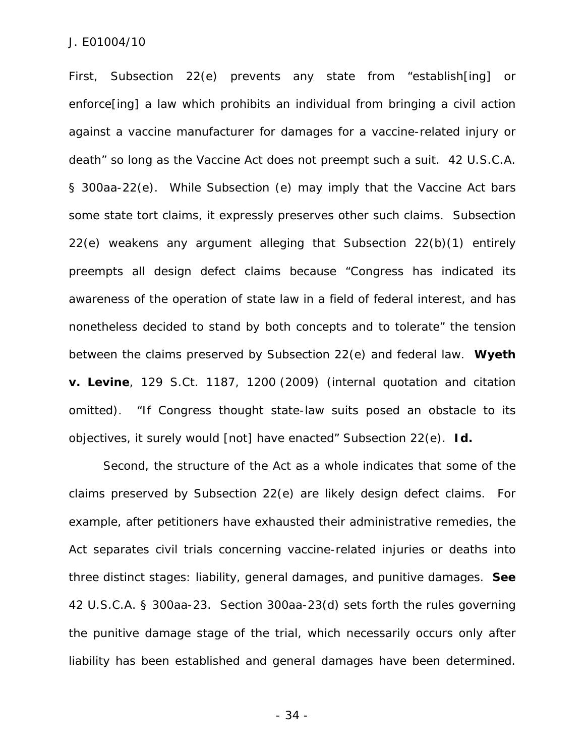First, Subsection 22(e) prevents any state from "establish[ing] or enforce[ing] a law which prohibits an individual from bringing a civil action against a vaccine manufacturer for damages for a vaccine-related injury or death" so long as the Vaccine Act does not preempt such a suit. 42 U.S.C.A. § 300aa-22(e). While Subsection (e) may imply that the Vaccine Act bars some state tort claims, it expressly preserves other such claims. Subsection 22(e) weakens any argument alleging that Subsection 22(b)(1) entirely preempts all design defect claims because "Congress has indicated its awareness of the operation of state law in a field of federal interest, and has nonetheless decided to stand by both concepts and to tolerate" the tension between the claims preserved by Subsection 22(e) and federal law. *Wyeth v. Levine*, 129 S.Ct. 1187, 1200 (2009) (internal quotation and citation omitted). "If Congress thought state-law suits posed an obstacle to its objectives, it surely would [not] have enacted" Subsection 22(e). *Id.* 

Second, the structure of the Act as a whole indicates that some of the claims preserved by Subsection 22(e) are likely design defect claims. For example, after petitioners have exhausted their administrative remedies, the Act separates civil trials concerning vaccine-related injuries or deaths into three distinct stages: liability, general damages, and punitive damages. *See* 42 U.S.C.A. § 300aa-23. Section 300aa-23(d) sets forth the rules governing the punitive damage stage of the trial, which necessarily occurs only after liability has been established and general damages have been determined.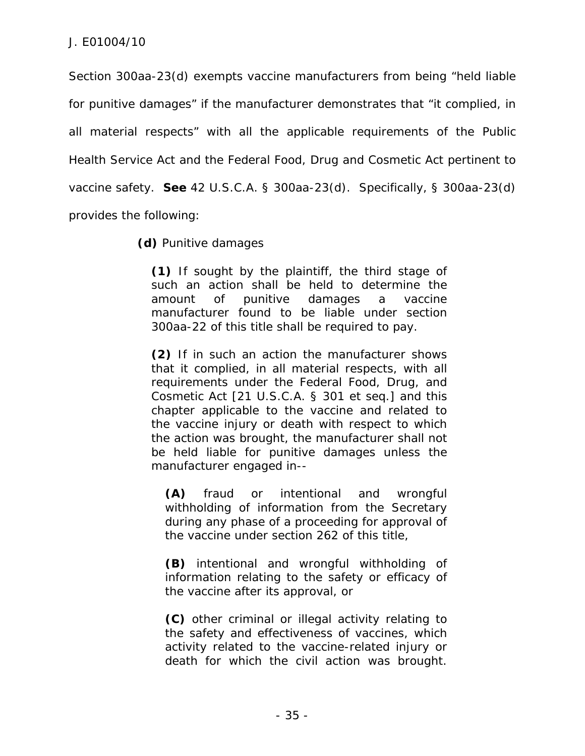Section 300aa-23(d) exempts vaccine manufacturers from being "held liable for punitive damages" if the manufacturer demonstrates that "it complied, in all material respects" with all the applicable requirements of the Public Health Service Act and the Federal Food, Drug and Cosmetic Act pertinent to vaccine safety. *See* 42 U.S.C.A. § 300aa-23(d). Specifically, § 300aa-23(d) provides the following:

**(d)** Punitive damages

**(1)** If sought by the plaintiff, the third stage of such an action shall be held to determine the amount of punitive damages a vaccine manufacturer found to be liable under section 300aa-22 of this title shall be required to pay.

**(2)** If in such an action the manufacturer shows that it complied, in all material respects, with all requirements under the Federal Food, Drug, and Cosmetic Act [21 U.S.C.A. § 301 et seq.] and this chapter applicable to the vaccine and related to the vaccine injury or death with respect to which the action was brought, the manufacturer shall not be held liable for punitive damages unless the manufacturer engaged in--

**(A)** fraud or intentional and wrongful withholding of information from the Secretary during any phase of a proceeding for approval of the vaccine under section 262 of this title,

**(B)** intentional and wrongful withholding of information relating to the safety or efficacy of the vaccine after its approval, or

**(C)** other criminal or illegal activity relating to the safety and effectiveness of vaccines, which activity related to the vaccine-related injury or death for which the civil action was brought.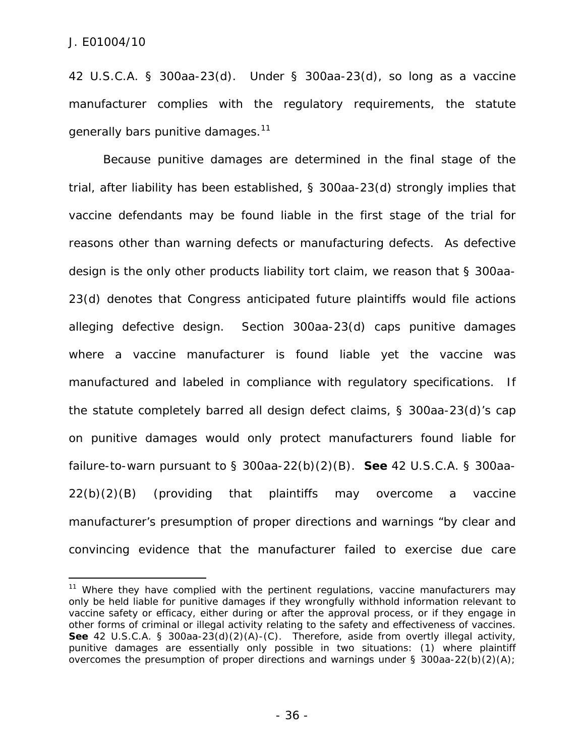$\overline{a}$ 

42 U.S.C.A. § 300aa-23(d). Under § 300aa-23(d), so long as a vaccine manufacturer complies with the regulatory requirements, the statute generally bars punitive damages.<sup>11</sup>

Because punitive damages are determined in the final stage of the trial, after liability has been established, § 300aa-23(d) strongly implies that vaccine defendants may be found liable in the first stage of the trial for reasons other than warning defects or manufacturing defects. As defective design is the only other products liability tort claim, we reason that § 300aa-23(d) denotes that Congress anticipated future plaintiffs would file actions alleging defective design. Section 300aa-23(d) caps punitive damages where a vaccine manufacturer is found liable yet the vaccine was manufactured and labeled in compliance with regulatory specifications. If the statute completely barred all design defect claims, § 300aa-23(d)'s cap on punitive damages would only protect manufacturers found liable for failure-to-warn pursuant to § 300aa-22(b)(2)(B). *See* 42 U.S.C.A. § 300aa-22(b)(2)(B) (providing that plaintiffs may overcome a vaccine manufacturer's presumption of proper directions and warnings "by clear and convincing evidence that the manufacturer failed to exercise due care

 $11$  Where they have complied with the pertinent regulations, vaccine manufacturers may only be held liable for punitive damages if they wrongfully withhold information relevant to vaccine safety or efficacy, either during or after the approval process, or if they engage in other forms of criminal or illegal activity relating to the safety and effectiveness of vaccines. **See** 42 U.S.C.A. § 300aa-23(d)(2)(A)-(C). Therefore, aside from overtly illegal activity, punitive damages are essentially only possible in two situations: (1) where plaintiff overcomes the presumption of proper directions and warnings under § 300aa-22(b)(2)(A);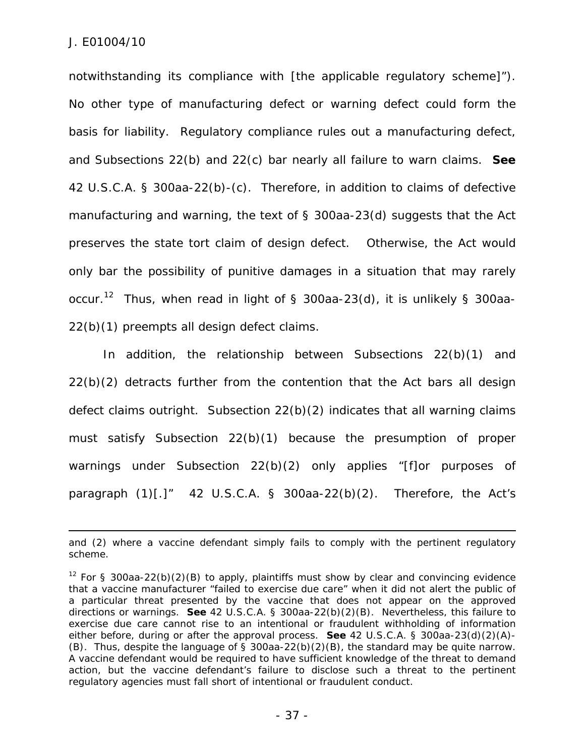$\overline{a}$ 

notwithstanding its compliance with [the applicable regulatory scheme]"). No other type of manufacturing defect or warning defect could form the basis for liability. Regulatory compliance rules out a manufacturing defect, and Subsections 22(b) and 22(c) bar nearly all failure to warn claims. *See*  42 U.S.C.A. § 300aa-22(b)-(c). Therefore, in addition to claims of defective manufacturing and warning, the text of § 300aa-23(d) suggests that the Act preserves the state tort claim of design defect. Otherwise, the Act would only bar the possibility of punitive damages in a situation that may rarely occur.<sup>12</sup> Thus, when read in light of § 300aa-23(d), it is unlikely § 300aa-22(b)(1) preempts all design defect claims.

In addition, the relationship between Subsections 22(b)(1) and 22(b)(2) detracts further from the contention that the Act bars all design defect claims outright. Subsection 22(b)(2) indicates that all warning claims must satisfy Subsection 22(b)(1) because the presumption of proper warnings under Subsection 22(b)(2) only applies "[f]or purposes of paragraph (1)[.]" 42 U.S.C.A. § 300aa-22(b)(2). Therefore, the Act's

and (2) where a vaccine defendant simply fails to comply with the pertinent regulatory scheme.

<sup>&</sup>lt;sup>12</sup> For § 300aa-22(b)(2)(B) to apply, plaintiffs must show by clear and convincing evidence that a vaccine manufacturer "failed to exercise due care" when it did not alert the public of a particular threat presented by the vaccine that does not appear on the approved directions or warnings. *See* 42 U.S.C.A. § 300aa-22(b)(2)(B). Nevertheless, this failure to exercise due care cannot rise to an intentional or fraudulent withholding of information either before, during or after the approval process. *See* 42 U.S.C.A. § 300aa-23(d)(2)(A)- (B). Thus, despite the language of § 300aa-22(b)(2)(B), the standard may be quite narrow. A vaccine defendant would be required to have sufficient knowledge of the threat to demand action, but the vaccine defendant's failure to disclose such a threat to the pertinent regulatory agencies must fall short of intentional or fraudulent conduct.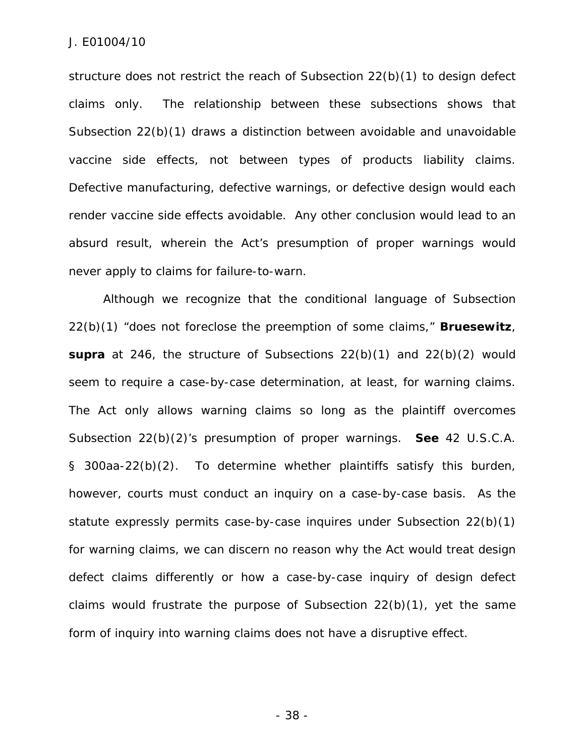structure does not restrict the reach of Subsection 22(b)(1) to design defect claims only. The relationship between these subsections shows that Subsection 22(b)(1) draws a distinction between avoidable and unavoidable vaccine side effects, not between types of products liability claims. Defective manufacturing, defective warnings, or defective design would each render vaccine side effects avoidable. Any other conclusion would lead to an absurd result, wherein the Act's presumption of proper warnings would never apply to claims for failure-to-warn.

Although we recognize that the conditional language of Subsection 22(b)(1) "does not foreclose the preemption of some claims," *Bruesewitz*, *supra* at 246, the structure of Subsections 22(b)(1) and 22(b)(2) would seem to require a case-by-case determination, at least, for warning claims. The Act only allows warning claims so long as the plaintiff overcomes Subsection 22(b)(2)'s presumption of proper warnings. *See* 42 U.S.C.A. § 300aa-22(b)(2). To determine whether plaintiffs satisfy this burden, however, courts must conduct an inquiry on a case-by-case basis. As the statute expressly permits case-by-case inquires under Subsection 22(b)(1) for warning claims, we can discern no reason why the Act would treat design defect claims differently or how a case-by-case inquiry of design defect claims would frustrate the purpose of Subsection  $22(b)(1)$ , yet the same form of inquiry into warning claims does not have a disruptive effect.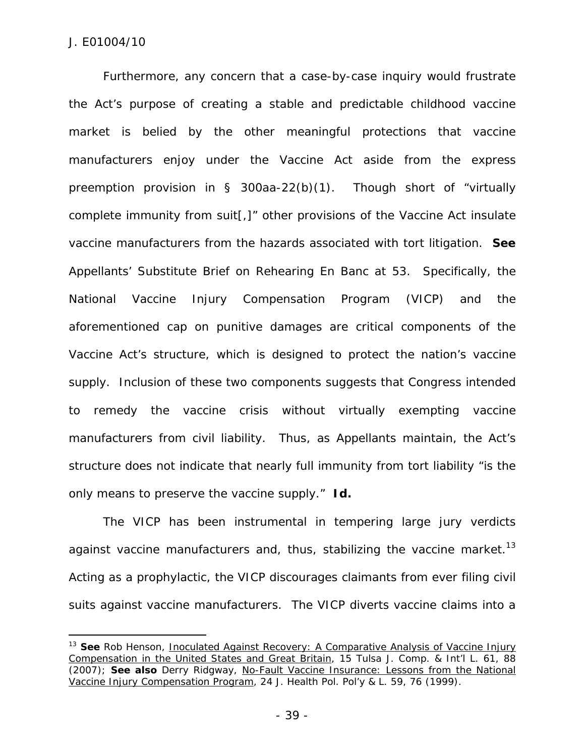-

Furthermore, any concern that a case-by-case inquiry would frustrate the Act's purpose of creating a stable and predictable childhood vaccine market is belied by the other meaningful protections that vaccine manufacturers enjoy under the Vaccine Act aside from the express preemption provision in § 300aa-22(b)(1). Though short of "virtually complete immunity from suit[,]" other provisions of the Vaccine Act insulate vaccine manufacturers from the hazards associated with tort litigation. *See* Appellants' Substitute Brief on Rehearing *En Banc* at 53. Specifically, the National Vaccine Injury Compensation Program (VICP) and the aforementioned cap on punitive damages are critical components of the Vaccine Act's structure, which is designed to protect the nation's vaccine supply. Inclusion of these two components suggests that Congress intended to remedy the vaccine crisis without virtually exempting vaccine manufacturers from civil liability. Thus, as Appellants maintain, the Act's structure does not indicate that nearly full immunity from tort liability "is the only means to preserve the vaccine supply." *Id.*

The VICP has been instrumental in tempering large jury verdicts against vaccine manufacturers and, thus, stabilizing the vaccine market.<sup>13</sup> Acting as a prophylactic, the VICP discourages claimants from ever filing civil suits against vaccine manufacturers. The VICP diverts vaccine claims into a

<sup>13</sup> *See* Rob Henson, Inoculated Against Recovery: A Comparative Analysis of Vaccine Injury Compensation in the United States and Great Britain, 15 Tulsa J. Comp. & Int'l L. 61, 88 (2007); *See also* Derry Ridgway, No-Fault Vaccine Insurance: Lessons from the National Vaccine Injury Compensation Program, 24 J. Health Pol. Pol'y & L. 59, 76 (1999).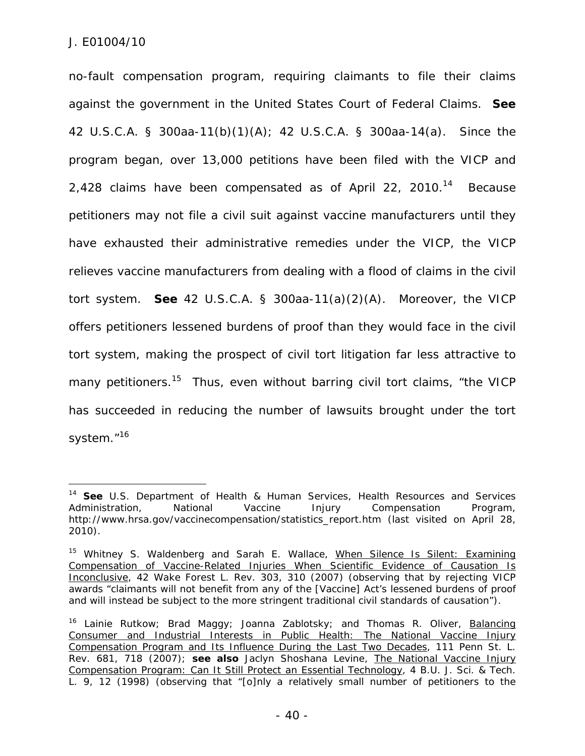-

no-fault compensation program, requiring claimants to file their claims against the government in the United States Court of Federal Claims. *See* 42 U.S.C.A. § 300aa-11(b)(1)(A); 42 U.S.C.A. § 300aa-14(a). Since the program began, over 13,000 petitions have been filed with the VICP and 2,428 claims have been compensated as of April 22, 2010.<sup>14</sup> Because petitioners may not file a civil suit against vaccine manufacturers until they have exhausted their administrative remedies under the VICP, the VICP relieves vaccine manufacturers from dealing with a flood of claims in the civil tort system. *See* 42 U.S.C.A. § 300aa-11(a)(2)(A). Moreover, the VICP offers petitioners lessened burdens of proof than they would face in the civil tort system, making the prospect of civil tort litigation far less attractive to many petitioners.<sup>15</sup> Thus, even without barring civil tort claims, "the VICP has succeeded in reducing the number of lawsuits brought under the tort system."<sup>16</sup>

<sup>14</sup> *See* U.S. Department of Health & Human Services, Health Resources and Services Administration, National Vaccine Injury Compensation Program, http://www.hrsa.gov/vaccinecompensation/statistics\_report.htm (last visited on April 28, 2010).

<sup>&</sup>lt;sup>15</sup> Whitney S. Waldenberg and Sarah E. Wallace, When Silence Is Silent: Examining Compensation of Vaccine-Related Injuries When Scientific Evidence of Causation Is Inconclusive, 42 Wake Forest L. Rev. 303, 310 (2007) (observing that by rejecting VICP awards "claimants will not benefit from any of the [Vaccine] Act's lessened burdens of proof and will instead be subject to the more stringent traditional civil standards of causation").

<sup>&</sup>lt;sup>16</sup> Lainie Rutkow; Brad Maggy; Joanna Zablotsky; and Thomas R. Oliver, Balancing Consumer and Industrial Interests in Public Health: The National Vaccine Injury Compensation Program and Its Influence During the Last Two Decades, 111 Penn St. L. Rev. 681, 718 (2007); *see also* Jaclyn Shoshana Levine, The National Vaccine Injury Compensation Program: Can It Still Protect an Essential Technology, 4 B.U. J. Sci. & Tech. L. 9, 12 (1998) (observing that "[o]nly a relatively small number of petitioners to the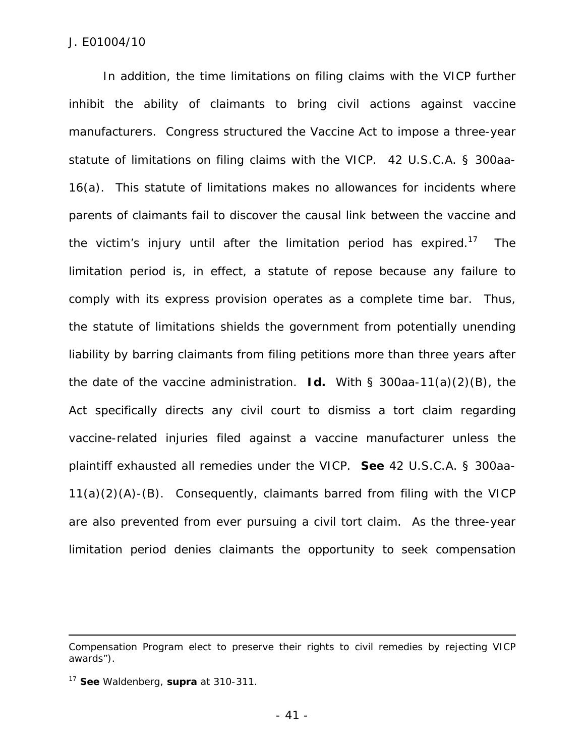In addition, the time limitations on filing claims with the VICP further inhibit the ability of claimants to bring civil actions against vaccine manufacturers. Congress structured the Vaccine Act to impose a three-year statute of limitations on filing claims with the VICP. 42 U.S.C.A. § 300aa-16(a). This statute of limitations makes no allowances for incidents where parents of claimants fail to discover the causal link between the vaccine and the victim's injury until after the limitation period has expired.<sup>17</sup> The limitation period is, in effect, a statute of repose because any failure to comply with its express provision operates as a complete time bar. Thus, the statute of limitations shields the government from potentially unending liability by barring claimants from filing petitions more than three years after the date of the vaccine administration. *Id.* With § 300aa-11(a)(2)(B), the Act specifically directs any civil court to dismiss a tort claim regarding vaccine-related injuries filed against a vaccine manufacturer unless the plaintiff exhausted all remedies under the VICP. *See* 42 U.S.C.A. § 300aa-11(a)(2)(A)-(B). Consequently, claimants barred from filing with the VICP are also prevented from ever pursuing a civil tort claim. As the three-year limitation period denies claimants the opportunity to seek compensation

-

Compensation Program elect to preserve their rights to civil remedies by rejecting VICP awards").

<sup>17</sup> *See* Waldenberg, *supra* at 310-311.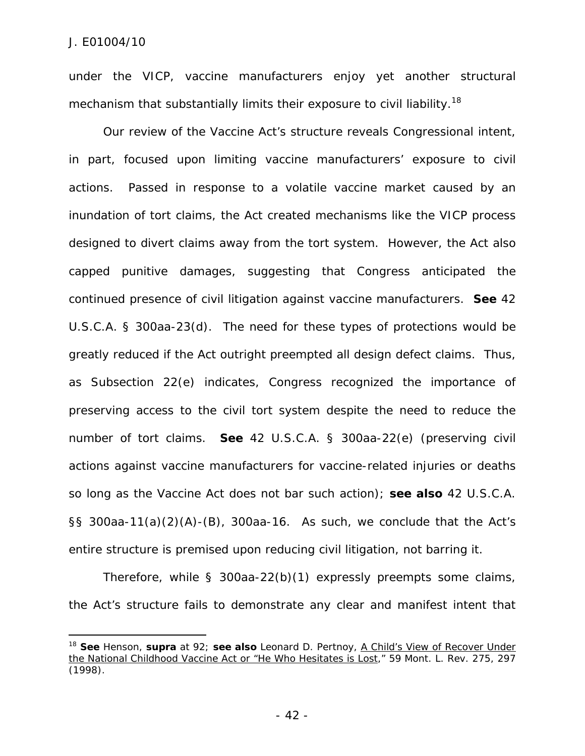$\overline{a}$ 

under the VICP, vaccine manufacturers enjoy yet another structural mechanism that substantially limits their exposure to civil liability.<sup>18</sup>

Our review of the Vaccine Act's structure reveals Congressional intent, in part, focused upon limiting vaccine manufacturers' exposure to civil actions. Passed in response to a volatile vaccine market caused by an inundation of tort claims, the Act created mechanisms like the VICP process designed to divert claims away from the tort system. However, the Act also capped punitive damages, suggesting that Congress anticipated the continued presence of civil litigation against vaccine manufacturers. *See* 42 U.S.C.A. § 300aa-23(d). The need for these types of protections would be greatly reduced if the Act outright preempted all design defect claims. Thus, as Subsection 22(e) indicates, Congress recognized the importance of preserving access to the civil tort system despite the need to reduce the number of tort claims. *See* 42 U.S.C.A. § 300aa-22(e) (preserving civil actions against vaccine manufacturers for vaccine-related injuries or deaths so long as the Vaccine Act does not bar such action); *see also* 42 U.S.C.A. §§ 300aa-11(a)(2)(A)-(B), 300aa-16. As such, we conclude that the Act's entire structure is premised upon reducing civil litigation, not barring it.

Therefore, while § 300aa-22(b)(1) expressly preempts some claims, the Act's structure fails to demonstrate any clear and manifest intent that

<sup>18</sup> *See* Henson, *supra* at 92; *see also* Leonard D. Pertnoy, A Child's View of Recover Under the National Childhood Vaccine Act or "He Who Hesitates is Lost," 59 Mont. L. Rev. 275, 297 (1998).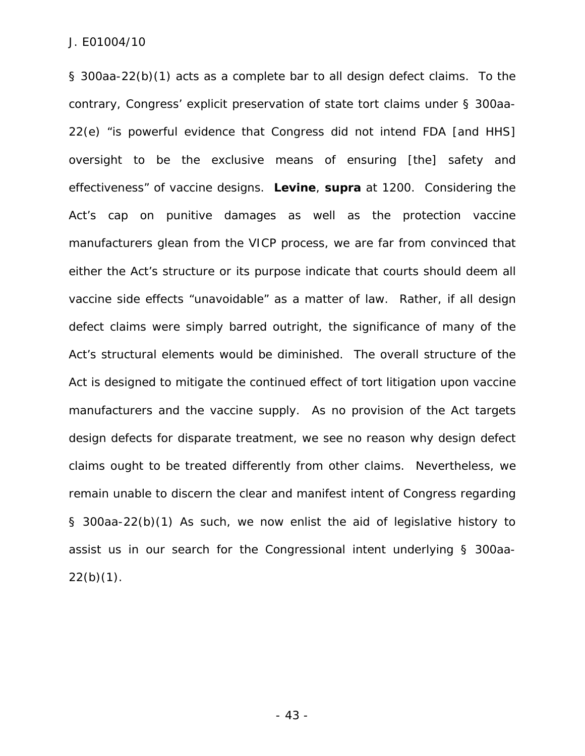§ 300aa-22(b)(1) acts as a complete bar to all design defect claims. To the contrary, Congress' explicit preservation of state tort claims under § 300aa-22(e) "is powerful evidence that Congress did not intend FDA [and HHS] oversight to be the exclusive means of ensuring [the] safety and effectiveness" of vaccine designs. *Levine*, *supra* at 1200. Considering the Act's cap on punitive damages as well as the protection vaccine manufacturers glean from the VICP process, we are far from convinced that either the Act's structure or its purpose indicate that courts should deem all vaccine side effects "unavoidable" as a matter of law. Rather, if all design defect claims were simply barred outright, the significance of many of the Act's structural elements would be diminished. The overall structure of the Act is designed to mitigate the continued effect of tort litigation upon vaccine manufacturers and the vaccine supply. As no provision of the Act targets design defects for disparate treatment, we see no reason why design defect claims ought to be treated differently from other claims. Nevertheless, we remain unable to discern the clear and manifest intent of Congress regarding § 300aa-22(b)(1) As such, we now enlist the aid of legislative history to assist us in our search for the Congressional intent underlying § 300aa- $22(b)(1)$ .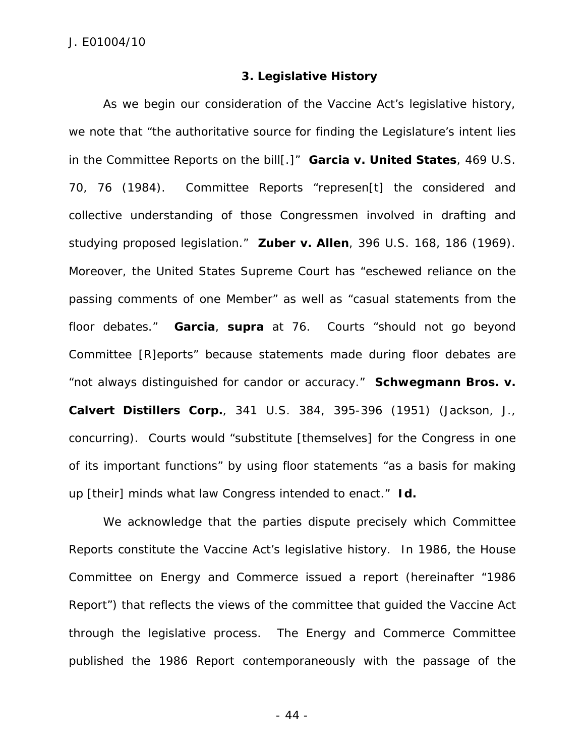#### **3. Legislative History**

 As we begin our consideration of the Vaccine Act's legislative history, we note that "the authoritative source for finding the Legislature's intent lies in the Committee Reports on the bill[.]" *Garcia v. United States*, 469 U.S. 70, 76 (1984). Committee Reports "represen[t] the considered and collective understanding of those Congressmen involved in drafting and studying proposed legislation." *Zuber v. Allen*, 396 U.S. 168, 186 (1969). Moreover, the United States Supreme Court has "eschewed reliance on the passing comments of one Member" as well as "casual statements from the floor debates." *Garcia*, *supra* at 76. Courts "should not go beyond Committee [R]eports" because statements made during floor debates are "not always distinguished for candor or accuracy." *Schwegmann Bros. v. Calvert Distillers Corp.*, 341 U.S. 384, 395-396 (1951) (Jackson, J., concurring). Courts would "substitute [themselves] for the Congress in one of its important functions" by using floor statements "as a basis for making up [their] minds what law Congress intended to enact." *Id.*

 We acknowledge that the parties dispute precisely which Committee Reports constitute the Vaccine Act's legislative history. In 1986, the House Committee on Energy and Commerce issued a report (hereinafter "1986 Report") that reflects the views of the committee that guided the Vaccine Act through the legislative process. The Energy and Commerce Committee published the 1986 Report contemporaneously with the passage of the

- 44 -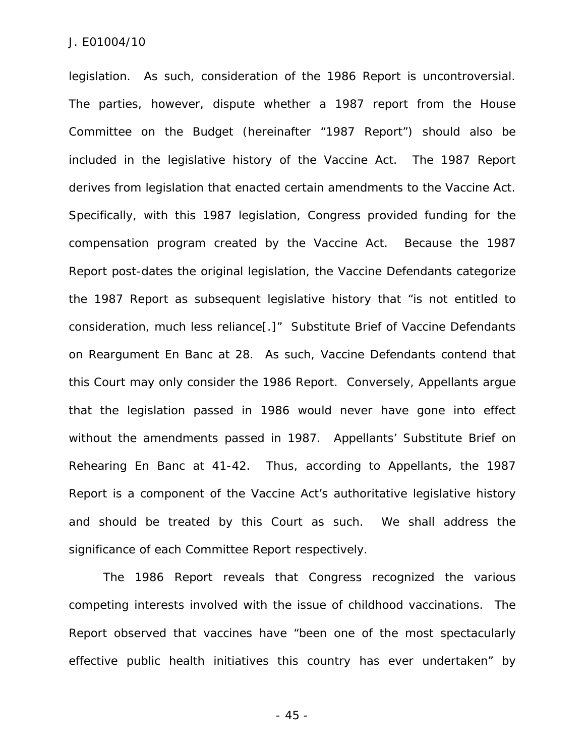legislation. As such, consideration of the 1986 Report is uncontroversial. The parties, however, dispute whether a 1987 report from the House Committee on the Budget (hereinafter "1987 Report") should also be included in the legislative history of the Vaccine Act. The 1987 Report derives from legislation that enacted certain amendments to the Vaccine Act. Specifically, with this 1987 legislation, Congress provided funding for the compensation program created by the Vaccine Act. Because the 1987 Report post-dates the original legislation, the Vaccine Defendants categorize the 1987 Report as subsequent legislative history that "is not entitled to consideration, much less reliance[.]" Substitute Brief of Vaccine Defendants on Reargument *En Banc* at 28. As such, Vaccine Defendants contend that this Court may only consider the 1986 Report. Conversely, Appellants argue that the legislation passed in 1986 would never have gone into effect without the amendments passed in 1987. Appellants' Substitute Brief on Rehearing *En Banc* at 41-42. Thus, according to Appellants, the 1987 Report is a component of the Vaccine Act's authoritative legislative history and should be treated by this Court as such. We shall address the significance of each Committee Report respectively.

 The 1986 Report reveals that Congress recognized the various competing interests involved with the issue of childhood vaccinations. The Report observed that vaccines have "been one of the most spectacularly effective public health initiatives this country has ever undertaken" by

- 45 -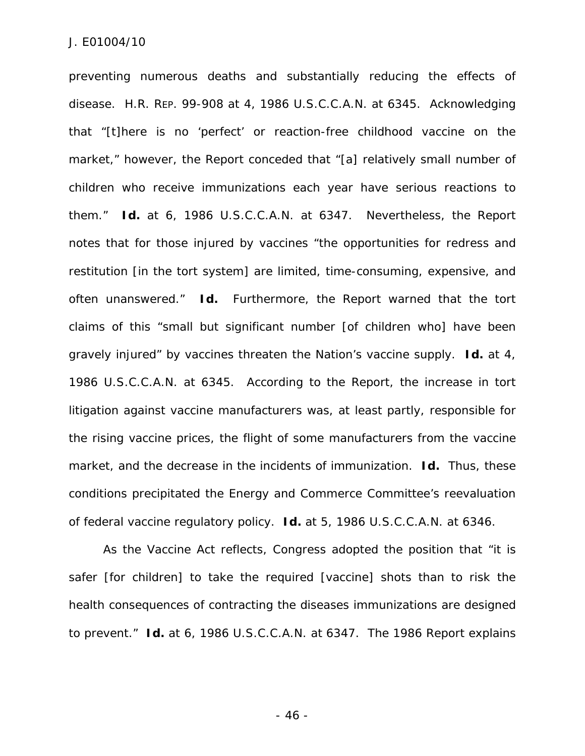preventing numerous deaths and substantially reducing the effects of disease. H.R. REP. 99-908 at 4, 1986 U.S.C.C.A.N. at 6345. Acknowledging that "[t]here is no 'perfect' or reaction-free childhood vaccine on the market," however, the Report conceded that "[a] relatively small number of children who receive immunizations each year have serious reactions to them." *Id.* at 6, 1986 U.S.C.C.A.N. at 6347. Nevertheless, the Report notes that for those injured by vaccines "the opportunities for redress and restitution [in the tort system] are limited, time-consuming, expensive, and often unanswered." *Id.* Furthermore, the Report warned that the tort claims of this "small but significant number [of children who] have been gravely injured" by vaccines threaten the Nation's vaccine supply. *Id.* at 4, 1986 U.S.C.C.A.N. at 6345. According to the Report, the increase in tort litigation against vaccine manufacturers was, at least partly, responsible for the rising vaccine prices, the flight of some manufacturers from the vaccine market, and the decrease in the incidents of immunization. *Id.* Thus, these conditions precipitated the Energy and Commerce Committee's reevaluation of federal vaccine regulatory policy. *Id.* at 5, 1986 U.S.C.C.A.N. at 6346.

 As the Vaccine Act reflects, Congress adopted the position that "it is safer [for children] to take the required [vaccine] shots than to risk the health consequences of contracting the diseases immunizations are designed to prevent." *Id.* at 6, 1986 U.S.C.C.A.N. at 6347. The 1986 Report explains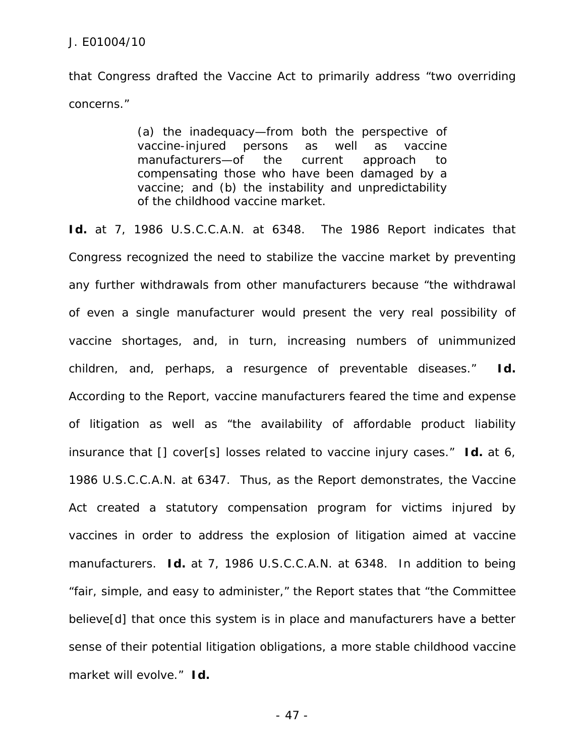that Congress drafted the Vaccine Act to primarily address "two overriding concerns."

> (a) the inadequacy—from both the perspective of vaccine-injured persons as well as vaccine manufacturers—of the current approach to compensating those who have been damaged by a vaccine; and (b) the instability and unpredictability of the childhood vaccine market.

Id. at 7, 1986 U.S.C.C.A.N. at 6348. The 1986 Report indicates that Congress recognized the need to stabilize the vaccine market by preventing any further withdrawals from other manufacturers because "the withdrawal of even a single manufacturer would present the very real possibility of vaccine shortages, and, in turn, increasing numbers of unimmunized children, and, perhaps, a resurgence of preventable diseases." *Id.* According to the Report, vaccine manufacturers feared the time and expense of litigation as well as "the availability of affordable product liability insurance that [] cover[s] losses related to vaccine injury cases." *Id.* at 6, 1986 U.S.C.C.A.N. at 6347. Thus, as the Report demonstrates, the Vaccine Act created a statutory compensation program for victims injured by vaccines in order to address the explosion of litigation aimed at vaccine manufacturers. *Id.* at 7, 1986 U.S.C.C.A.N. at 6348. In addition to being "fair, simple, and easy to administer," the Report states that "the Committee believe[d] that once this system is in place and manufacturers have a better sense of their potential litigation obligations, a more stable childhood vaccine market will evolve." *Id.*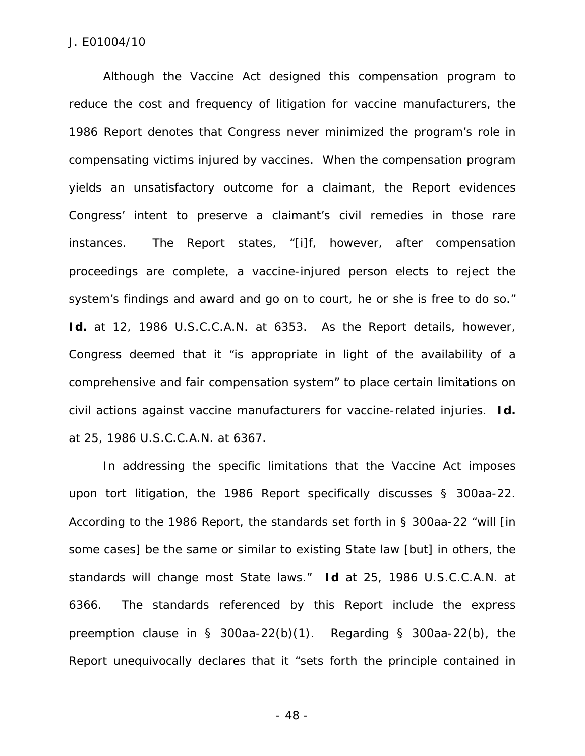Although the Vaccine Act designed this compensation program to reduce the cost and frequency of litigation for vaccine manufacturers, the 1986 Report denotes that Congress never minimized the program's role in compensating victims injured by vaccines. When the compensation program yields an unsatisfactory outcome for a claimant, the Report evidences Congress' intent to preserve a claimant's civil remedies in those rare instances. The Report states, "[i]f, however, after compensation proceedings are complete, a vaccine-injured person elects to reject the system's findings and award and go on to court, he or she is free to do so." Id. at 12, 1986 U.S.C.C.A.N. at 6353. As the Report details, however, Congress deemed that it "is appropriate in light of the availability of a comprehensive and fair compensation system" to place certain limitations on civil actions against vaccine manufacturers for vaccine-related injuries. *Id.* at 25, 1986 U.S.C.C.A.N. at 6367.

 In addressing the specific limitations that the Vaccine Act imposes upon tort litigation, the 1986 Report specifically discusses § 300aa-22. According to the 1986 Report, the standards set forth in § 300aa-22 "will [in some cases] be the same or similar to existing State law [but] in others, the standards will change most State laws." *Id* at 25, 1986 U.S.C.C.A.N. at 6366. The standards referenced by this Report include the express preemption clause in § 300aa-22(b)(1). Regarding § 300aa-22(b), the Report unequivocally declares that it "sets forth the principle contained in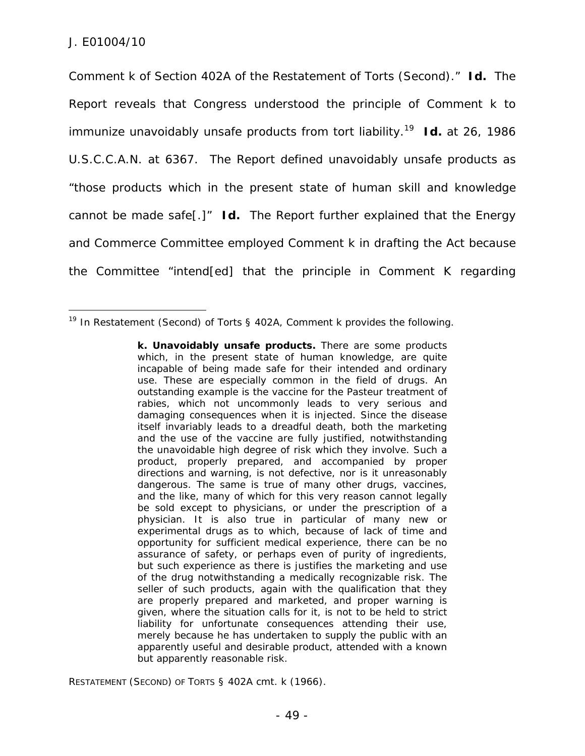Comment k of Section 402A of the Restatement of Torts (Second)." *Id.* The Report reveals that Congress understood the principle of Comment k to immunize unavoidably unsafe products from tort liability.19 *Id.* at 26, 1986 U.S.C.C.A.N. at 6367. The Report defined unavoidably unsafe products as "those products which in the present state of human skill and knowledge cannot be made safe[.]" *Id.* The Report further explained that the Energy and Commerce Committee employed Comment k in drafting the Act because the Committee "intend[ed] that the principle in Comment K regarding

RESTATEMENT (SECOND) OF TORTS § 402A cmt. k (1966).

<sup>-</sup><sup>19</sup> In Restatement (Second) of Torts § 402A, Comment k provides the following.

**k. Unavoidably unsafe products.** There are some products which, in the present state of human knowledge, are quite incapable of being made safe for their intended and ordinary use. These are especially common in the field of drugs. An outstanding example is the vaccine for the Pasteur treatment of rabies, which not uncommonly leads to very serious and damaging consequences when it is injected. Since the disease itself invariably leads to a dreadful death, both the marketing and the use of the vaccine are fully justified, notwithstanding the unavoidable high degree of risk which they involve. Such a product, properly prepared, and accompanied by proper directions and warning, is not defective, nor is it unreasonably dangerous. The same is true of many other drugs, vaccines, and the like, many of which for this very reason cannot legally be sold except to physicians, or under the prescription of a physician. It is also true in particular of many new or experimental drugs as to which, because of lack of time and opportunity for sufficient medical experience, there can be no assurance of safety, or perhaps even of purity of ingredients, but such experience as there is justifies the marketing and use of the drug notwithstanding a medically recognizable risk. The seller of such products, again with the qualification that they are properly prepared and marketed, and proper warning is given, where the situation calls for it, is not to be held to strict liability for unfortunate consequences attending their use, merely because he has undertaken to supply the public with an apparently useful and desirable product, attended with a known but apparently reasonable risk.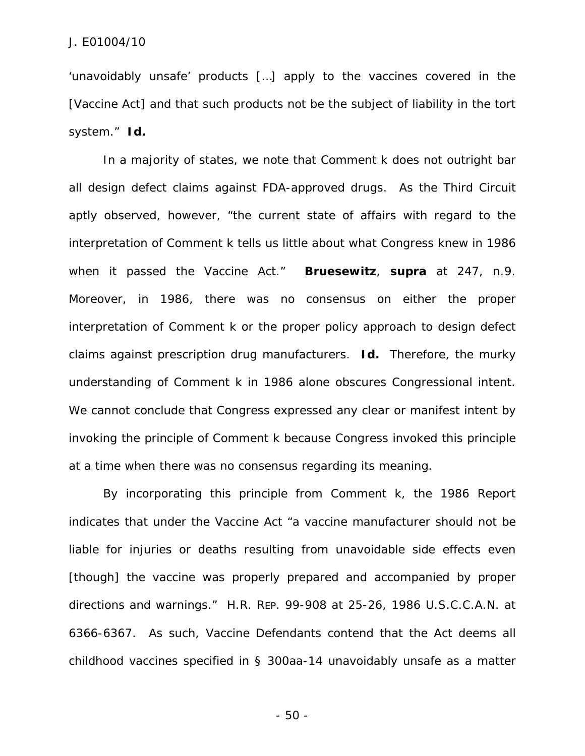'unavoidably unsafe' products […] apply to the vaccines covered in the [Vaccine Act] and that such products not be the subject of liability in the tort system." *Id.* 

In a majority of states, we note that Comment k does not outright bar all design defect claims against FDA-approved drugs. As the Third Circuit aptly observed, however, "the current state of affairs with regard to the interpretation of Comment k tells us little about what Congress knew in 1986 when it passed the Vaccine Act." *Bruesewitz*, *supra* at 247, n.9. Moreover, in 1986, there was no consensus on either the proper interpretation of Comment k or the proper policy approach to design defect claims against prescription drug manufacturers. *Id.* Therefore, the murky understanding of Comment k in 1986 alone obscures Congressional intent. We cannot conclude that Congress expressed any clear or manifest intent by invoking the principle of Comment k because Congress invoked this principle at a time when there was no consensus regarding its meaning.

By incorporating this principle from Comment k, the 1986 Report indicates that under the Vaccine Act "a vaccine manufacturer should not be liable for injuries or deaths resulting from unavoidable side effects even [though] the vaccine was properly prepared and accompanied by proper directions and warnings." H.R. REP. 99-908 at 25-26, 1986 U.S.C.C.A.N. at 6366-6367. As such, Vaccine Defendants contend that the Act deems all childhood vaccines specified in § 300aa-14 unavoidably unsafe as a matter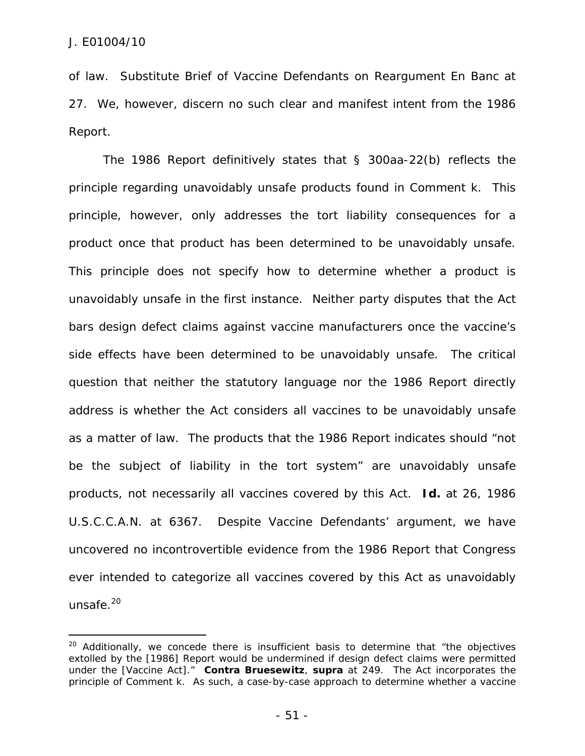$\overline{a}$ 

of law. Substitute Brief of Vaccine Defendants on Reargument *En Banc* at 27. We, however, discern no such clear and manifest intent from the 1986 Report.

The 1986 Report definitively states that § 300aa-22(b) reflects the principle regarding unavoidably unsafe products found in Comment k. This principle, however, only addresses the tort liability consequences for a product once that product has been determined to be unavoidably unsafe. This principle does not specify how to determine whether a product is unavoidably unsafe in the first instance. Neither party disputes that the Act bars design defect claims against vaccine manufacturers once the vaccine's side effects have been determined to be unavoidably unsafe. The critical question that neither the statutory language nor the 1986 Report directly address is whether the Act considers all vaccines to be unavoidably unsafe as a matter of law. The products that the 1986 Report indicates should "not be the subject of liability in the tort system" are unavoidably unsafe products, not necessarily all vaccines covered by this Act. *Id.* at 26, 1986 U.S.C.C.A.N. at 6367. Despite Vaccine Defendants' argument, we have uncovered no incontrovertible evidence from the 1986 Report that Congress ever intended to categorize all vaccines covered by this Act as unavoidably unsafe.<sup>20</sup>

 $20$  Additionally, we concede there is insufficient basis to determine that "the objectives extolled by the [1986] Report would be undermined if design defect claims were permitted under the [Vaccine Act]." *Contra Bruesewitz*, *supra* at 249. The Act incorporates the principle of Comment k. As such, a case-by-case approach to determine whether a vaccine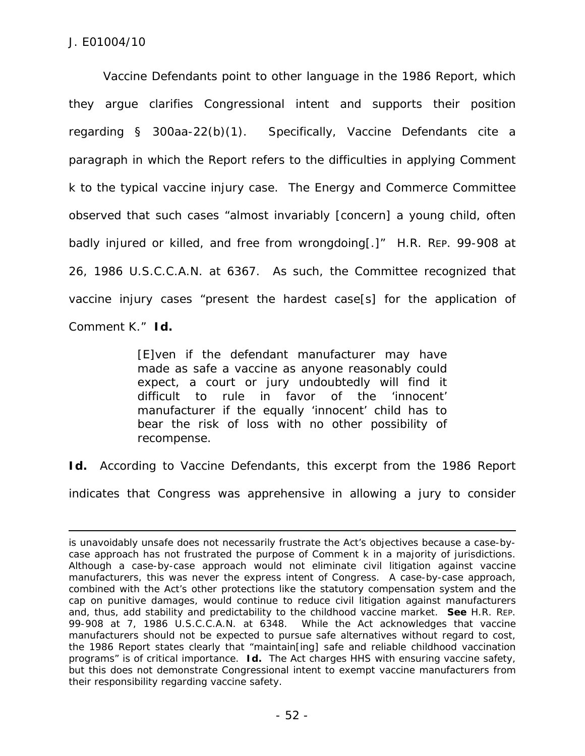-

 Vaccine Defendants point to other language in the 1986 Report, which they argue clarifies Congressional intent and supports their position regarding § 300aa-22(b)(1). Specifically, Vaccine Defendants cite a paragraph in which the Report refers to the difficulties in applying Comment k to the typical vaccine injury case. The Energy and Commerce Committee observed that such cases "almost invariably [concern] a young child, often badly injured or killed, and free from wrongdoing[.]" H.R. REP. 99-908 at 26, 1986 U.S.C.C.A.N. at 6367. As such, the Committee recognized that vaccine injury cases "present the hardest case[s] for the application of Comment K." *Id.* 

> [E]ven if the defendant manufacturer may have made as safe a vaccine as anyone reasonably could expect, a court or jury undoubtedly will find it difficult to rule in favor of the 'innocent' manufacturer if the equally 'innocent' child has to bear the risk of loss with no other possibility of recompense.

Id. According to Vaccine Defendants, this excerpt from the 1986 Report indicates that Congress was apprehensive in allowing a jury to consider

is unavoidably unsafe does not necessarily frustrate the Act's objectives because a case-bycase approach has not frustrated the purpose of Comment k in a majority of jurisdictions. Although a case-by-case approach would not eliminate civil litigation against vaccine manufacturers, this was never the express intent of Congress. A case-by-case approach, combined with the Act's other protections like the statutory compensation system and the cap on punitive damages, would continue to reduce civil litigation against manufacturers and, thus, add stability and predictability to the childhood vaccine market. *See* H.R. REP. 99-908 at 7, 1986 U.S.C.C.A.N. at 6348. While the Act acknowledges that vaccine manufacturers should not be expected to pursue safe alternatives without regard to cost, the 1986 Report states clearly that "maintain[ing] safe and reliable childhood vaccination programs" is of critical importance. *Id.* The Act charges HHS with ensuring vaccine safety, but this does not demonstrate Congressional intent to exempt vaccine manufacturers from their responsibility regarding vaccine safety.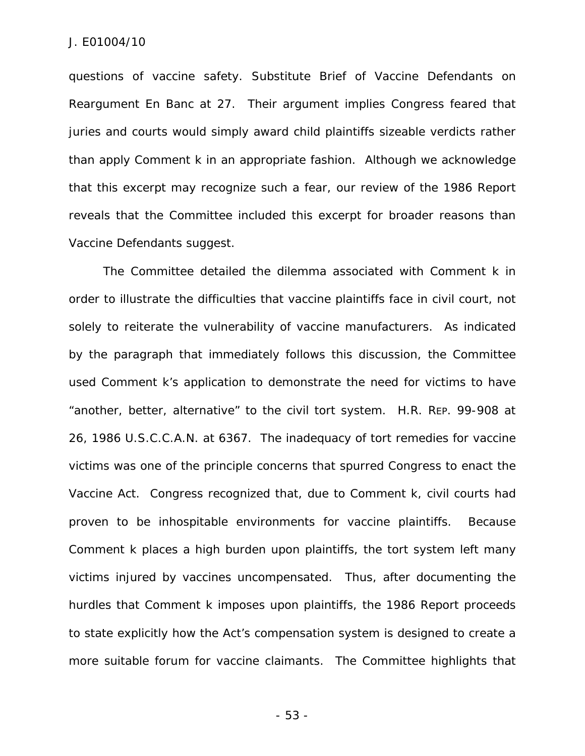questions of vaccine safety. Substitute Brief of Vaccine Defendants on Reargument *En Banc* at 27. Their argument implies Congress feared that juries and courts would simply award child plaintiffs sizeable verdicts rather than apply Comment k in an appropriate fashion. Although we acknowledge that this excerpt may recognize such a fear, our review of the 1986 Report reveals that the Committee included this excerpt for broader reasons than Vaccine Defendants suggest.

 The Committee detailed the dilemma associated with Comment k in order to illustrate the difficulties that vaccine plaintiffs face in civil court, not solely to reiterate the vulnerability of vaccine manufacturers. As indicated by the paragraph that immediately follows this discussion, the Committee used Comment k's application to demonstrate the need for victims to have "another, better, alternative" to the civil tort system. H.R. REP. 99-908 at 26, 1986 U.S.C.C.A.N. at 6367. The inadequacy of tort remedies for vaccine victims was one of the principle concerns that spurred Congress to enact the Vaccine Act. Congress recognized that, due to Comment k, civil courts had proven to be inhospitable environments for vaccine plaintiffs. Because Comment k places a high burden upon plaintiffs, the tort system left many victims injured by vaccines uncompensated. Thus, after documenting the hurdles that Comment k imposes upon plaintiffs, the 1986 Report proceeds to state explicitly how the Act's compensation system is designed to create a more suitable forum for vaccine claimants. The Committee highlights that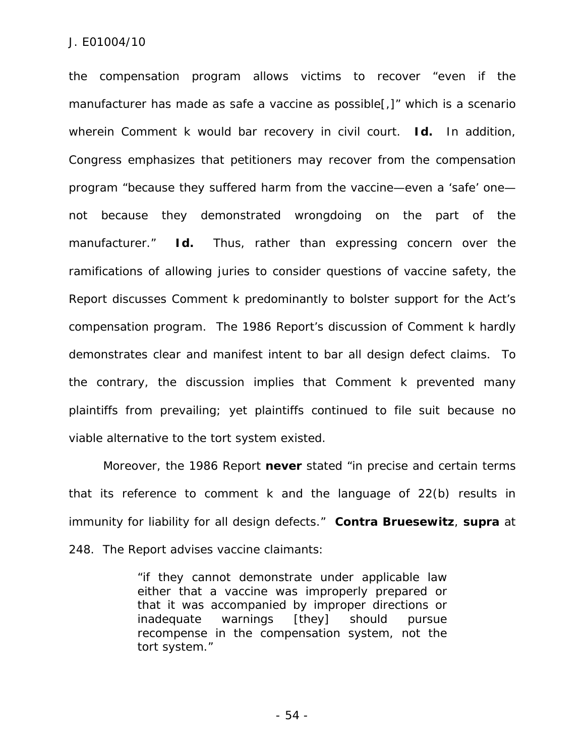the compensation program allows victims to recover "even if the manufacturer has made as safe a vaccine as possible[,]" which is a scenario wherein Comment k would bar recovery in civil court. *Id.* In addition, Congress emphasizes that petitioners may recover from the compensation program "because they suffered harm from the vaccine—even a 'safe' one not because they demonstrated wrongdoing on the part of the manufacturer." *Id.* Thus, rather than expressing concern over the ramifications of allowing juries to consider questions of vaccine safety, the Report discusses Comment k predominantly to bolster support for the Act's compensation program. The 1986 Report's discussion of Comment k hardly demonstrates clear and manifest intent to bar all design defect claims. To the contrary, the discussion implies that Comment k prevented many plaintiffs from prevailing; yet plaintiffs continued to file suit because no viable alternative to the tort system existed.

 Moreover, the 1986 Report **never** stated "in precise and certain terms that its reference to comment k and the language of 22(b) results in immunity for liability for all design defects." *Contra Bruesewitz*, *supra* at 248. The Report advises vaccine claimants:

> "if they cannot demonstrate under applicable law either that a vaccine was improperly prepared or that it was accompanied by improper directions or inadequate warnings [they] should pursue recompense in the compensation system, not the tort system."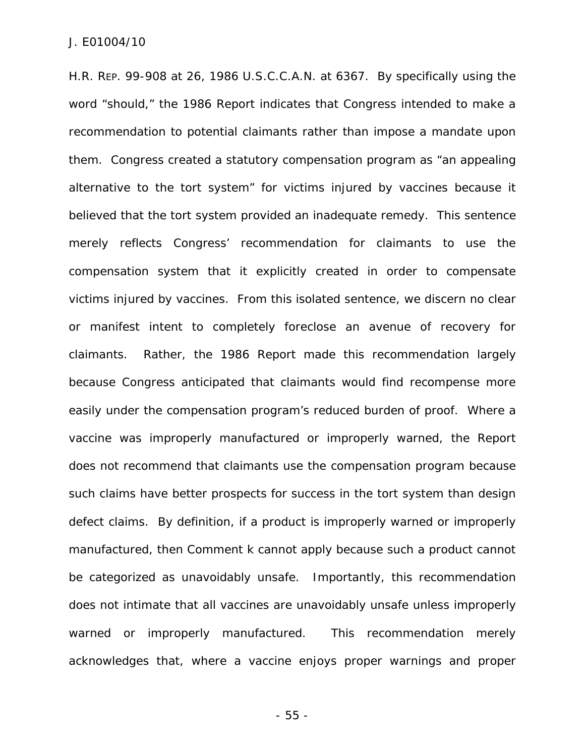H.R. REP. 99-908 at 26, 1986 U.S.C.C.A.N. at 6367. By specifically using the word "should," the 1986 Report indicates that Congress intended to make a recommendation to potential claimants rather than impose a mandate upon them. Congress created a statutory compensation program as "an appealing alternative to the tort system" for victims injured by vaccines because it believed that the tort system provided an inadequate remedy. This sentence merely reflects Congress' recommendation for claimants to use the compensation system that it explicitly created in order to compensate victims injured by vaccines. From this isolated sentence, we discern no clear or manifest intent to completely foreclose an avenue of recovery for claimants. Rather, the 1986 Report made this recommendation largely because Congress anticipated that claimants would find recompense more easily under the compensation program's reduced burden of proof. Where a vaccine was improperly manufactured or improperly warned, the Report does not recommend that claimants use the compensation program because such claims have better prospects for success in the tort system than design defect claims. By definition, if a product is improperly warned or improperly manufactured, then Comment k cannot apply because such a product cannot be categorized as unavoidably unsafe. Importantly, this recommendation does not intimate that all vaccines are unavoidably unsafe unless improperly warned or improperly manufactured. This recommendation merely acknowledges that, where a vaccine enjoys proper warnings and proper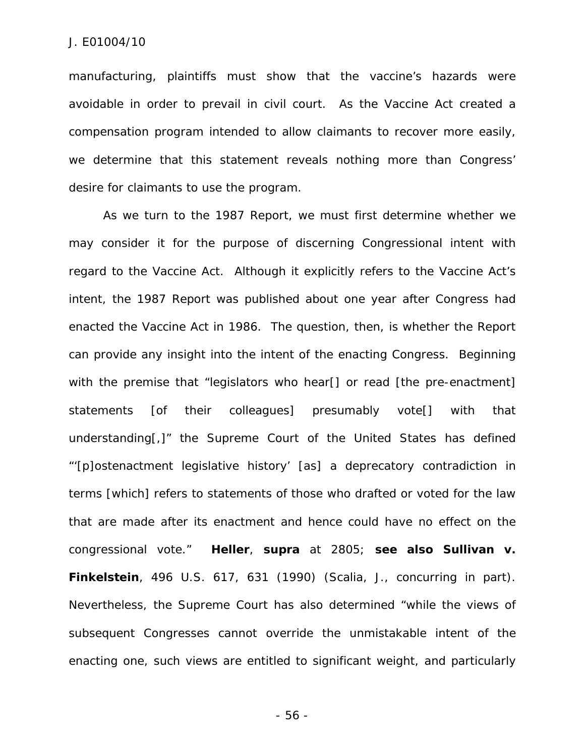manufacturing, plaintiffs must show that the vaccine's hazards were avoidable in order to prevail in civil court. As the Vaccine Act created a compensation program intended to allow claimants to recover more easily, we determine that this statement reveals nothing more than Congress' desire for claimants to use the program.

 As we turn to the 1987 Report, we must first determine whether we may consider it for the purpose of discerning Congressional intent with regard to the Vaccine Act. Although it explicitly refers to the Vaccine Act's intent, the 1987 Report was published about one year after Congress had enacted the Vaccine Act in 1986. The question, then, is whether the Report can provide any insight into the intent of the enacting Congress. Beginning with the premise that "legislators who hear[] or read [the pre-enactment] statements [of their colleagues] presumably vote[] with that understanding[,]" the Supreme Court of the United States has defined "'[p]ostenactment legislative history' [as] a deprecatory contradiction in terms [which] refers to statements of those who drafted or voted for the law that are made after its enactment and hence could have no effect on the congressional vote." *Heller*, *supra* at 2805; *see also Sullivan v. Finkelstein*, 496 U.S. 617, 631 (1990) (Scalia, J., concurring in part). Nevertheless, the Supreme Court has also determined "while the views of subsequent Congresses cannot override the unmistakable intent of the enacting one, such views are entitled to significant weight, and particularly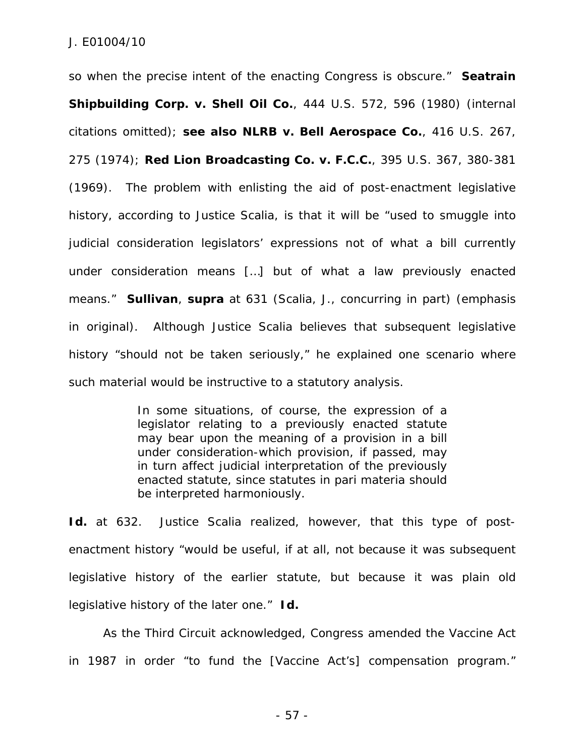so when the precise intent of the enacting Congress is obscure." *Seatrain Shipbuilding Corp. v. Shell Oil Co.*, 444 U.S. 572, 596 (1980) (internal citations omitted); *see also NLRB v. Bell Aerospace Co.*, 416 U.S. 267, 275 (1974); *Red Lion Broadcasting Co. v. F.C.C.*, 395 U.S. 367, 380-381 (1969). The problem with enlisting the aid of post-enactment legislative history, according to Justice Scalia, is that it will be "used to smuggle into judicial consideration legislators' expressions *not* of what a bill currently under consideration means […] but of what a law *previously enacted* means." *Sullivan*, *supra* at 631 (Scalia, J., concurring in part) (emphasis in original). Although Justice Scalia believes that subsequent legislative history "should not be taken seriously," he explained one scenario where such material would be instructive to a statutory analysis.

> In some situations, of course, the expression of a legislator relating to a previously enacted statute may bear upon the meaning of a provision in a bill under consideration-which provision, if passed, may in turn affect judicial interpretation of the previously enacted statute, since statutes *in pari materia* should be interpreted harmoniously.

*Id.* at 632.Justice Scalia realized, however, that this type of postenactment history "would be useful, if at all, not because it was subsequent legislative history of the earlier statute, but because it was plain old legislative history of the later one." *Id.* 

As the Third Circuit acknowledged, Congress amended the Vaccine Act in 1987 in order "to fund the [Vaccine Act's] compensation program."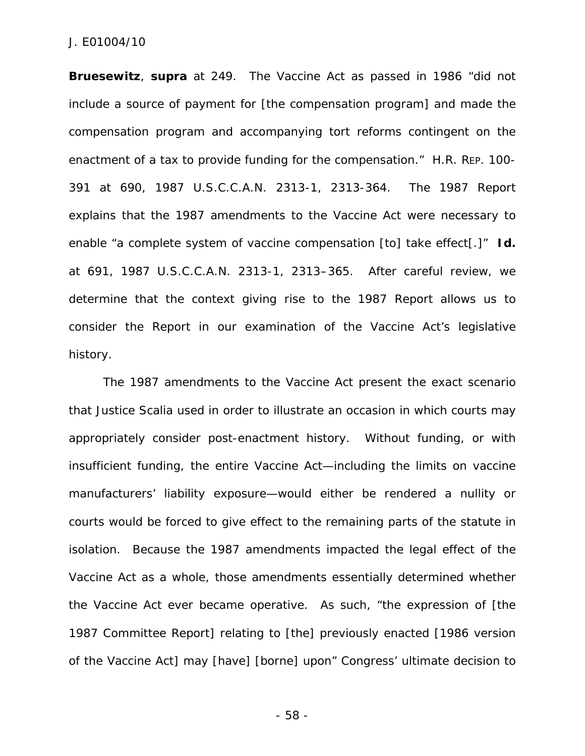*Bruesewitz*, *supra* at 249. The Vaccine Act as passed in 1986 "did not include a source of payment for [the compensation program] and made the compensation program and accompanying tort reforms contingent on the enactment of a tax to provide funding for the compensation." H.R. REP. 100- 391 at 690, 1987 U.S.C.C.A.N. 2313-1, 2313-364. The 1987 Report explains that the 1987 amendments to the Vaccine Act were necessary to enable "a complete system of vaccine compensation [to] take effect[.]" *Id.* at 691, 1987 U.S.C.C.A.N. 2313-1, 2313–365. After careful review, we determine that the context giving rise to the 1987 Report allows us to consider the Report in our examination of the Vaccine Act's legislative history.

The 1987 amendments to the Vaccine Act present the exact scenario that Justice Scalia used in order to illustrate an occasion in which courts may appropriately consider post-enactment history. Without funding, or with insufficient funding, the entire Vaccine Act—including the limits on vaccine manufacturers' liability exposure—would either be rendered a nullity or courts would be forced to give effect to the remaining parts of the statute in isolation. Because the 1987 amendments impacted the legal effect of the Vaccine Act as a whole, those amendments essentially determined whether the Vaccine Act ever became operative. As such, "the expression of [the 1987 Committee Report] relating to [the] previously enacted [1986 version of the Vaccine Act] may [have] [borne] upon" Congress' ultimate decision to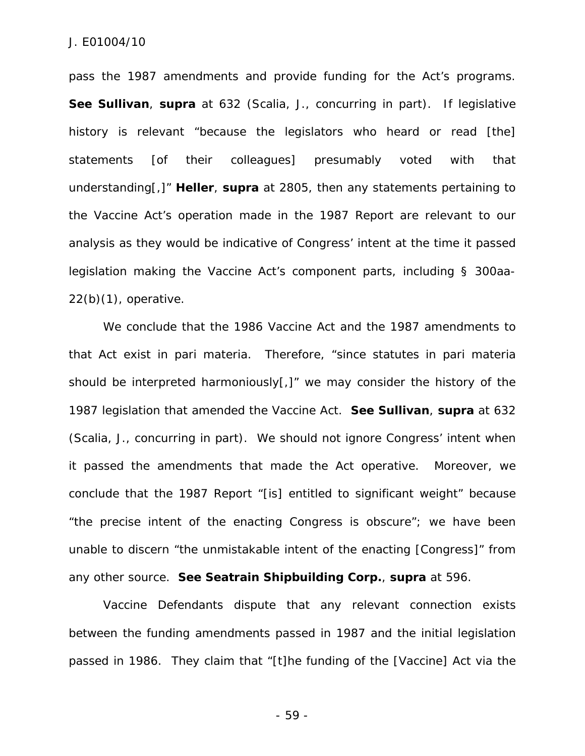pass the 1987 amendments and provide funding for the Act's programs. **See Sullivan, supra** at 632 (Scalia, J., concurring in part). If legislative history is relevant "because the legislators who heard or read [the] statements [of their colleagues] presumably voted with that understanding[,]" *Heller*, *supra* at 2805, then any statements pertaining to the Vaccine Act's operation made in the 1987 Report are relevant to our analysis as they would be indicative of Congress' intent at the time it passed legislation making the Vaccine Act's component parts, including § 300aa- $22(b)(1)$ , operative.

We conclude that the 1986 Vaccine Act and the 1987 amendments to that Act exist *in pari materia*. Therefore, "since statutes *in pari materia* should be interpreted harmoniously[,]" we may consider the history of the 1987 legislation that amended the Vaccine Act. *See Sullivan*, *supra* at 632 (Scalia, J., concurring in part). We should not ignore Congress' intent when it passed the amendments that made the Act operative. Moreover, we conclude that the 1987 Report "[is] entitled to significant weight" because "the precise intent of the enacting Congress is obscure"; we have been unable to discern "the unmistakable intent of the enacting [Congress]" from any other source. *See Seatrain Shipbuilding Corp.*, *supra* at 596.

 Vaccine Defendants dispute that any relevant connection exists between the funding amendments passed in 1987 and the initial legislation passed in 1986. They claim that "[t]he funding of the [Vaccine] Act via the

- 59 -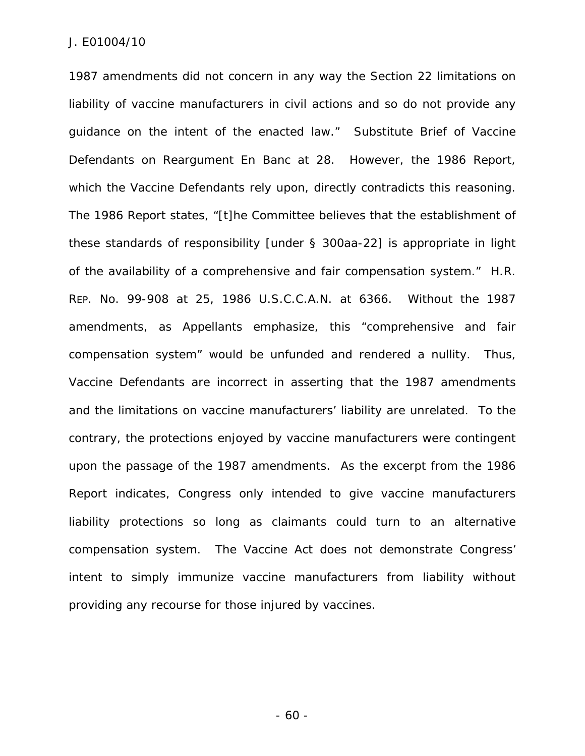1987 amendments did not concern in any way the Section 22 limitations on liability of vaccine manufacturers in civil actions and so do not provide any guidance on the intent of the enacted law." Substitute Brief of Vaccine Defendants on Reargument *En Banc* at 28. However, the 1986 Report, which the Vaccine Defendants rely upon, directly contradicts this reasoning. The 1986 Report states, "[t]he Committee believes that the establishment of these standards of responsibility [under § 300aa-22] is appropriate in light of the availability of a comprehensive and fair compensation system." H.R. REP. No. 99-908 at 25, 1986 U.S.C.C.A.N. at 6366. Without the 1987 amendments, as Appellants emphasize, this "comprehensive and fair compensation system" would be unfunded and rendered a nullity. Thus, Vaccine Defendants are incorrect in asserting that the 1987 amendments and the limitations on vaccine manufacturers' liability are unrelated. To the contrary, the protections enjoyed by vaccine manufacturers were contingent upon the passage of the 1987 amendments. As the excerpt from the 1986 Report indicates, Congress only intended to give vaccine manufacturers liability protections so long as claimants could turn to an alternative compensation system. The Vaccine Act does not demonstrate Congress' intent to simply immunize vaccine manufacturers from liability without providing any recourse for those injured by vaccines.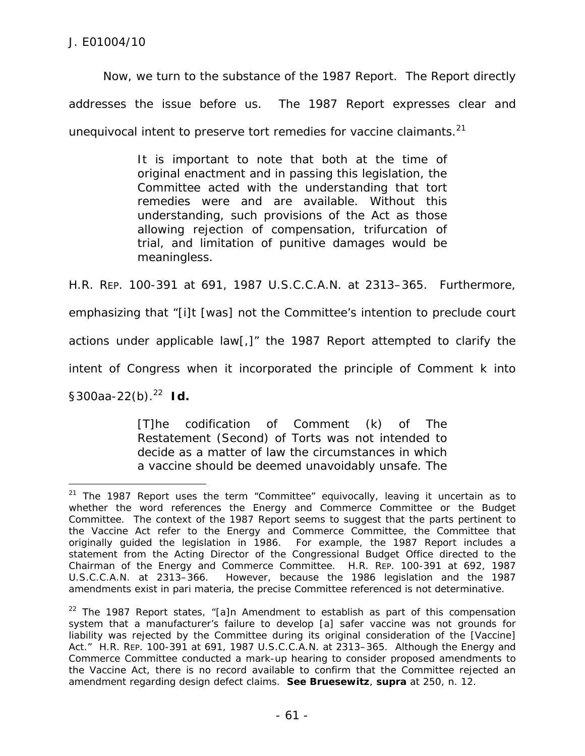$\overline{a}$ 

Now, we turn to the substance of the 1987 Report. The Report directly addresses the issue before us. The 1987 Report expresses clear and unequivocal intent to preserve tort remedies for vaccine claimants.<sup>21</sup>

> It is important to note that both at the time of original enactment and in passing this legislation, the Committee acted with the understanding that tort remedies were and are available. Without this understanding, such provisions of the Act as those allowing rejection of compensation, trifurcation of trial, and limitation of punitive damages would be meaningless.

H.R. REP. 100-391 at 691, 1987 U.S.C.C.A.N. at 2313–365. Furthermore, emphasizing that "[i]t [was] not the Committee's intention to preclude court actions under applicable law[,]" the 1987 Report attempted to clarify the intent of Congress when it incorporated the principle of Comment k into §300aa-22(b).<sup>22</sup> *Id.* 

> [T]he codification of Comment (k) of The Restatement (Second) of Torts was not intended to decide as a matter of law the circumstances in which a vaccine should be deemed unavoidably unsafe. The

 $21$  The 1987 Report uses the term "Committee" equivocally, leaving it uncertain as to whether the word references the Energy and Commerce Committee or the Budget Committee. The context of the 1987 Report seems to suggest that the parts pertinent to the Vaccine Act refer to the Energy and Commerce Committee, the Committee that originally guided the legislation in 1986. For example, the 1987 Report includes a statement from the Acting Director of the Congressional Budget Office directed to the Chairman of the Energy and Commerce Committee. H.R. REP. 100-391 at 692, 1987 U.S.C.C.A.N. at 2313–366. However, because the 1986 legislation and the 1987 amendments exist *in pari materia*, the precise Committee referenced is not determinative.

<sup>&</sup>lt;sup>22</sup> The 1987 Report states, "[a]n Amendment to establish as part of this compensation system that a manufacturer's failure to develop [a] safer vaccine was not grounds for liability was rejected by the Committee during its original consideration of the [Vaccine] Act." H.R. REP. 100-391 at 691, 1987 U.S.C.C.A.N. at 2313–365. Although the Energy and Commerce Committee conducted a mark-up hearing to consider proposed amendments to the Vaccine Act, there is no record available to confirm that the Committee rejected an amendment regarding design defect claims. *See Bruesewitz*, *supra* at 250, n. 12.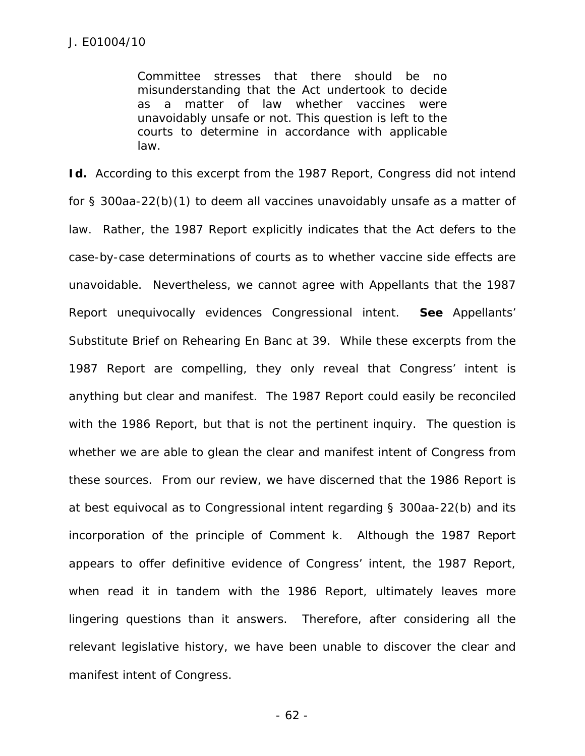Committee stresses that there should be no misunderstanding that the Act undertook to decide as a matter of law whether vaccines were unavoidably unsafe or not. This question is left to the courts to determine in accordance with applicable law.

Id. According to this excerpt from the 1987 Report, Congress did not intend for § 300aa-22(b)(1) to deem all vaccines unavoidably unsafe as a matter of law. Rather, the 1987 Report explicitly indicates that the Act defers to the case-by-case determinations of courts as to whether vaccine side effects are unavoidable. Nevertheless, we cannot agree with Appellants that the 1987 Report unequivocally evidences Congressional intent. *See* Appellants' Substitute Brief on Rehearing *En Banc* at 39. While these excerpts from the 1987 Report are compelling, they only reveal that Congress' intent is anything but clear and manifest. The 1987 Report could easily be reconciled with the 1986 Report, but that is not the pertinent inquiry. The question is whether we are able to glean the clear and manifest intent of Congress from these sources. From our review, we have discerned that the 1986 Report is at best equivocal as to Congressional intent regarding § 300aa-22(b) and its incorporation of the principle of Comment k. Although the 1987 Report appears to offer definitive evidence of Congress' intent, the 1987 Report, when read it in tandem with the 1986 Report, ultimately leaves more lingering questions than it answers. Therefore, after considering all the relevant legislative history, we have been unable to discover the clear and manifest intent of Congress.

- 62 -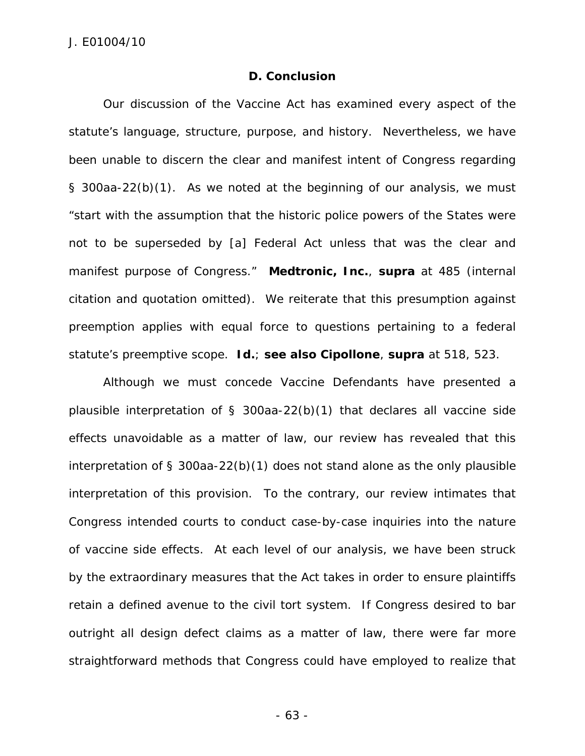## **D. Conclusion**

Our discussion of the Vaccine Act has examined every aspect of the statute's language, structure, purpose, and history. Nevertheless, we have been unable to discern the clear and manifest intent of Congress regarding § 300aa-22(b)(1). As we noted at the beginning of our analysis, we must "start with the assumption that the historic police powers of the States were not to be superseded by [a] Federal Act unless that was the clear and manifest purpose of Congress." *Medtronic, Inc.*, *supra* at 485 (internal citation and quotation omitted). We reiterate that this presumption against preemption applies with equal force to questions pertaining to a federal statute's preemptive scope. *Id.*; *see also Cipollone*, *supra* at 518, 523.

Although we must concede Vaccine Defendants have presented a plausible interpretation of § 300aa-22(b)(1) that declares all vaccine side effects unavoidable as a matter of law, our review has revealed that this interpretation of § 300aa-22(b)(1) does not stand alone as the only plausible interpretation of this provision. To the contrary, our review intimates that Congress intended courts to conduct case-by-case inquiries into the nature of vaccine side effects. At each level of our analysis, we have been struck by the extraordinary measures that the Act takes in order to ensure plaintiffs retain a defined avenue to the civil tort system. If Congress desired to bar outright all design defect claims as a matter of law, there were far more straightforward methods that Congress could have employed to realize that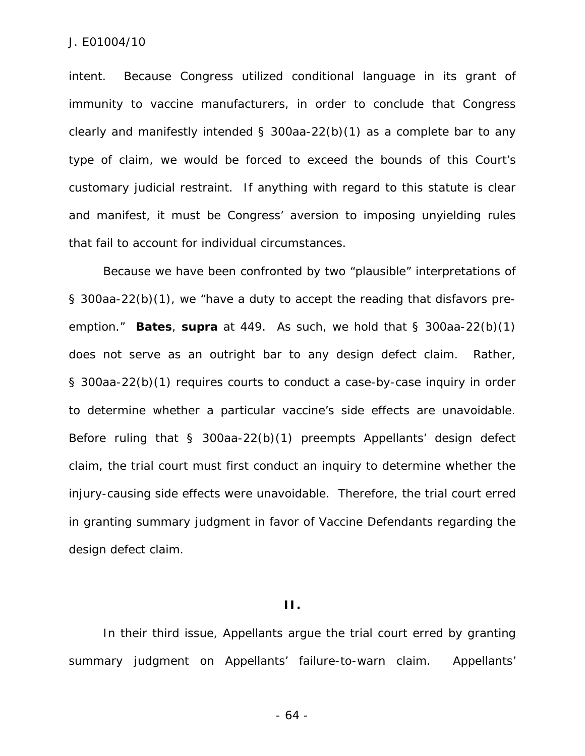intent. Because Congress utilized conditional language in its grant of immunity to vaccine manufacturers, in order to conclude that Congress clearly and manifestly intended  $\S$  300aa-22(b)(1) as a complete bar to any type of claim, we would be forced to exceed the bounds of this Court's customary judicial restraint. If anything with regard to this statute is clear and manifest, it must be Congress' aversion to imposing unyielding rules that fail to account for individual circumstances.

Because we have been confronted by two "plausible" interpretations of § 300aa-22(b)(1), we "have a duty to accept the reading that disfavors preemption." *Bates*, *supra* at 449. As such, we hold that § 300aa-22(b)(1) does not serve as an outright bar to any design defect claim. Rather, § 300aa-22(b)(1) requires courts to conduct a case-by-case inquiry in order to determine whether a particular vaccine's side effects are unavoidable. Before ruling that § 300aa-22(b)(1) preempts Appellants' design defect claim, the trial court must first conduct an inquiry to determine whether the injury-causing side effects were unavoidable. Therefore, the trial court erred in granting summary judgment in favor of Vaccine Defendants regarding the design defect claim.

# **II.**

In their third issue, Appellants argue the trial court erred by granting summary judgment on Appellants' failure-to-warn claim. Appellants'

- 64 -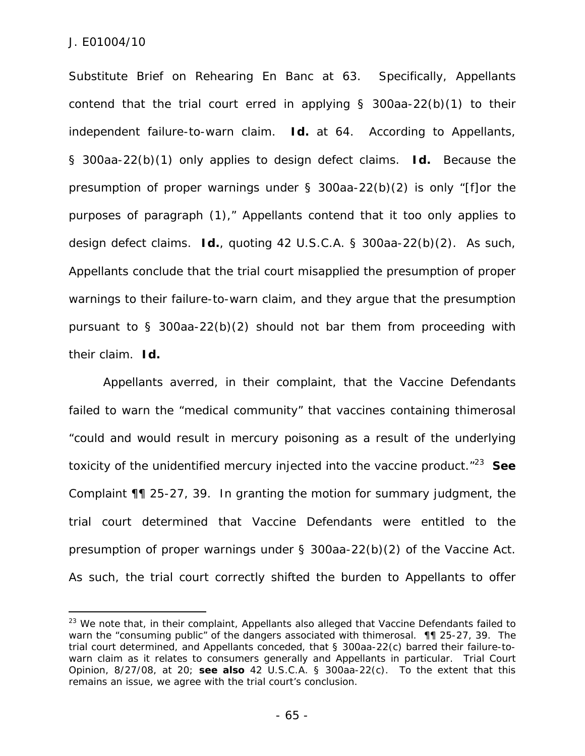-

Substitute Brief on Rehearing *En Banc* at 63. Specifically, Appellants contend that the trial court erred in applying § 300aa-22(b)(1) to their independent failure-to-warn claim. *Id.* at 64. According to Appellants, § 300aa-22(b)(1) only applies to design defect claims. *Id.* Because the presumption of proper warnings under § 300aa-22(b)(2) is only "[f]or the purposes of paragraph (1)," Appellants contend that it too only applies to design defect claims. *Id.*, *quoting* 42 U.S.C.A. § 300aa-22(b)(2). As such, Appellants conclude that the trial court misapplied the presumption of proper warnings to their failure-to-warn claim, and they argue that the presumption pursuant to § 300aa-22(b)(2) should not bar them from proceeding with their claim. *Id.* 

Appellants averred, in their complaint, that the Vaccine Defendants failed to warn the "medical community" that vaccines containing thimerosal "could and would result in mercury poisoning as a result of the underlying toxicity of the unidentified mercury injected into the vaccine product."23 *See* Complaint ¶¶ 25-27, 39. In granting the motion for summary judgment, the trial court determined that Vaccine Defendants were entitled to the presumption of proper warnings under § 300aa-22(b)(2) of the Vaccine Act. As such, the trial court correctly shifted the burden to Appellants to offer

 $23$  We note that, in their complaint, Appellants also alleged that Vaccine Defendants failed to warn the "consuming public" of the dangers associated with thimerosal.  $\P$ ] 25-27, 39. The trial court determined, and Appellants conceded, that § 300aa-22(c) barred their failure-towarn claim as it relates to consumers generally and Appellants in particular. Trial Court Opinion, 8/27/08, at 20; *see also* 42 U.S.C.A. § 300aa-22(c). To the extent that this remains an issue, we agree with the trial court's conclusion.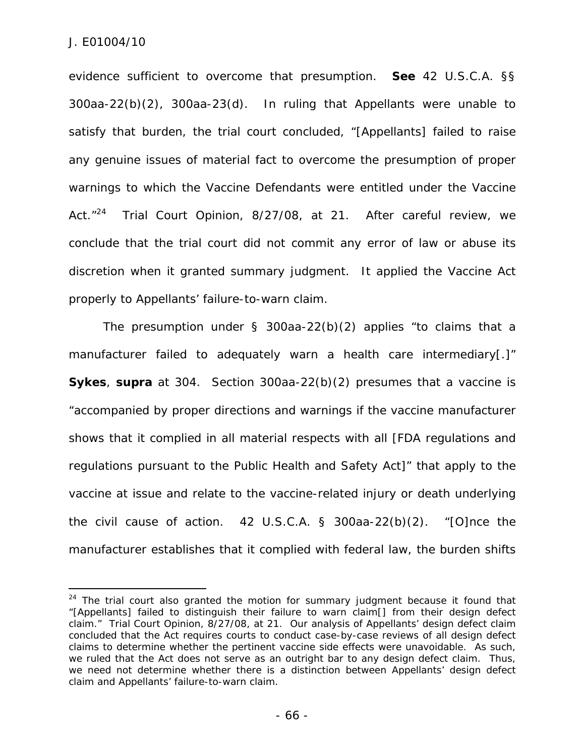$\overline{a}$ 

evidence sufficient to overcome that presumption. *See* 42 U.S.C.A. §§ 300aa-22(b)(2), 300aa-23(d). In ruling that Appellants were unable to satisfy that burden, the trial court concluded, "[Appellants] failed to raise any genuine issues of material fact to overcome the presumption of proper warnings to which the Vaccine Defendants were entitled under the Vaccine Act."<sup>24</sup> Trial Court Opinion, 8/27/08, at 21. After careful review, we conclude that the trial court did not commit any error of law or abuse its discretion when it granted summary judgment. It applied the Vaccine Act properly to Appellants' failure-to-warn claim.

The presumption under § 300aa-22(b)(2) applies "to claims that a manufacturer failed to adequately warn a health care intermediary[.]" *Sykes*, *supra* at 304. Section 300aa-22(b)(2) presumes that a vaccine is "accompanied by proper directions and warnings if the vaccine manufacturer shows that it complied in all material respects with all [FDA regulations and regulations pursuant to the Public Health and Safety Act]" that apply to the vaccine at issue and relate to the vaccine-related injury or death underlying the civil cause of action. 42 U.S.C.A. § 300aa-22(b)(2). "[O]nce the manufacturer establishes that it complied with federal law, the burden shifts

 $24$  The trial court also granted the motion for summary judgment because it found that "[Appellants] failed to distinguish their failure to warn claim[] from their design defect claim." Trial Court Opinion, 8/27/08, at 21. Our analysis of Appellants' design defect claim concluded that the Act requires courts to conduct case-by-case reviews of all design defect claims to determine whether the pertinent vaccine side effects were unavoidable. As such, we ruled that the Act does not serve as an outright bar to any design defect claim. Thus, we need not determine whether there is a distinction between Appellants' design defect claim and Appellants' failure-to-warn claim.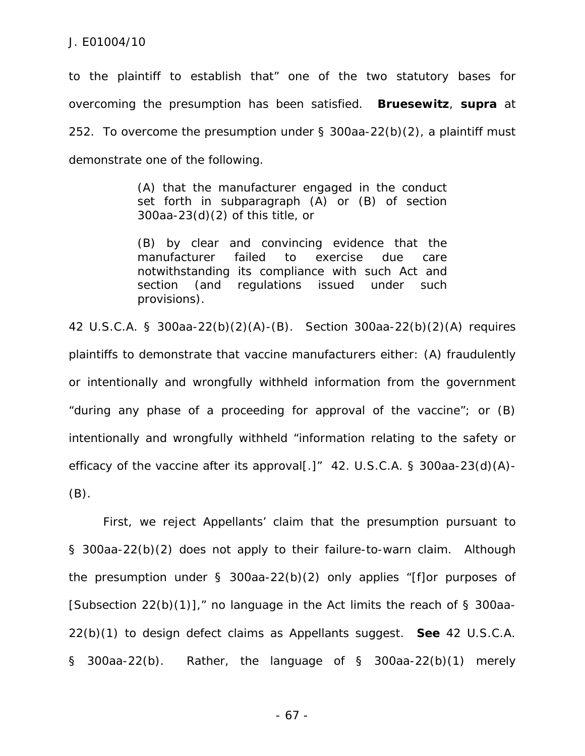to the plaintiff to establish that" one of the two statutory bases for overcoming the presumption has been satisfied. *Bruesewitz*, *supra* at 252. To overcome the presumption under § 300aa-22(b)(2), a plaintiff must demonstrate one of the following.

> (A) that the manufacturer engaged in the conduct set forth in subparagraph (A) or (B) of section 300aa-23(d)(2) of this title, or

> (B) by clear and convincing evidence that the manufacturer failed to exercise due care notwithstanding its compliance with such Act and section (and regulations issued under such provisions).

42 U.S.C.A. § 300aa-22(b)(2)(A)-(B). Section 300aa-22(b)(2)(A) requires plaintiffs to demonstrate that vaccine manufacturers either: (A) fraudulently or intentionally and wrongfully withheld information from the government "during any phase of a proceeding for approval of the vaccine"; or (B) intentionally and wrongfully withheld "information relating to the safety or efficacy of the vaccine after its approval[.]" 42. U.S.C.A. § 300aa-23(d)(A)- (B).

 First, we reject Appellants' claim that the presumption pursuant to § 300aa-22(b)(2) does not apply to their failure-to-warn claim. Although the presumption under § 300aa-22(b)(2) only applies "[f]or purposes of [Subsection 22(b)(1)]," no language in the Act limits the reach of § 300aa-22(b)(1) to design defect claims as Appellants suggest. *See* 42 U.S.C.A. § 300aa-22(b). Rather, the language of § 300aa-22(b)(1) merely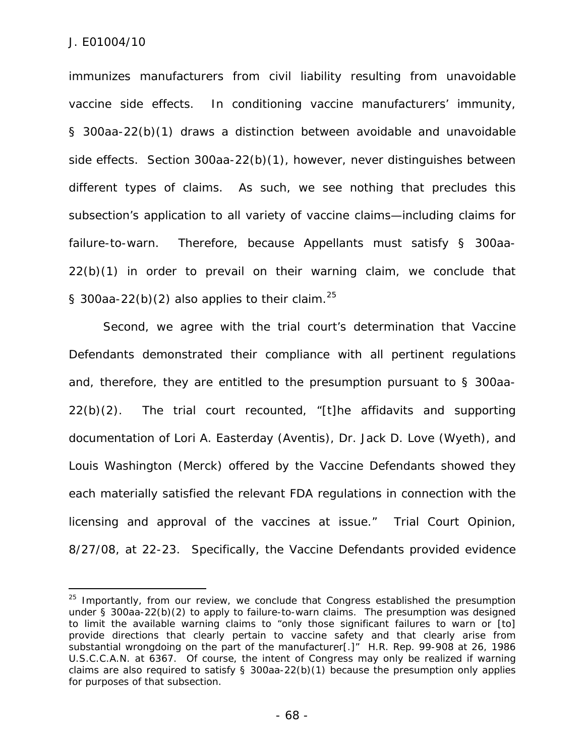$\overline{a}$ 

immunizes manufacturers from civil liability resulting from unavoidable vaccine side effects. In conditioning vaccine manufacturers' immunity, § 300aa-22(b)(1) draws a distinction between avoidable and unavoidable side effects. Section 300aa-22(b)(1), however, never distinguishes between different types of claims. As such, we see nothing that precludes this subsection's application to all variety of vaccine claims—including claims for failure-to-warn. Therefore, because Appellants must satisfy § 300aa-22(b)(1) in order to prevail on their warning claim, we conclude that § 300aa-22(b)(2) also applies to their claim.<sup>25</sup>

 Second, we agree with the trial court's determination that Vaccine Defendants demonstrated their compliance with all pertinent regulations and, therefore, they are entitled to the presumption pursuant to § 300aa-22(b)(2). The trial court recounted, "[t]he affidavits and supporting documentation of Lori A. Easterday (Aventis), Dr. Jack D. Love (Wyeth), and Louis Washington (Merck) offered by the Vaccine Defendants showed they each materially satisfied the relevant FDA regulations in connection with the licensing and approval of the vaccines at issue." Trial Court Opinion, 8/27/08, at 22-23. Specifically, the Vaccine Defendants provided evidence

<sup>&</sup>lt;sup>25</sup> Importantly, from our review, we conclude that Congress established the presumption under § 300aa-22(b)(2) to apply to failure-to-warn claims. The presumption was designed to limit the available warning claims to "only those significant failures to warn or [to] provide directions that clearly pertain to vaccine safety and that clearly arise from substantial wrongdoing on the part of the manufacturer[.]" H.R. Rep. 99-908 at 26, 1986 U.S.C.C.A.N. at 6367. Of course, the intent of Congress may only be realized if warning claims are also required to satisfy  $\S$  300aa-22(b)(1) because the presumption only applies for purposes of that subsection.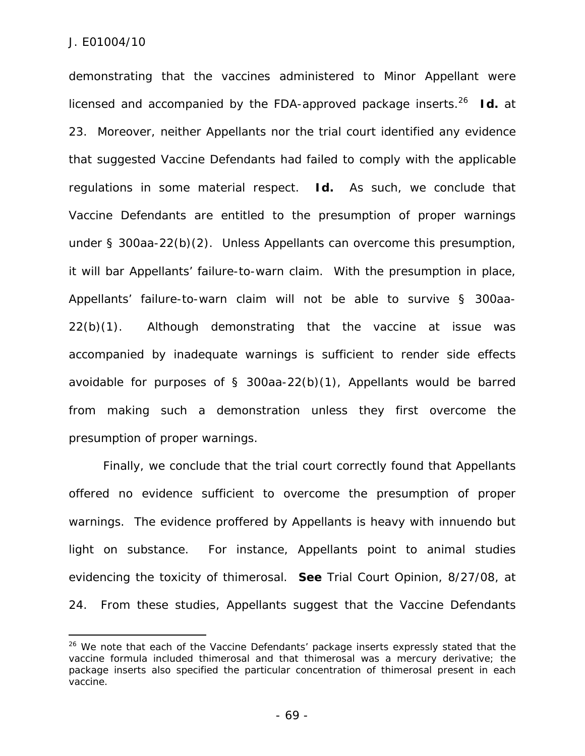$\overline{a}$ 

demonstrating that the vaccines administered to Minor Appellant were licensed and accompanied by the FDA-approved package inserts.26 *Id.* at 23. Moreover, neither Appellants nor the trial court identified any evidence that suggested Vaccine Defendants had failed to comply with the applicable regulations in some material respect. *Id.* As such, we conclude that Vaccine Defendants are entitled to the presumption of proper warnings under § 300aa-22(b)(2). Unless Appellants can overcome this presumption, it will bar Appellants' failure-to-warn claim. With the presumption in place, Appellants' failure-to-warn claim will not be able to survive § 300aa-22(b)(1). Although demonstrating that the vaccine at issue was accompanied by inadequate warnings is sufficient to render side effects avoidable for purposes of § 300aa-22(b)(1), Appellants would be barred from making such a demonstration unless they first overcome the presumption of proper warnings.

 Finally, we conclude that the trial court correctly found that Appellants offered no evidence sufficient to overcome the presumption of proper warnings. The evidence proffered by Appellants is heavy with innuendo but light on substance. For instance, Appellants point to animal studies evidencing the toxicity of thimerosal. *See* Trial Court Opinion, 8/27/08, at 24. From these studies, Appellants suggest that the Vaccine Defendants

<sup>&</sup>lt;sup>26</sup> We note that each of the Vaccine Defendants' package inserts expressly stated that the vaccine formula included thimerosal and that thimerosal was a mercury derivative; the package inserts also specified the particular concentration of thimerosal present in each vaccine.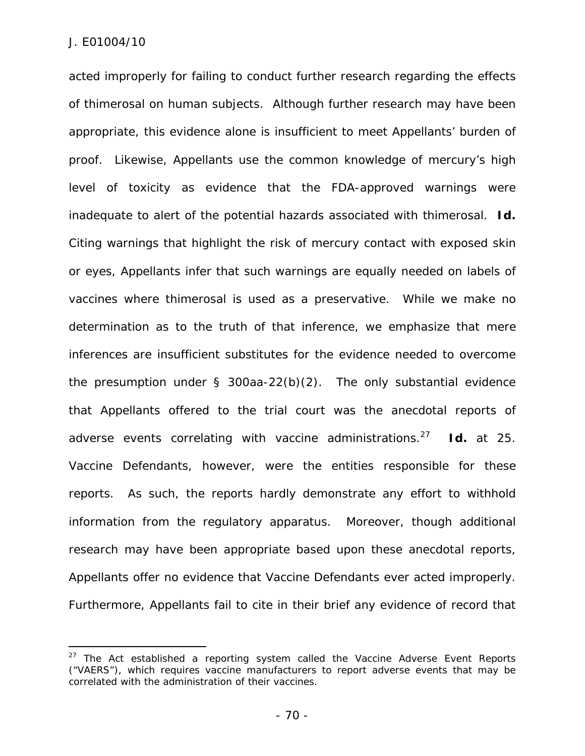-

acted improperly for failing to conduct further research regarding the effects of thimerosal on human subjects. Although further research may have been appropriate, this evidence alone is insufficient to meet Appellants' burden of proof. Likewise, Appellants use the common knowledge of mercury's high level of toxicity as evidence that the FDA-approved warnings were inadequate to alert of the potential hazards associated with thimerosal. *Id.* Citing warnings that highlight the risk of mercury contact with exposed skin or eyes, Appellants infer that such warnings are equally needed on labels of vaccines where thimerosal is used as a preservative. While we make no determination as to the truth of that inference, we emphasize that mere inferences are insufficient substitutes for the evidence needed to overcome the presumption under § 300aa-22(b)(2). The only substantial evidence that Appellants offered to the trial court was the anecdotal reports of adverse events correlating with vaccine administrations.27 *Id.* at 25. Vaccine Defendants, however, were the entities responsible for these reports. As such, the reports hardly demonstrate any effort to withhold information from the regulatory apparatus. Moreover, though additional research may have been appropriate based upon these anecdotal reports, Appellants offer no evidence that Vaccine Defendants ever acted improperly. Furthermore, Appellants fail to cite in their brief any evidence of record that

 $27$  The Act established a reporting system called the Vaccine Adverse Event Reports ("VAERS"), which requires vaccine manufacturers to report adverse events that may be correlated with the administration of their vaccines.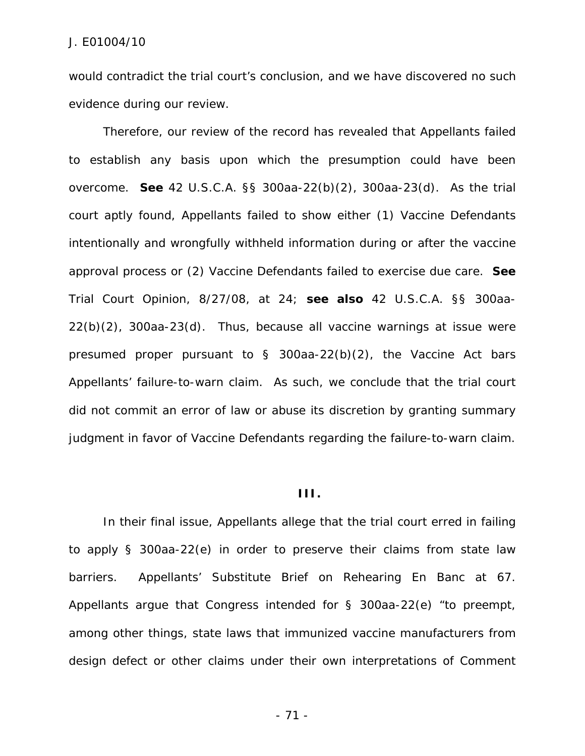would contradict the trial court's conclusion, and we have discovered no such evidence during our review.

Therefore, our review of the record has revealed that Appellants failed to establish any basis upon which the presumption could have been overcome. *See* 42 U.S.C.A. §§ 300aa-22(b)(2), 300aa-23(d). As the trial court aptly found, Appellants failed to show either (1) Vaccine Defendants intentionally and wrongfully withheld information during or after the vaccine approval process or (2) Vaccine Defendants failed to exercise due care. *See*  Trial Court Opinion, 8/27/08, at 24; *see also* 42 U.S.C.A. §§ 300aa-22(b)(2), 300aa-23(d). Thus, because all vaccine warnings at issue were presumed proper pursuant to § 300aa-22(b)(2), the Vaccine Act bars Appellants' failure-to-warn claim. As such, we conclude that the trial court did not commit an error of law or abuse its discretion by granting summary judgment in favor of Vaccine Defendants regarding the failure-to-warn claim.

# **III.**

In their final issue, Appellants allege that the trial court erred in failing to apply § 300aa-22(e) in order to preserve their claims from state law barriers. Appellants' Substitute Brief on Rehearing *En Banc* at 67. Appellants argue that Congress intended for § 300aa-22(e) "to preempt, among other things, state laws that immunized vaccine manufacturers from design defect or other claims under their own interpretations of Comment

- 71 -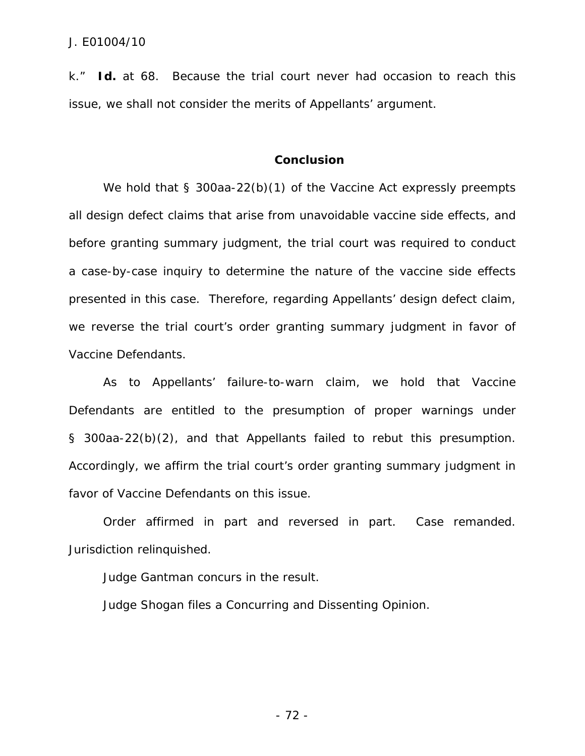k." *Id.* at 68. Because the trial court never had occasion to reach this issue, we shall not consider the merits of Appellants' argument.

## **Conclusion**

We hold that § 300aa-22(b)(1) of the Vaccine Act expressly preempts all design defect claims that arise from unavoidable vaccine side effects, and before granting summary judgment, the trial court was required to conduct a case-by-case inquiry to determine the nature of the vaccine side effects presented in this case. Therefore, regarding Appellants' design defect claim, we reverse the trial court's order granting summary judgment in favor of Vaccine Defendants.

As to Appellants' failure-to-warn claim, we hold that Vaccine Defendants are entitled to the presumption of proper warnings under § 300aa-22(b)(2), and that Appellants failed to rebut this presumption. Accordingly, we affirm the trial court's order granting summary judgment in favor of Vaccine Defendants on this issue.

 Order affirmed in part and reversed in part. Case remanded. Jurisdiction relinquished.

Judge Gantman concurs in the result.

Judge Shogan files a Concurring and Dissenting Opinion.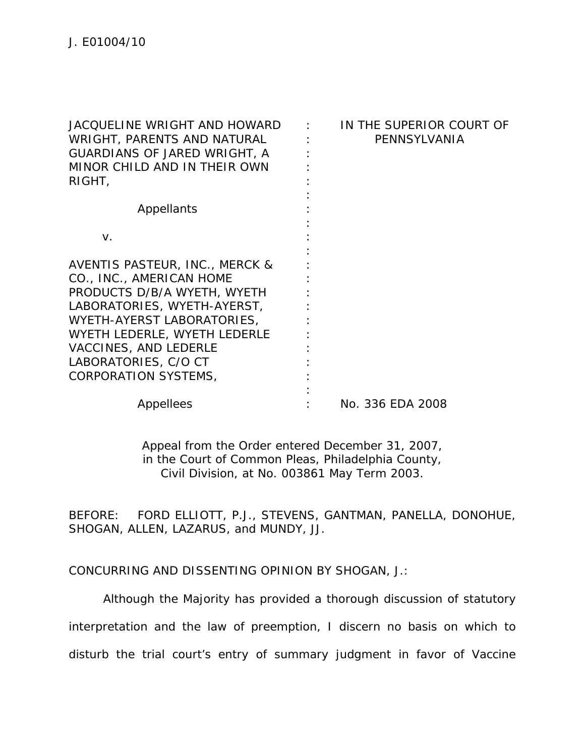| JACQUELINE WRIGHT AND HOWARD<br>WRIGHT, PARENTS AND NATURAL<br><b>GUARDIANS OF JARED WRIGHT, A</b><br>MINOR CHILD AND IN THEIR OWN<br>RIGHT,                                                                                                                           | IN THE SUPERIOR COURT OF<br>PENNSYLVANIA |
|------------------------------------------------------------------------------------------------------------------------------------------------------------------------------------------------------------------------------------------------------------------------|------------------------------------------|
| Appellants                                                                                                                                                                                                                                                             |                                          |
| V.                                                                                                                                                                                                                                                                     |                                          |
| AVENTIS PASTEUR, INC., MERCK &<br>CO., INC., AMERICAN HOME<br>PRODUCTS D/B/A WYETH, WYETH<br>LABORATORIES, WYETH-AYERST,<br>WYETH-AYERST LABORATORIES,<br>WYETH LEDERLE, WYETH LEDERLE<br>VACCINES, AND LEDERLE<br>LABORATORIES, C/O CT<br><b>CORPORATION SYSTEMS,</b> |                                          |
| Appellees                                                                                                                                                                                                                                                              | No. 336 EDA 2008                         |

Appeal from the Order entered December 31, 2007, in the Court of Common Pleas, Philadelphia County, Civil Division, at No. 003861 May Term 2003.

BEFORE: FORD ELLIOTT, P.J., STEVENS, GANTMAN, PANELLA, DONOHUE, SHOGAN, ALLEN, LAZARUS, and MUNDY, JJ.

CONCURRING AND DISSENTING OPINION BY SHOGAN, J.:

Although the Majority has provided a thorough discussion of statutory interpretation and the law of preemption, I discern no basis on which to disturb the trial court's entry of summary judgment in favor of Vaccine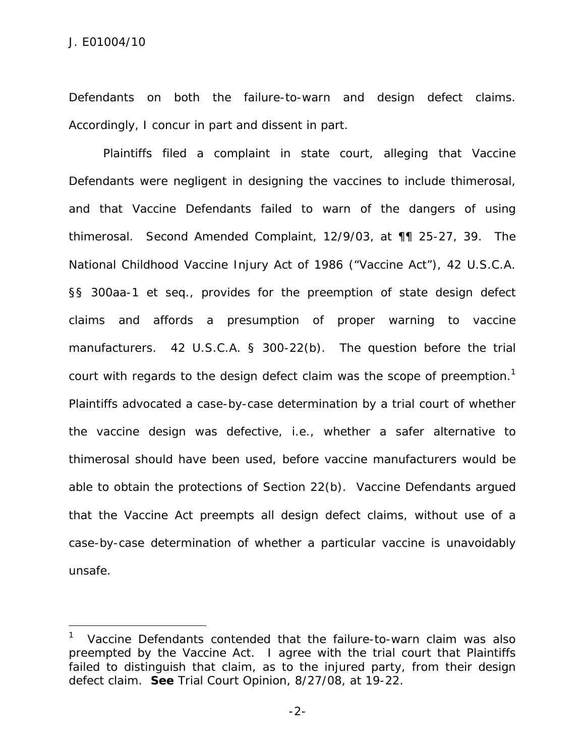-

Defendants on both the failure-to-warn and design defect claims. Accordingly, I concur in part and dissent in part.

Plaintiffs filed a complaint in state court, alleging that Vaccine Defendants were negligent in designing the vaccines to include thimerosal, and that Vaccine Defendants failed to warn of the dangers of using thimerosal. Second Amended Complaint, 12/9/03, at ¶¶ 25-27, 39. The National Childhood Vaccine Injury Act of 1986 ("Vaccine Act"), 42 U.S.C.A. §§ 300aa-1 *et seq.*, provides for the preemption of state design defect claims and affords a presumption of proper warning to vaccine manufacturers. 42 U.S.C.A. § 300-22(b). The question before the trial court with regards to the design defect claim was the scope of preemption.<sup>1</sup> Plaintiffs advocated a case-by-case determination by a trial court of whether the vaccine design was defective, *i.e.*, whether a safer alternative to thimerosal should have been used, before vaccine manufacturers would be able to obtain the protections of Section 22(b). Vaccine Defendants argued that the Vaccine Act preempts all design defect claims, without use of a case-by-case determination of whether a particular vaccine is unavoidably unsafe.

<sup>1</sup> Vaccine Defendants contended that the failure-to-warn claim was also preempted by the Vaccine Act. I agree with the trial court that Plaintiffs failed to distinguish that claim, as to the injured party, from their design defect claim. *See* Trial Court Opinion, 8/27/08, at 19-22.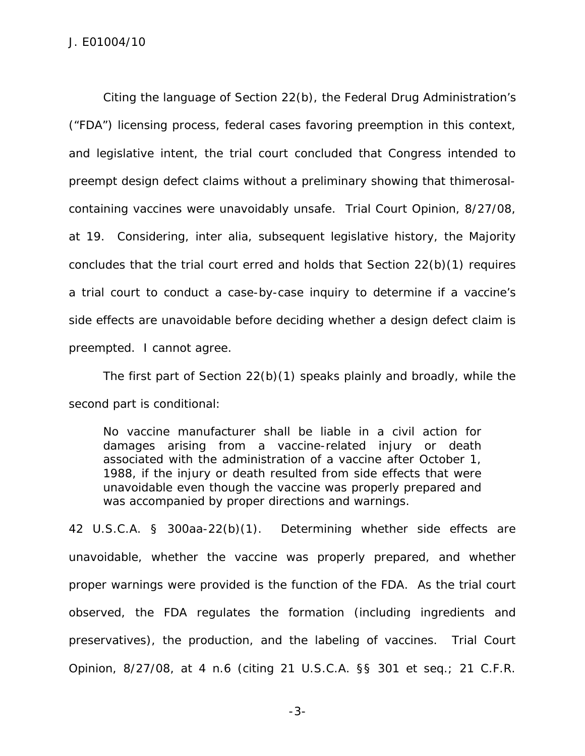Citing the language of Section 22(b), the Federal Drug Administration's ("FDA") licensing process, federal cases favoring preemption in this context, and legislative intent, the trial court concluded that Congress intended to preempt design defect claims without a preliminary showing that thimerosalcontaining vaccines were unavoidably unsafe. Trial Court Opinion, 8/27/08, at 19. Considering, *inter alia,* subsequent legislative history, the Majority concludes that the trial court erred and holds that Section 22(b)(1) requires a trial court to conduct a case-by-case inquiry to determine if a vaccine's side effects are unavoidable before deciding whether a design defect claim is preempted. I cannot agree.

 The first part of Section 22(b)(1) speaks plainly and broadly, while the second part is conditional:

No vaccine manufacturer shall be liable in a civil action for damages arising from a vaccine-related injury or death associated with the administration of a vaccine after October 1, 1988, if the injury or death resulted from side effects that were unavoidable even though the vaccine was properly prepared and was accompanied by proper directions and warnings.

42 U.S.C.A. § 300aa-22(b)(1). Determining whether side effects are unavoidable, whether the vaccine was properly prepared, and whether proper warnings were provided is the function of the FDA. As the trial court observed, the FDA regulates the formation (including ingredients and preservatives), the production, and the labeling of vaccines. Trial Court Opinion, 8/27/08, at 4 n.6 (citing 21 U.S.C.A. §§ 301 *et seq.*; 21 C.F.R.

-3-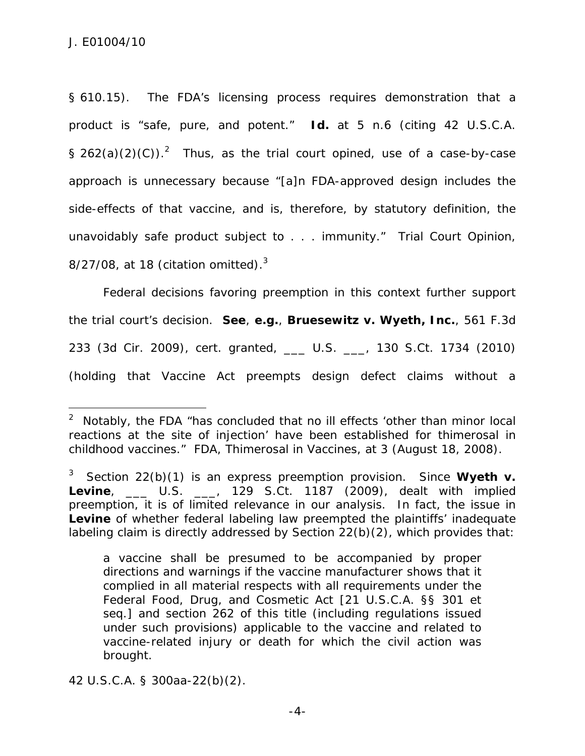$\overline{a}$ 

§ 610.15). The FDA's licensing process requires demonstration that a product is "safe, pure, and potent." *Id.* at 5 n.6 (citing 42 U.S.C.A. § 262(a)(2)(C)).<sup>2</sup> Thus, as the trial court opined, use of a case-by-case approach is unnecessary because "[a]n FDA-approved design includes the side-effects of that vaccine, and is, therefore, by statutory definition, the unavoidably safe product subject to . . . immunity." Trial Court Opinion,  $8/27/08$ , at 18 (citation omitted).<sup>3</sup>

 Federal decisions favoring preemption in this context further support the trial court's decision. *See*, *e.g.*, *Bruesewitz v. Wyeth, Inc.*, 561 F.3d 233 (3d Cir. 2009), *cert. granted*, \_\_\_ U.S. \_\_\_, 130 S.Ct. 1734 (2010) (holding that Vaccine Act preempts design defect claims without a

<sup>&</sup>lt;sup>2</sup> Notably, the FDA "has concluded that no ill effects 'other than minor local reactions at the site of injection' have been established for thimerosal in childhood vaccines." FDA, *Thimerosal in Vaccines*, at 3 (August 18, 2008).

<sup>&</sup>lt;sup>3</sup> Section 22(b)(1) is an express preemption provision. Since *Wyeth v. Levine*, \_\_\_ U.S. \_\_\_, 129 S.Ct. 1187 (2009), dealt with implied preemption, it is of limited relevance in our analysis. In fact, the issue in Levine of whether federal labeling law preempted the plaintiffs' inadequate labeling claim is directly addressed by Section 22(b)(2), which provides that:

a vaccine shall be presumed to be accompanied by proper directions and warnings if the vaccine manufacturer shows that it complied in all material respects with all requirements under the Federal Food, Drug, and Cosmetic Act [21 U.S.C.A. §§ 301 *et seq.*] and section 262 of this title (including regulations issued under such provisions) applicable to the vaccine and related to vaccine-related injury or death for which the civil action was brought.

<sup>42</sup> U.S.C.A. § 300aa-22(b)(2).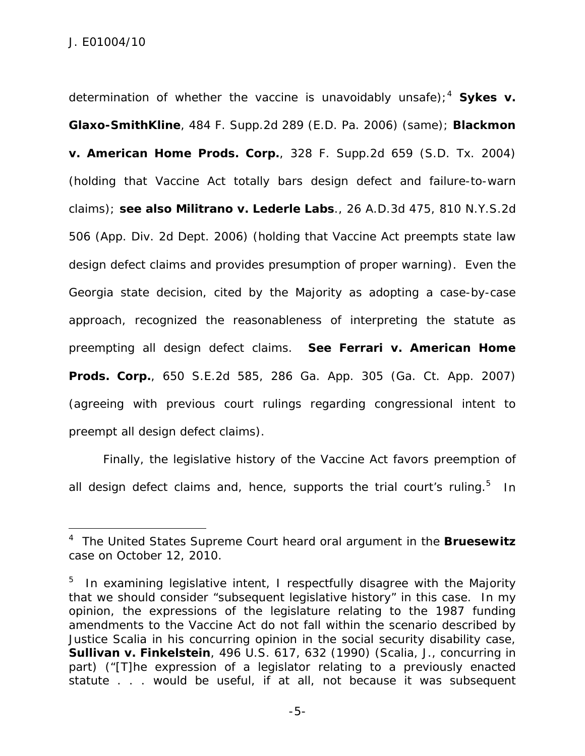-

determination of whether the vaccine is unavoidably unsafe);<sup>4</sup> **Sykes v.** *Glaxo-SmithKline*, 484 F. Supp.2d 289 (E.D. Pa. 2006) (same); *Blackmon v. American Home Prods. Corp.*, 328 F. Supp.2d 659 (S.D. Tx. 2004) (holding that Vaccine Act totally bars design defect and failure-to-warn claims); *see also Militrano v. Lederle Labs*., 26 A.D.3d 475, 810 N.Y.S.2d 506 (App. Div. 2d Dept. 2006) (holding that Vaccine Act preempts state law design defect claims and provides presumption of proper warning). Even the Georgia state decision, cited by the Majority as adopting a case-by-case approach, recognized the reasonableness of interpreting the statute as preempting all design defect claims. *See Ferrari v. American Home Prods. Corp.*, 650 S.E.2d 585, 286 Ga. App. 305 (Ga. Ct. App. 2007) (agreeing with previous court rulings regarding congressional intent to preempt all design defect claims).

 Finally, the legislative history of the Vaccine Act favors preemption of all design defect claims and, hence, supports the trial court's ruling.<sup>5</sup> In

<sup>4</sup> The United States Supreme Court heard oral argument in the *Bruesewitz* case on October 12, 2010.

<sup>5</sup> In examining legislative intent, I respectfully disagree with the Majority that we should consider "subsequent legislative history" in this case. In my opinion, the expressions of the legislature relating to the 1987 funding amendments to the Vaccine Act do not fall within the scenario described by Justice Scalia in his concurring opinion in the social security disability case, *Sullivan v. Finkelstein*, 496 U.S. 617, 632 (1990) (Scalia, J., concurring in part) ("[T]he expression of a legislator relating to a previously enacted statute . . . would be useful, if at all, not because it was subsequent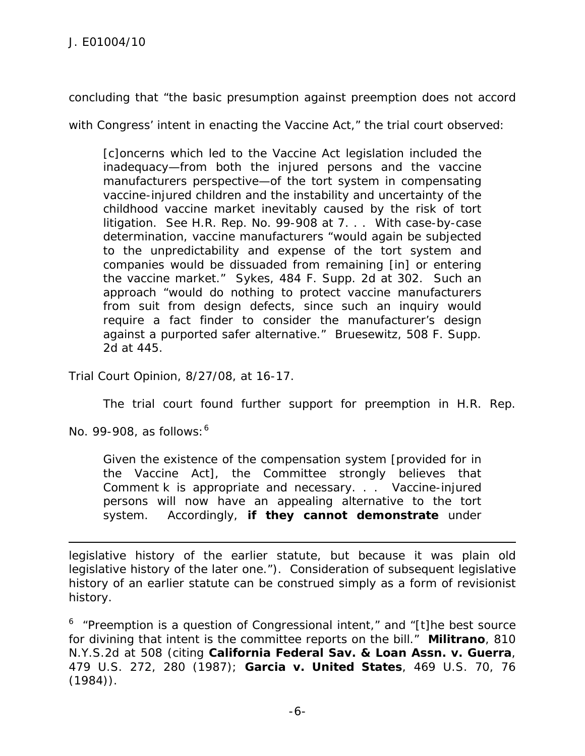J. E01004/10

concluding that "the basic presumption against preemption does not accord

with Congress' intent in enacting the Vaccine Act," the trial court observed:

[c]oncerns which led to the Vaccine Act legislation included the inadequacy—from both the injured persons and the vaccine manufacturers perspective—of the tort system in compensating vaccine-injured children and the instability and uncertainty of the childhood vaccine market inevitably caused by the risk of tort litigation. *See* H.R. Rep. No. 99-908 at 7. . . With case-by-case determination, vaccine manufacturers "would again be subjected to the unpredictability and expense of the tort system and companies would be dissuaded from remaining [in] or entering the vaccine market." *Sykes*, 484 F. Supp. 2d at 302. Such an approach "would do nothing to protect vaccine manufacturers from suit from design defects, since such an inquiry would require a fact finder to consider the manufacturer's design against a purported safer alternative." *Bruesewitz*, 508 F. Supp. 2d at 445.

Trial Court Opinion, 8/27/08, at 16-17.

The trial court found further support for preemption in H.R. Rep.

No. 99-908, as follows: $6$ 

-

Given the existence of the compensation system [provided for in the Vaccine Act], the Committee strongly believes that Comment k is appropriate and necessary. . . Vaccine-injured persons will now have an appealing alternative to the tort system. Accordingly, **if they cannot demonstrate** under

legislative history of the earlier statute, but because it was plain old legislative history of the later one."). Consideration of subsequent legislative history of an earlier statute can be construed simply as a form of revisionist history.

 $6$  "Preemption is a question of Congressional intent," and "[t]he best source for divining that intent is the committee reports on the bill." *Militrano*, 810 N.Y.S.2d at 508 (citing *California Federal Sav. & Loan Assn. v. Guerra*, 479 U.S. 272, 280 (1987); *Garcia v. United States*, 469 U.S. 70, 76  $(1984)$ .